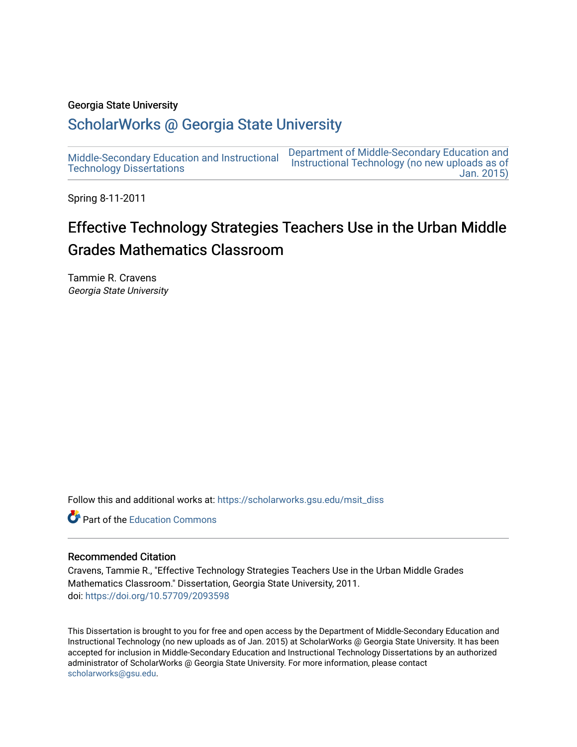## Georgia State University

## [ScholarWorks @ Georgia State University](https://scholarworks.gsu.edu/)

[Middle-Secondary Education and Instructional](https://scholarworks.gsu.edu/msit_diss) [Technology Dissertations](https://scholarworks.gsu.edu/msit_diss)  [Department of Middle-Secondary Education and](https://scholarworks.gsu.edu/msit)  [Instructional Technology \(no new uploads as of](https://scholarworks.gsu.edu/msit)  [Jan. 2015\)](https://scholarworks.gsu.edu/msit) 

Spring 8-11-2011

# Effective Technology Strategies Teachers Use in the Urban Middle Grades Mathematics Classroom

Tammie R. Cravens Georgia State University

Follow this and additional works at: [https://scholarworks.gsu.edu/msit\\_diss](https://scholarworks.gsu.edu/msit_diss?utm_source=scholarworks.gsu.edu%2Fmsit_diss%2F85&utm_medium=PDF&utm_campaign=PDFCoverPages) 

**C** Part of the [Education Commons](http://network.bepress.com/hgg/discipline/784?utm_source=scholarworks.gsu.edu%2Fmsit_diss%2F85&utm_medium=PDF&utm_campaign=PDFCoverPages)

#### Recommended Citation

Cravens, Tammie R., "Effective Technology Strategies Teachers Use in the Urban Middle Grades Mathematics Classroom." Dissertation, Georgia State University, 2011. doi: <https://doi.org/10.57709/2093598>

This Dissertation is brought to you for free and open access by the Department of Middle-Secondary Education and Instructional Technology (no new uploads as of Jan. 2015) at ScholarWorks @ Georgia State University. It has been accepted for inclusion in Middle-Secondary Education and Instructional Technology Dissertations by an authorized administrator of ScholarWorks @ Georgia State University. For more information, please contact [scholarworks@gsu.edu.](mailto:scholarworks@gsu.edu)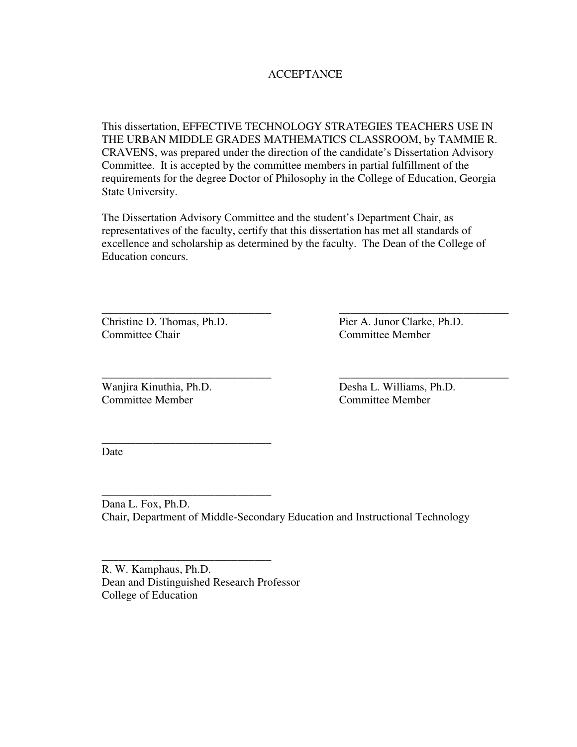## **ACCEPTANCE**

This dissertation, EFFECTIVE TECHNOLOGY STRATEGIES TEACHERS USE IN THE URBAN MIDDLE GRADES MATHEMATICS CLASSROOM, by TAMMIE R. CRAVENS, was prepared under the direction of the candidate's Dissertation Advisory Committee. It is accepted by the committee members in partial fulfillment of the requirements for the degree Doctor of Philosophy in the College of Education, Georgia State University.

The Dissertation Advisory Committee and the student's Department Chair, as representatives of the faculty, certify that this dissertation has met all standards of excellence and scholarship as determined by the faculty. The Dean of the College of Education concurs.

\_\_\_\_\_\_\_\_\_\_\_\_\_\_\_\_\_\_\_\_\_\_\_\_\_\_\_\_\_\_ \_\_\_\_\_\_\_\_\_\_\_\_\_\_\_\_\_\_\_\_\_\_\_\_\_\_\_\_\_\_

\_\_\_\_\_\_\_\_\_\_\_\_\_\_\_\_\_\_\_\_\_\_\_\_\_\_\_\_\_\_ \_\_\_\_\_\_\_\_\_\_\_\_\_\_\_\_\_\_\_\_\_\_\_\_\_\_\_\_\_\_

Committee Chair Committee Member

Christine D. Thomas, Ph.D. Pier A. Junor Clarke, Ph.D.

Wanjira Kinuthia, Ph.D. Desha L. Williams, Ph.D. Committee Member Committee Member

\_\_\_\_\_\_\_\_\_\_\_\_\_\_\_\_\_\_\_\_\_\_\_\_\_\_\_\_\_\_

\_\_\_\_\_\_\_\_\_\_\_\_\_\_\_\_\_\_\_\_\_\_\_\_\_\_\_\_\_\_

\_\_\_\_\_\_\_\_\_\_\_\_\_\_\_\_\_\_\_\_\_\_\_\_\_\_\_\_\_\_

Date

Dana L. Fox, Ph.D. Chair, Department of Middle-Secondary Education and Instructional Technology

R. W. Kamphaus, Ph.D. Dean and Distinguished Research Professor College of Education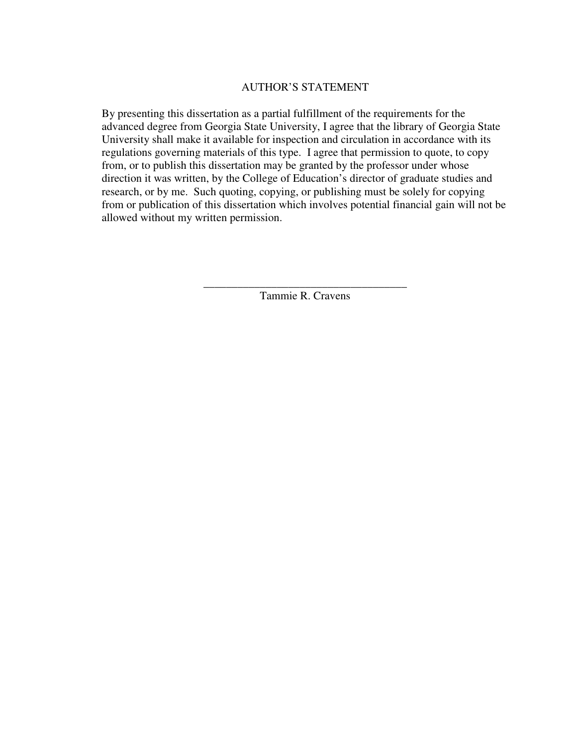## AUTHOR'S STATEMENT

By presenting this dissertation as a partial fulfillment of the requirements for the advanced degree from Georgia State University, I agree that the library of Georgia State University shall make it available for inspection and circulation in accordance with its regulations governing materials of this type. I agree that permission to quote, to copy from, or to publish this dissertation may be granted by the professor under whose direction it was written, by the College of Education's director of graduate studies and research, or by me. Such quoting, copying, or publishing must be solely for copying from or publication of this dissertation which involves potential financial gain will not be allowed without my written permission.

> \_\_\_\_\_\_\_\_\_\_\_\_\_\_\_\_\_\_\_\_\_\_\_\_\_\_\_\_\_\_\_\_\_\_\_\_ Tammie R. Cravens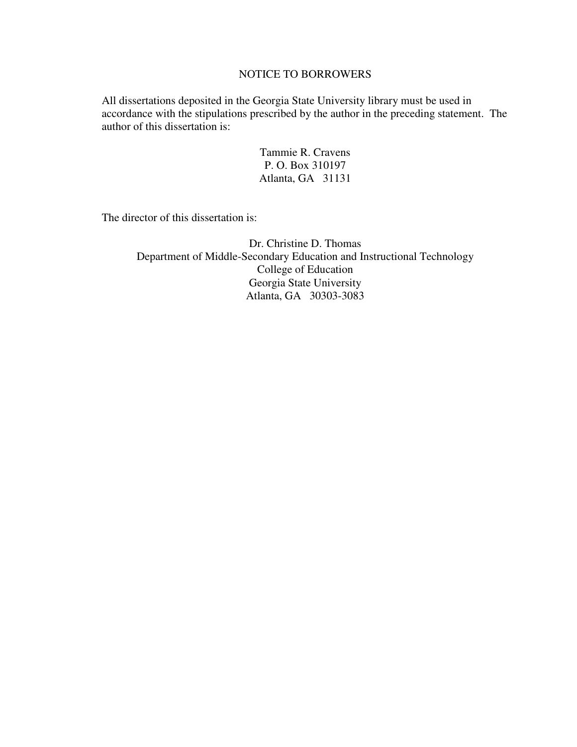## NOTICE TO BORROWERS

All dissertations deposited in the Georgia State University library must be used in accordance with the stipulations prescribed by the author in the preceding statement. The author of this dissertation is:

> Tammie R. Cravens P. O. Box 310197 Atlanta, GA 31131

The director of this dissertation is:

Dr. Christine D. Thomas Department of Middle-Secondary Education and Instructional Technology College of Education Georgia State University Atlanta, GA 30303-3083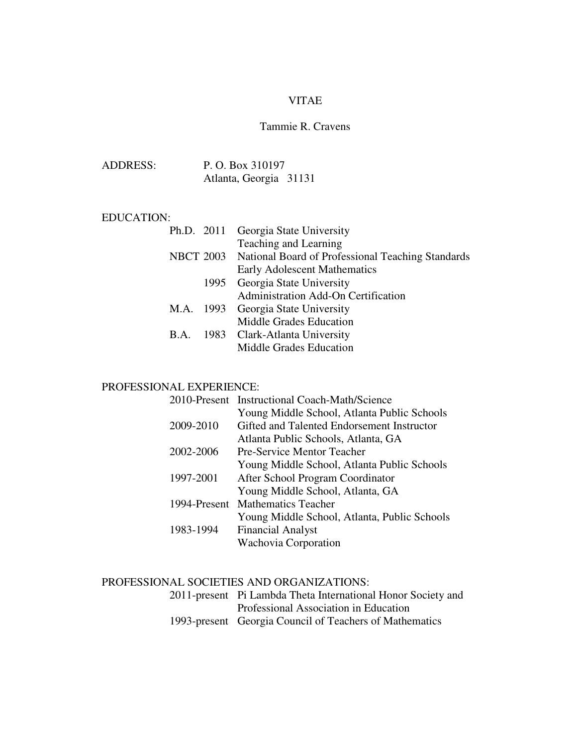## VITAE

## Tammie R. Cravens

| ADDRESS: | P. O. Box 310197       |  |
|----------|------------------------|--|
|          | Atlanta, Georgia 31131 |  |

#### EDUCATION:

|      | Ph.D. 2011 Georgia State University                         |
|------|-------------------------------------------------------------|
|      | Teaching and Learning                                       |
|      | NBCT 2003 National Board of Professional Teaching Standards |
|      | Early Adolescent Mathematics                                |
|      | 1995 Georgia State University                               |
|      | Administration Add-On Certification                         |
|      | M.A. 1993 Georgia State University                          |
|      | Middle Grades Education                                     |
| B.A. | 1983 Clark-Atlanta University                               |
|      | <b>Middle Grades Education</b>                              |
|      |                                                             |

## PROFESSIONAL EXPERIENCE:

|           | 2010-Present Instructional Coach-Math/Science |
|-----------|-----------------------------------------------|
|           | Young Middle School, Atlanta Public Schools   |
| 2009-2010 | Gifted and Talented Endorsement Instructor    |
|           | Atlanta Public Schools, Atlanta, GA           |
| 2002-2006 | Pre-Service Mentor Teacher                    |
|           | Young Middle School, Atlanta Public Schools   |
| 1997-2001 | After School Program Coordinator              |
|           | Young Middle School, Atlanta, GA              |
|           | 1994-Present Mathematics Teacher              |
|           | Young Middle School, Atlanta, Public Schools  |
| 1983-1994 | <b>Financial Analyst</b>                      |
|           | Wachovia Corporation                          |

## PROFESSIONAL SOCIETIES AND ORGANIZATIONS:

| 2011-present Pi Lambda Theta International Honor Society and |
|--------------------------------------------------------------|
| Professional Association in Education                        |
| 1993-present Georgia Council of Teachers of Mathematics      |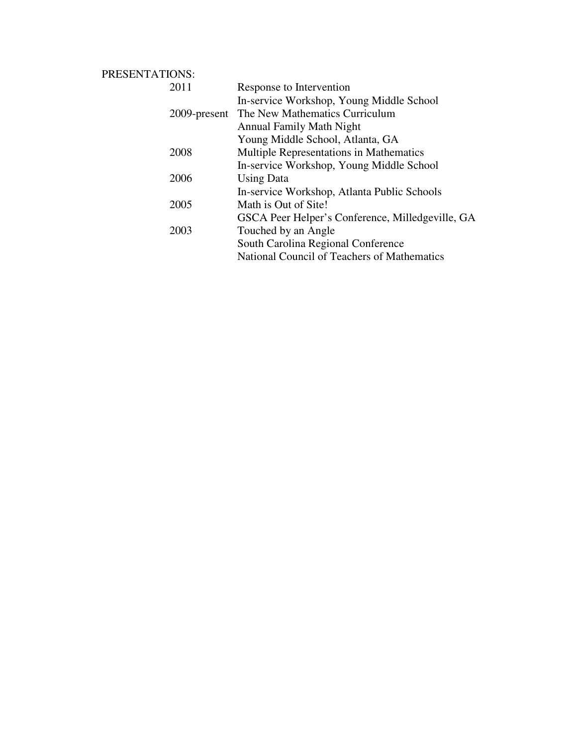## PRESENTATIONS:

| Response to Intervention                         |
|--------------------------------------------------|
| In-service Workshop, Young Middle School         |
| 2009-present The New Mathematics Curriculum      |
| <b>Annual Family Math Night</b>                  |
| Young Middle School, Atlanta, GA                 |
| <b>Multiple Representations in Mathematics</b>   |
| In-service Workshop, Young Middle School         |
| <b>Using Data</b>                                |
| In-service Workshop, Atlanta Public Schools      |
| Math is Out of Site!                             |
| GSCA Peer Helper's Conference, Milledgeville, GA |
| Touched by an Angle                              |
| South Carolina Regional Conference               |
| National Council of Teachers of Mathematics      |
|                                                  |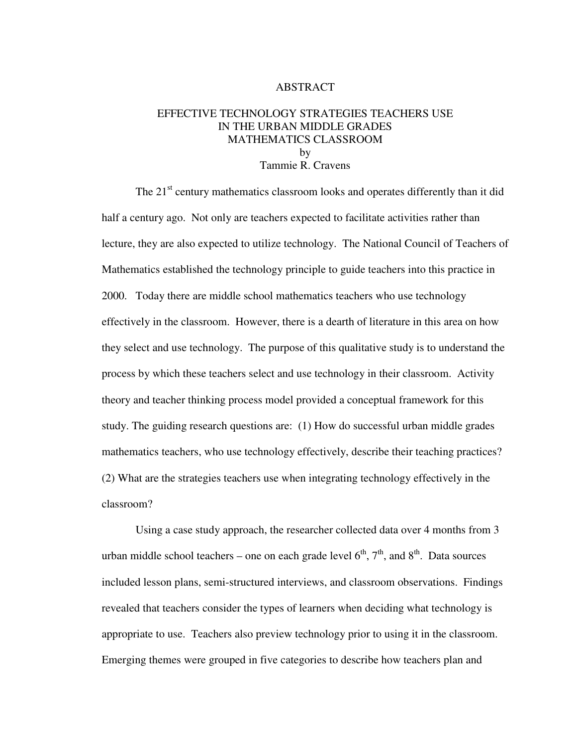## ABSTRACT

## EFFECTIVE TECHNOLOGY STRATEGIES TEACHERS USE IN THE URBAN MIDDLE GRADES MATHEMATICS CLASSROOM by Tammie R. Cravens

The 21<sup>st</sup> century mathematics classroom looks and operates differently than it did half a century ago. Not only are teachers expected to facilitate activities rather than lecture, they are also expected to utilize technology. The National Council of Teachers of Mathematics established the technology principle to guide teachers into this practice in 2000. Today there are middle school mathematics teachers who use technology effectively in the classroom. However, there is a dearth of literature in this area on how they select and use technology. The purpose of this qualitative study is to understand the process by which these teachers select and use technology in their classroom. Activity theory and teacher thinking process model provided a conceptual framework for this study. The guiding research questions are: (1) How do successful urban middle grades mathematics teachers, who use technology effectively, describe their teaching practices? (2) What are the strategies teachers use when integrating technology effectively in the classroom?

 Using a case study approach, the researcher collected data over 4 months from 3 urban middle school teachers – one on each grade level  $6<sup>th</sup>$ ,  $7<sup>th</sup>$ , and  $8<sup>th</sup>$ . Data sources included lesson plans, semi-structured interviews, and classroom observations. Findings revealed that teachers consider the types of learners when deciding what technology is appropriate to use. Teachers also preview technology prior to using it in the classroom. Emerging themes were grouped in five categories to describe how teachers plan and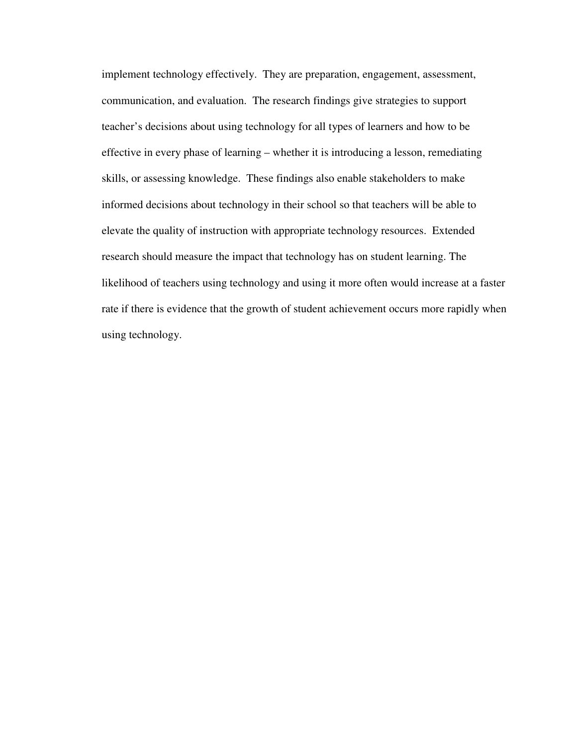implement technology effectively. They are preparation, engagement, assessment, communication, and evaluation. The research findings give strategies to support teacher's decisions about using technology for all types of learners and how to be effective in every phase of learning – whether it is introducing a lesson, remediating skills, or assessing knowledge. These findings also enable stakeholders to make informed decisions about technology in their school so that teachers will be able to elevate the quality of instruction with appropriate technology resources. Extended research should measure the impact that technology has on student learning. The likelihood of teachers using technology and using it more often would increase at a faster rate if there is evidence that the growth of student achievement occurs more rapidly when using technology.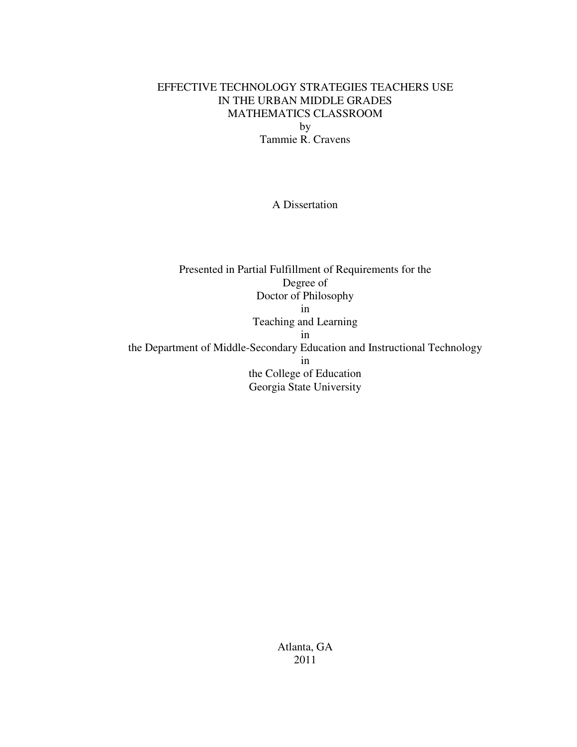## EFFECTIVE TECHNOLOGY STRATEGIES TEACHERS USE IN THE URBAN MIDDLE GRADES MATHEMATICS CLASSROOM by Tammie R. Cravens

A Dissertation

Presented in Partial Fulfillment of Requirements for the Degree of Doctor of Philosophy in Teaching and Learning in the Department of Middle-Secondary Education and Instructional Technology in the College of Education Georgia State University

> Atlanta, GA 2011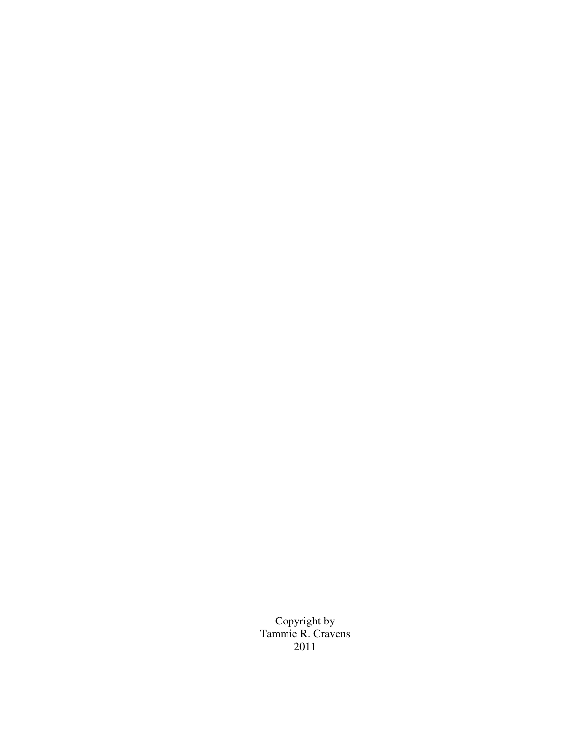Copyright by Tammie R. Cravens 2011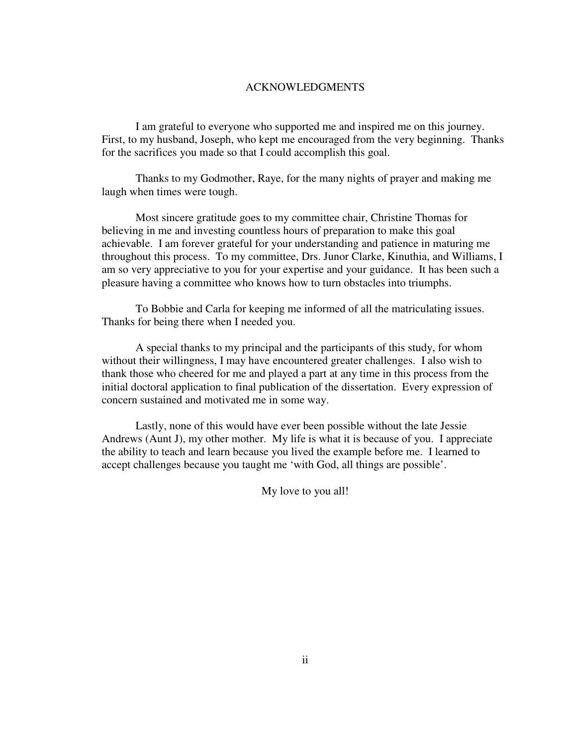#### ACKNOWLEDGMENTS

 I am grateful to everyone who supported me and inspired me on this journey. First, to my husband, Joseph, who kept me encouraged from the very beginning. Thanks for the sacrifices you made so that I could accomplish this goal.

Thanks to my Godmother, Raye, for the many nights of prayer and making me laugh when times were tough.

 Most sincere gratitude goes to my committee chair, Christine Thomas for believing in me and investing countless hours of preparation to make this goal achievable. I am forever grateful for your understanding and patience in maturing me throughout this process. To my committee, Drs. Junor Clarke, Kinuthia, and Williams, I am so very appreciative to you for your expertise and your guidance. It has been such a pleasure having a committee who knows how to turn obstacles into triumphs.

To Bobbie and Carla for keeping me informed of all the matriculating issues. Thanks for being there when I needed you.

 A special thanks to my principal and the participants of this study, for whom without their willingness, I may have encountered greater challenges. I also wish to thank those who cheered for me and played a part at any time in this process from the initial doctoral application to final publication of the dissertation. Every expression of concern sustained and motivated me in some way.

 Lastly, none of this would have ever been possible without the late Jessie Andrews (Aunt J), my other mother. My life is what it is because of you. I appreciate the ability to teach and learn because you lived the example before me. I learned to accept challenges because you taught me 'with God, all things are possible'.

My love to you all!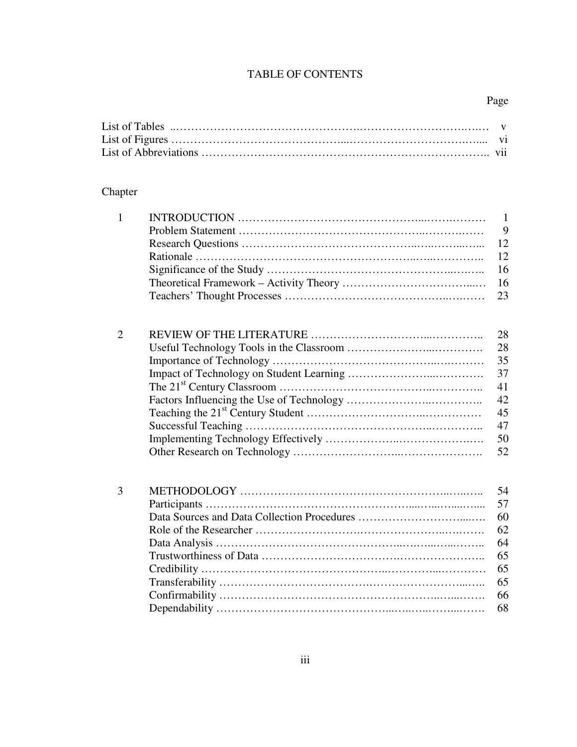## TABLE OF CONTENTS

## Chapter

| $\mathbf{1}$ | $\mathbf{1}$ |
|--------------|--------------|
|              | 9            |
|              | 12           |
|              | 12           |
|              | 16           |
|              | 16           |
|              | 23           |
| 2            | 28           |
|              | 28           |
|              | 35           |
|              | 37           |
|              | 41           |
|              | 42           |
|              | 45           |
|              | 47           |
|              | 50           |
|              | 52           |
| 3            | 54           |
|              | 57           |
|              | 60           |
|              | 62           |
|              | 64           |
|              | 65           |

Credibility …………………………………………..…………...………… 65 Transferability ………………………………….……………………...….. 65 Confirmability …………………………………………………..…...……. 66 Dependability ………………………………………...…..…..……...……. 68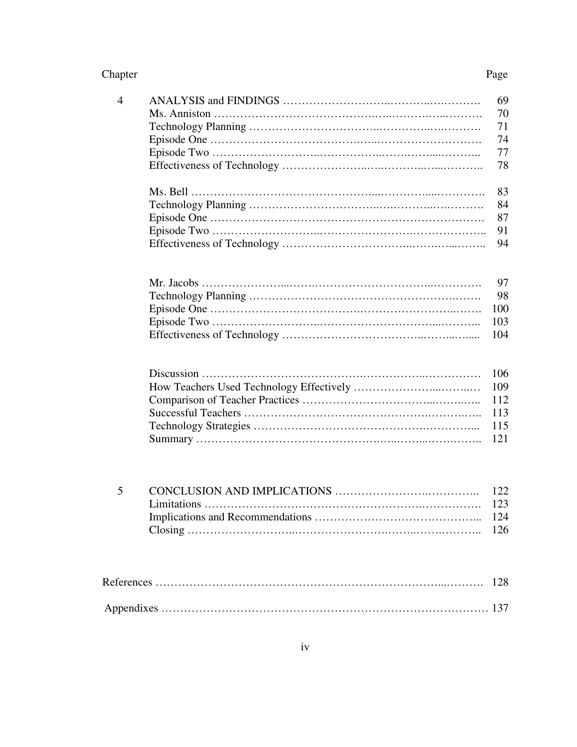#### Chapter Page

| $\overline{4}$ | 69  |
|----------------|-----|
|                | 70  |
|                | 71  |
|                | 74  |
|                | 77  |
|                | 78  |
|                | 83  |
|                | 84  |
|                | 87  |
|                | 91  |
|                | 94  |
|                |     |
|                | 97  |
|                | 98  |
|                | 100 |
|                | 103 |
|                | 104 |
|                | 106 |
|                | 109 |
|                | 112 |
|                | 113 |
|                | 115 |
|                | 121 |
|                |     |
|                |     |
| 5              | 122 |
|                | 123 |
|                | 124 |
|                | 126 |
|                |     |
|                | 128 |
|                | 137 |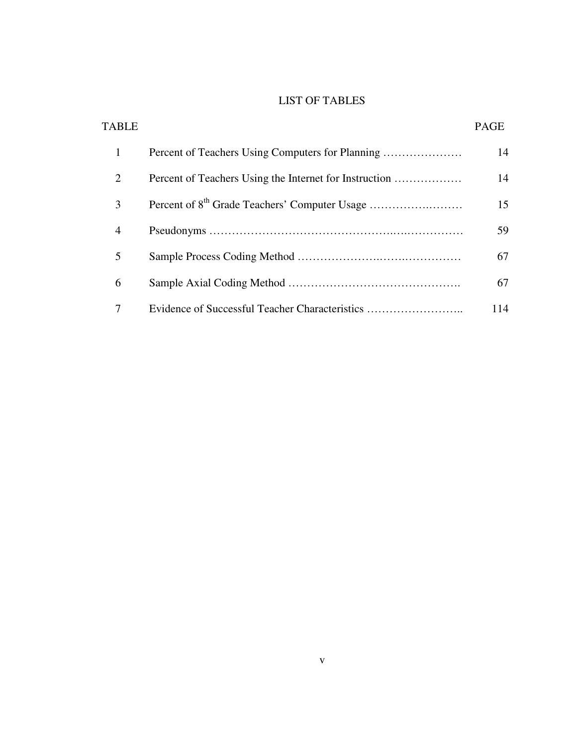## LIST OF TABLES

| TABLE          |                                                        | <b>PAGE</b> |
|----------------|--------------------------------------------------------|-------------|
| 1              |                                                        | 14          |
| 2              | Percent of Teachers Using the Internet for Instruction | 14          |
| 3              |                                                        | 15          |
| $\overline{4}$ |                                                        | 59          |
| 5              |                                                        | 67          |
| 6              |                                                        | 67          |
| 7              | Evidence of Successful Teacher Characteristics         | 114         |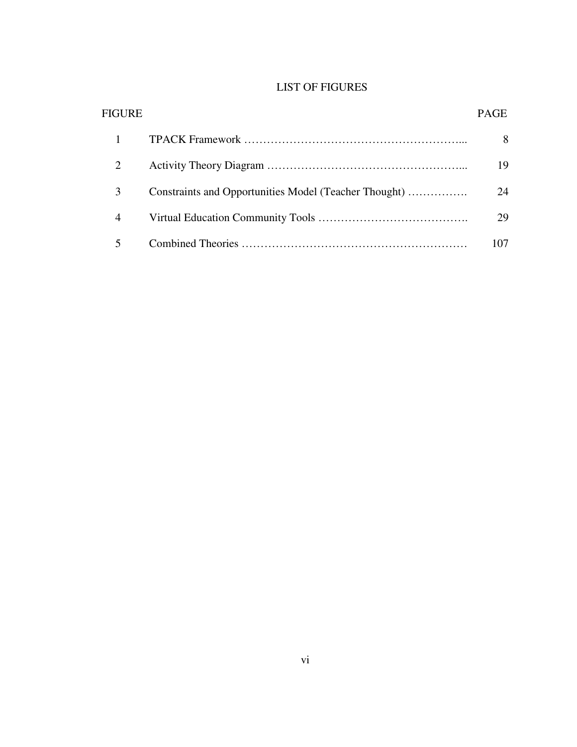## LIST OF FIGURES

| FIGURE         |                                                       | PAGE |
|----------------|-------------------------------------------------------|------|
|                |                                                       | 8    |
| 2              |                                                       | 19   |
| 3              | Constraints and Opportunities Model (Teacher Thought) | 24   |
| $\overline{4}$ |                                                       | 29   |
|                |                                                       | 107  |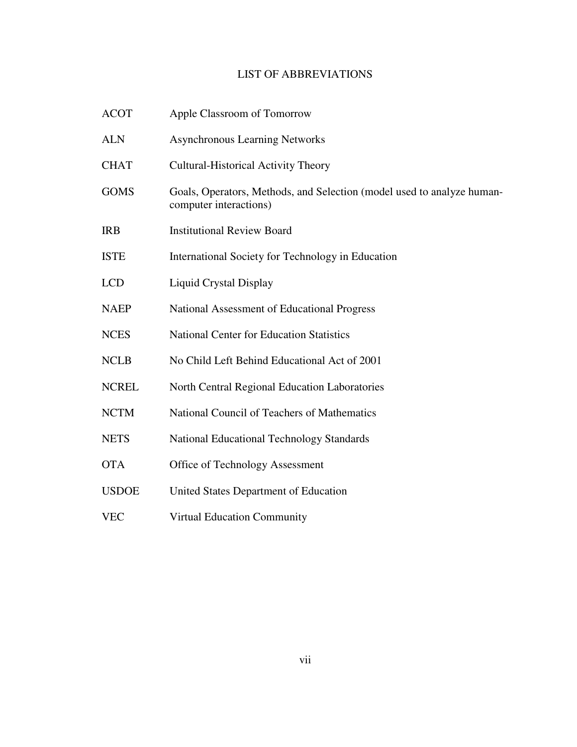## LIST OF ABBREVIATIONS

| <b>ACOT</b>  | Apple Classroom of Tomorrow                                                                      |
|--------------|--------------------------------------------------------------------------------------------------|
| <b>ALN</b>   | <b>Asynchronous Learning Networks</b>                                                            |
| <b>CHAT</b>  | <b>Cultural-Historical Activity Theory</b>                                                       |
| <b>GOMS</b>  | Goals, Operators, Methods, and Selection (model used to analyze human-<br>computer interactions) |
| <b>IRB</b>   | <b>Institutional Review Board</b>                                                                |
| <b>ISTE</b>  | International Society for Technology in Education                                                |
| <b>LCD</b>   | <b>Liquid Crystal Display</b>                                                                    |
| <b>NAEP</b>  | National Assessment of Educational Progress                                                      |
| <b>NCES</b>  | <b>National Center for Education Statistics</b>                                                  |
| <b>NCLB</b>  | No Child Left Behind Educational Act of 2001                                                     |
| <b>NCREL</b> | North Central Regional Education Laboratories                                                    |
| <b>NCTM</b>  | National Council of Teachers of Mathematics                                                      |
| <b>NETS</b>  | <b>National Educational Technology Standards</b>                                                 |
| <b>OTA</b>   | Office of Technology Assessment                                                                  |
| <b>USDOE</b> | United States Department of Education                                                            |
| <b>VEC</b>   | <b>Virtual Education Community</b>                                                               |
|              |                                                                                                  |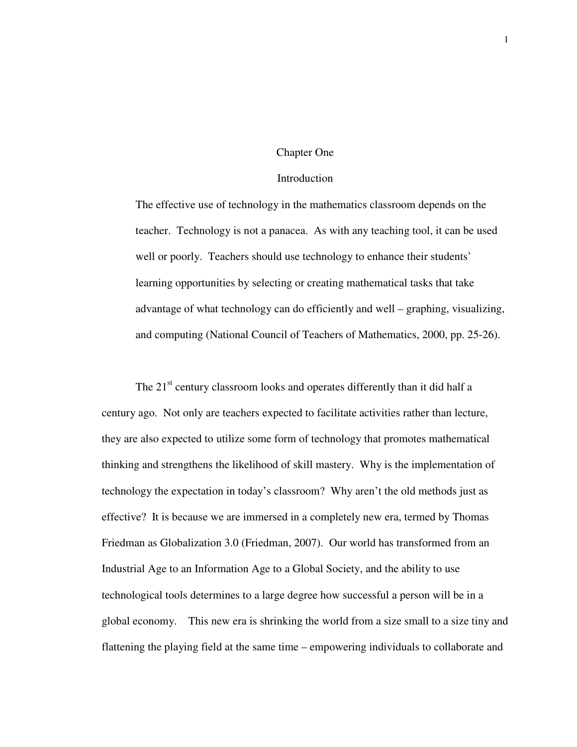#### Chapter One

#### Introduction

The effective use of technology in the mathematics classroom depends on the teacher. Technology is not a panacea. As with any teaching tool, it can be used well or poorly. Teachers should use technology to enhance their students' learning opportunities by selecting or creating mathematical tasks that take advantage of what technology can do efficiently and well – graphing, visualizing, and computing (National Council of Teachers of Mathematics, 2000, pp. 25-26).

The  $21<sup>st</sup>$  century classroom looks and operates differently than it did half a century ago. Not only are teachers expected to facilitate activities rather than lecture, they are also expected to utilize some form of technology that promotes mathematical thinking and strengthens the likelihood of skill mastery. Why is the implementation of technology the expectation in today's classroom? Why aren't the old methods just as effective? It is because we are immersed in a completely new era, termed by Thomas Friedman as Globalization 3.0 (Friedman, 2007). Our world has transformed from an Industrial Age to an Information Age to a Global Society, and the ability to use technological tools determines to a large degree how successful a person will be in a global economy. This new era is shrinking the world from a size small to a size tiny and flattening the playing field at the same time – empowering individuals to collaborate and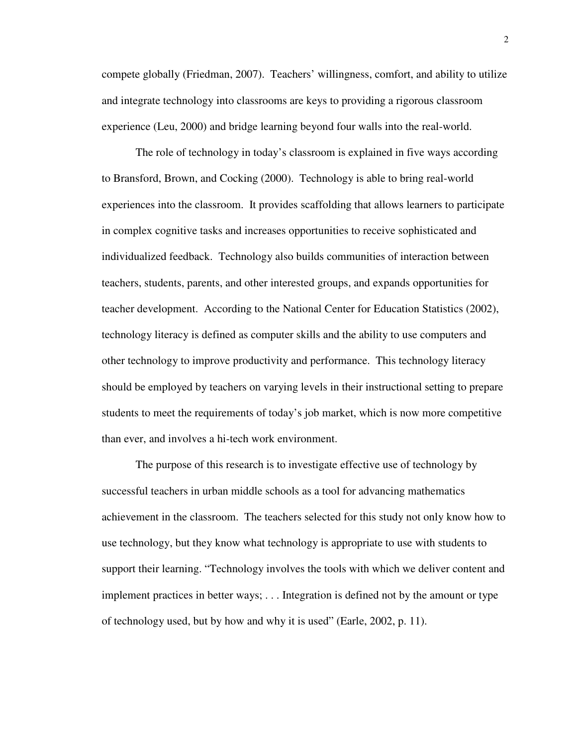compete globally (Friedman, 2007). Teachers' willingness, comfort, and ability to utilize and integrate technology into classrooms are keys to providing a rigorous classroom experience (Leu, 2000) and bridge learning beyond four walls into the real-world.

The role of technology in today's classroom is explained in five ways according to Bransford, Brown, and Cocking (2000). Technology is able to bring real-world experiences into the classroom. It provides scaffolding that allows learners to participate in complex cognitive tasks and increases opportunities to receive sophisticated and individualized feedback. Technology also builds communities of interaction between teachers, students, parents, and other interested groups, and expands opportunities for teacher development. According to the National Center for Education Statistics (2002), technology literacy is defined as computer skills and the ability to use computers and other technology to improve productivity and performance. This technology literacy should be employed by teachers on varying levels in their instructional setting to prepare students to meet the requirements of today's job market, which is now more competitive than ever, and involves a hi-tech work environment.

The purpose of this research is to investigate effective use of technology by successful teachers in urban middle schools as a tool for advancing mathematics achievement in the classroom. The teachers selected for this study not only know how to use technology, but they know what technology is appropriate to use with students to support their learning. "Technology involves the tools with which we deliver content and implement practices in better ways; . . . Integration is defined not by the amount or type of technology used, but by how and why it is used" (Earle, 2002, p. 11).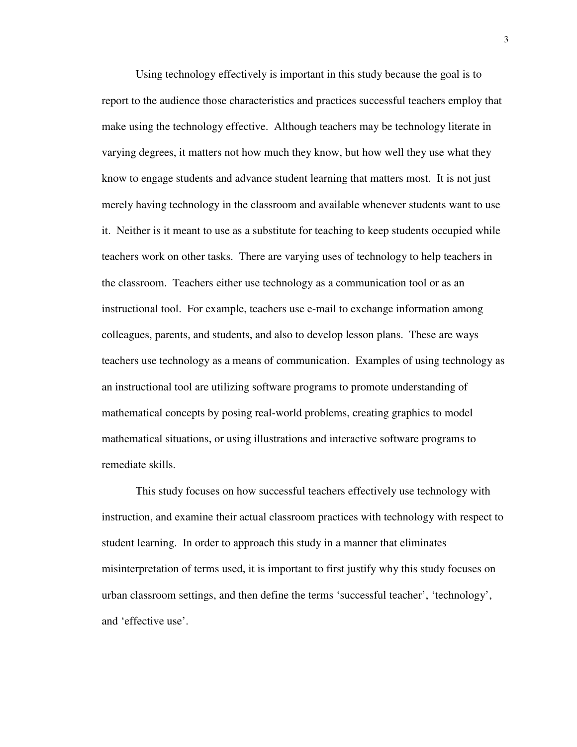Using technology effectively is important in this study because the goal is to report to the audience those characteristics and practices successful teachers employ that make using the technology effective. Although teachers may be technology literate in varying degrees, it matters not how much they know, but how well they use what they know to engage students and advance student learning that matters most. It is not just merely having technology in the classroom and available whenever students want to use it. Neither is it meant to use as a substitute for teaching to keep students occupied while teachers work on other tasks. There are varying uses of technology to help teachers in the classroom. Teachers either use technology as a communication tool or as an instructional tool. For example, teachers use e-mail to exchange information among colleagues, parents, and students, and also to develop lesson plans. These are ways teachers use technology as a means of communication. Examples of using technology as an instructional tool are utilizing software programs to promote understanding of mathematical concepts by posing real-world problems, creating graphics to model mathematical situations, or using illustrations and interactive software programs to remediate skills.

This study focuses on how successful teachers effectively use technology with instruction, and examine their actual classroom practices with technology with respect to student learning. In order to approach this study in a manner that eliminates misinterpretation of terms used, it is important to first justify why this study focuses on urban classroom settings, and then define the terms 'successful teacher', 'technology', and 'effective use'.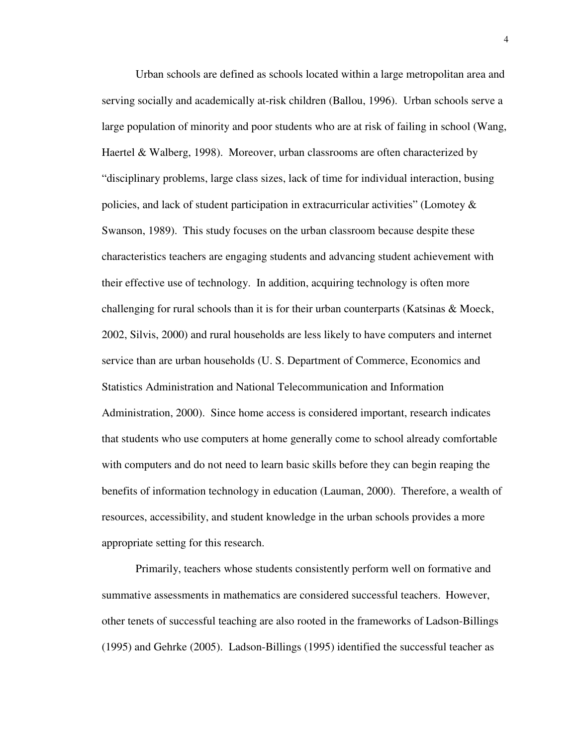Urban schools are defined as schools located within a large metropolitan area and serving socially and academically at-risk children (Ballou, 1996). Urban schools serve a large population of minority and poor students who are at risk of failing in school (Wang, Haertel & Walberg, 1998). Moreover, urban classrooms are often characterized by "disciplinary problems, large class sizes, lack of time for individual interaction, busing policies, and lack of student participation in extracurricular activities" (Lomotey & Swanson, 1989). This study focuses on the urban classroom because despite these characteristics teachers are engaging students and advancing student achievement with their effective use of technology. In addition, acquiring technology is often more challenging for rural schools than it is for their urban counterparts (Katsinas & Moeck, 2002, Silvis, 2000) and rural households are less likely to have computers and internet service than are urban households (U. S. Department of Commerce, Economics and Statistics Administration and National Telecommunication and Information Administration, 2000). Since home access is considered important, research indicates that students who use computers at home generally come to school already comfortable with computers and do not need to learn basic skills before they can begin reaping the benefits of information technology in education (Lauman, 2000). Therefore, a wealth of resources, accessibility, and student knowledge in the urban schools provides a more appropriate setting for this research.

Primarily, teachers whose students consistently perform well on formative and summative assessments in mathematics are considered successful teachers. However, other tenets of successful teaching are also rooted in the frameworks of Ladson-Billings (1995) and Gehrke (2005). Ladson-Billings (1995) identified the successful teacher as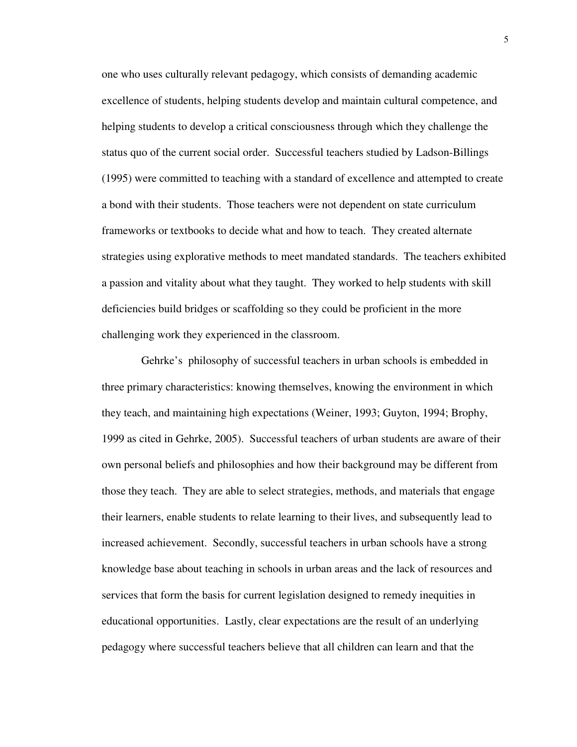one who uses culturally relevant pedagogy, which consists of demanding academic excellence of students, helping students develop and maintain cultural competence, and helping students to develop a critical consciousness through which they challenge the status quo of the current social order. Successful teachers studied by Ladson-Billings (1995) were committed to teaching with a standard of excellence and attempted to create a bond with their students. Those teachers were not dependent on state curriculum frameworks or textbooks to decide what and how to teach. They created alternate strategies using explorative methods to meet mandated standards. The teachers exhibited a passion and vitality about what they taught. They worked to help students with skill deficiencies build bridges or scaffolding so they could be proficient in the more challenging work they experienced in the classroom.

 Gehrke's philosophy of successful teachers in urban schools is embedded in three primary characteristics: knowing themselves, knowing the environment in which they teach, and maintaining high expectations (Weiner, 1993; Guyton, 1994; Brophy, 1999 as cited in Gehrke, 2005). Successful teachers of urban students are aware of their own personal beliefs and philosophies and how their background may be different from those they teach. They are able to select strategies, methods, and materials that engage their learners, enable students to relate learning to their lives, and subsequently lead to increased achievement. Secondly, successful teachers in urban schools have a strong knowledge base about teaching in schools in urban areas and the lack of resources and services that form the basis for current legislation designed to remedy inequities in educational opportunities. Lastly, clear expectations are the result of an underlying pedagogy where successful teachers believe that all children can learn and that the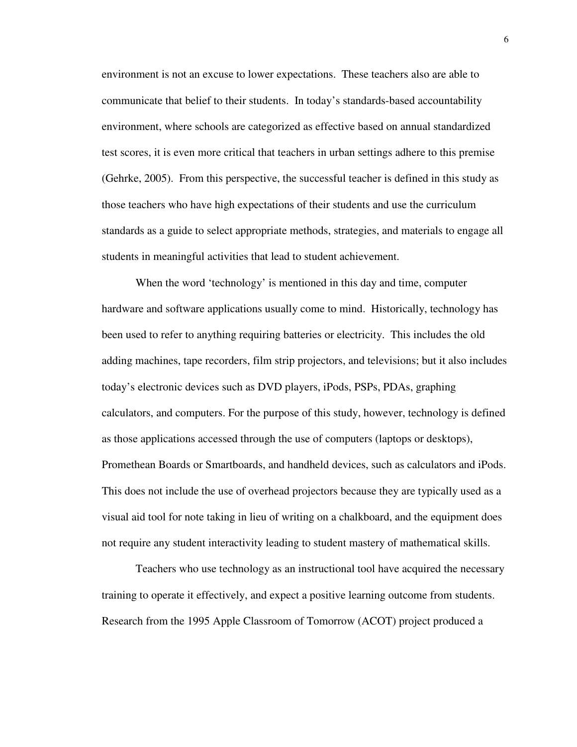environment is not an excuse to lower expectations. These teachers also are able to communicate that belief to their students. In today's standards-based accountability environment, where schools are categorized as effective based on annual standardized test scores, it is even more critical that teachers in urban settings adhere to this premise (Gehrke, 2005). From this perspective, the successful teacher is defined in this study as those teachers who have high expectations of their students and use the curriculum standards as a guide to select appropriate methods, strategies, and materials to engage all students in meaningful activities that lead to student achievement.

When the word 'technology' is mentioned in this day and time, computer hardware and software applications usually come to mind. Historically, technology has been used to refer to anything requiring batteries or electricity. This includes the old adding machines, tape recorders, film strip projectors, and televisions; but it also includes today's electronic devices such as DVD players, iPods, PSPs, PDAs, graphing calculators, and computers. For the purpose of this study, however, technology is defined as those applications accessed through the use of computers (laptops or desktops), Promethean Boards or Smartboards, and handheld devices, such as calculators and iPods. This does not include the use of overhead projectors because they are typically used as a visual aid tool for note taking in lieu of writing on a chalkboard, and the equipment does not require any student interactivity leading to student mastery of mathematical skills.

Teachers who use technology as an instructional tool have acquired the necessary training to operate it effectively, and expect a positive learning outcome from students. Research from the 1995 Apple Classroom of Tomorrow (ACOT) project produced a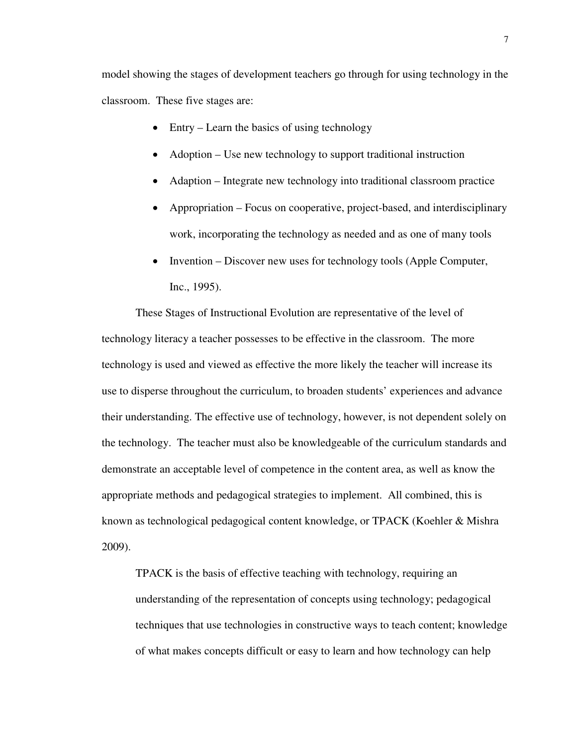model showing the stages of development teachers go through for using technology in the classroom. These five stages are:

- Entry Learn the basics of using technology
- Adoption Use new technology to support traditional instruction
- Adaption Integrate new technology into traditional classroom practice
- Appropriation Focus on cooperative, project-based, and interdisciplinary work, incorporating the technology as needed and as one of many tools
- Invention Discover new uses for technology tools (Apple Computer, Inc., 1995).

These Stages of Instructional Evolution are representative of the level of technology literacy a teacher possesses to be effective in the classroom. The more technology is used and viewed as effective the more likely the teacher will increase its use to disperse throughout the curriculum, to broaden students' experiences and advance their understanding. The effective use of technology, however, is not dependent solely on the technology. The teacher must also be knowledgeable of the curriculum standards and demonstrate an acceptable level of competence in the content area, as well as know the appropriate methods and pedagogical strategies to implement. All combined, this is known as technological pedagogical content knowledge, or TPACK (Koehler & Mishra 2009).

TPACK is the basis of effective teaching with technology, requiring an understanding of the representation of concepts using technology; pedagogical techniques that use technologies in constructive ways to teach content; knowledge of what makes concepts difficult or easy to learn and how technology can help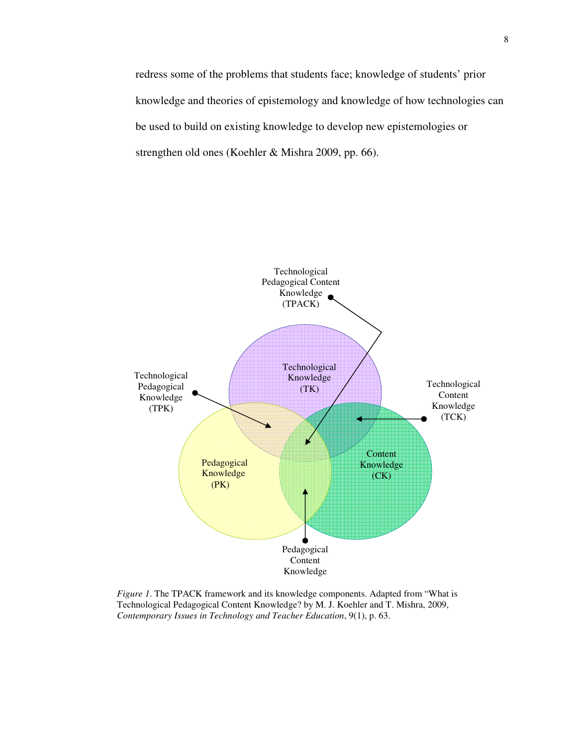redress some of the problems that students face; knowledge of students' prior knowledge and theories of epistemology and knowledge of how technologies can be used to build on existing knowledge to develop new epistemologies or strengthen old ones (Koehler & Mishra 2009, pp. 66).



*Figure 1*. The TPACK framework and its knowledge components. Adapted from "What is Technological Pedagogical Content Knowledge? by M. J. Koehler and T. Mishra, 2009, *Contemporary Issues in Technology and Teacher Education*, 9(1), p. 63.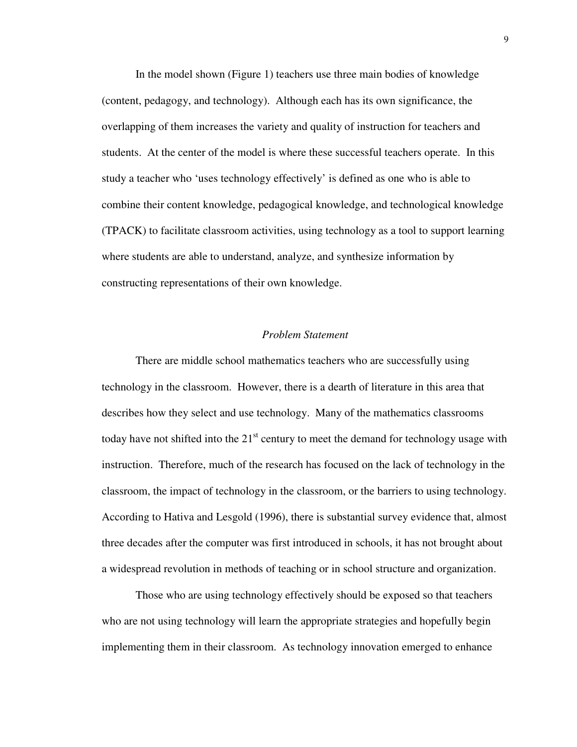In the model shown (Figure 1) teachers use three main bodies of knowledge (content, pedagogy, and technology). Although each has its own significance, the overlapping of them increases the variety and quality of instruction for teachers and students. At the center of the model is where these successful teachers operate. In this study a teacher who 'uses technology effectively' is defined as one who is able to combine their content knowledge, pedagogical knowledge, and technological knowledge (TPACK) to facilitate classroom activities, using technology as a tool to support learning where students are able to understand, analyze, and synthesize information by constructing representations of their own knowledge.

#### *Problem Statement*

There are middle school mathematics teachers who are successfully using technology in the classroom. However, there is a dearth of literature in this area that describes how they select and use technology. Many of the mathematics classrooms today have not shifted into the  $21<sup>st</sup>$  century to meet the demand for technology usage with instruction. Therefore, much of the research has focused on the lack of technology in the classroom, the impact of technology in the classroom, or the barriers to using technology. According to Hativa and Lesgold (1996), there is substantial survey evidence that, almost three decades after the computer was first introduced in schools, it has not brought about a widespread revolution in methods of teaching or in school structure and organization.

Those who are using technology effectively should be exposed so that teachers who are not using technology will learn the appropriate strategies and hopefully begin implementing them in their classroom. As technology innovation emerged to enhance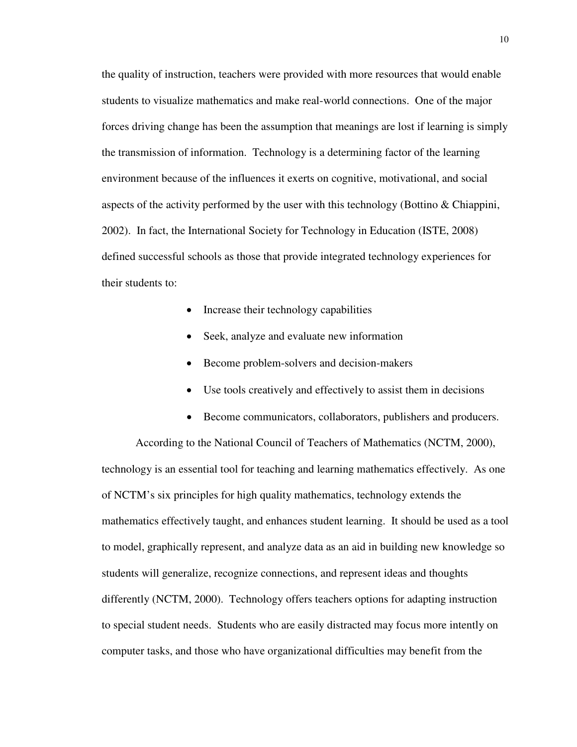the quality of instruction, teachers were provided with more resources that would enable students to visualize mathematics and make real-world connections. One of the major forces driving change has been the assumption that meanings are lost if learning is simply the transmission of information. Technology is a determining factor of the learning environment because of the influences it exerts on cognitive, motivational, and social aspects of the activity performed by the user with this technology (Bottino  $&$  Chiappini, 2002). In fact, the International Society for Technology in Education (ISTE, 2008) defined successful schools as those that provide integrated technology experiences for their students to:

- Increase their technology capabilities
- Seek, analyze and evaluate new information
- Become problem-solvers and decision-makers
- Use tools creatively and effectively to assist them in decisions
- Become communicators, collaborators, publishers and producers.

According to the National Council of Teachers of Mathematics (NCTM, 2000), technology is an essential tool for teaching and learning mathematics effectively. As one of NCTM's six principles for high quality mathematics, technology extends the mathematics effectively taught, and enhances student learning. It should be used as a tool to model, graphically represent, and analyze data as an aid in building new knowledge so students will generalize, recognize connections, and represent ideas and thoughts differently (NCTM, 2000). Technology offers teachers options for adapting instruction to special student needs. Students who are easily distracted may focus more intently on computer tasks, and those who have organizational difficulties may benefit from the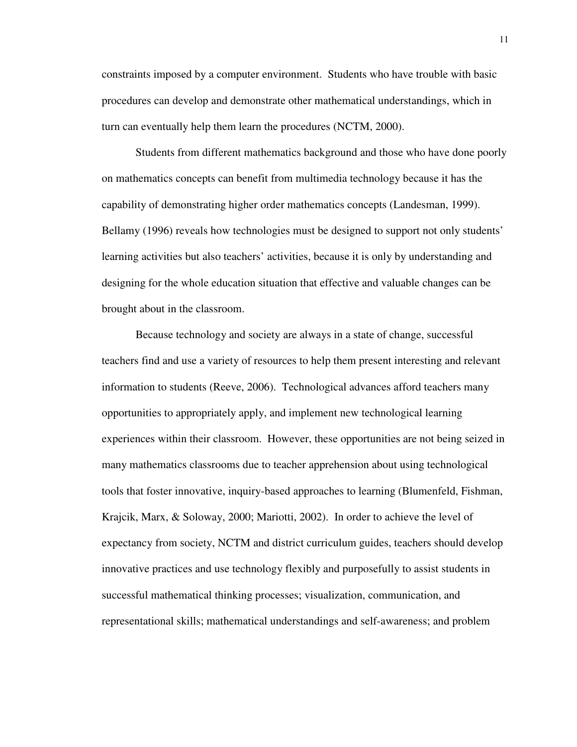constraints imposed by a computer environment. Students who have trouble with basic procedures can develop and demonstrate other mathematical understandings, which in turn can eventually help them learn the procedures (NCTM, 2000).

Students from different mathematics background and those who have done poorly on mathematics concepts can benefit from multimedia technology because it has the capability of demonstrating higher order mathematics concepts (Landesman, 1999). Bellamy (1996) reveals how technologies must be designed to support not only students' learning activities but also teachers' activities, because it is only by understanding and designing for the whole education situation that effective and valuable changes can be brought about in the classroom.

Because technology and society are always in a state of change, successful teachers find and use a variety of resources to help them present interesting and relevant information to students (Reeve, 2006). Technological advances afford teachers many opportunities to appropriately apply, and implement new technological learning experiences within their classroom. However, these opportunities are not being seized in many mathematics classrooms due to teacher apprehension about using technological tools that foster innovative, inquiry-based approaches to learning (Blumenfeld, Fishman, Krajcik, Marx, & Soloway, 2000; Mariotti, 2002). In order to achieve the level of expectancy from society, NCTM and district curriculum guides, teachers should develop innovative practices and use technology flexibly and purposefully to assist students in successful mathematical thinking processes; visualization, communication, and representational skills; mathematical understandings and self-awareness; and problem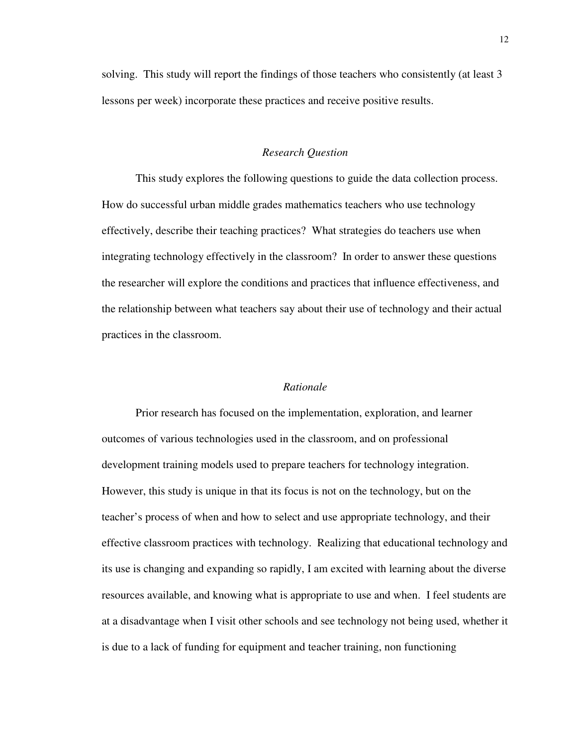solving. This study will report the findings of those teachers who consistently (at least 3 lessons per week) incorporate these practices and receive positive results.

#### *Research Question*

This study explores the following questions to guide the data collection process. How do successful urban middle grades mathematics teachers who use technology effectively, describe their teaching practices? What strategies do teachers use when integrating technology effectively in the classroom? In order to answer these questions the researcher will explore the conditions and practices that influence effectiveness, and the relationship between what teachers say about their use of technology and their actual practices in the classroom.

#### *Rationale*

Prior research has focused on the implementation, exploration, and learner outcomes of various technologies used in the classroom, and on professional development training models used to prepare teachers for technology integration. However, this study is unique in that its focus is not on the technology, but on the teacher's process of when and how to select and use appropriate technology, and their effective classroom practices with technology. Realizing that educational technology and its use is changing and expanding so rapidly, I am excited with learning about the diverse resources available, and knowing what is appropriate to use and when. I feel students are at a disadvantage when I visit other schools and see technology not being used, whether it is due to a lack of funding for equipment and teacher training, non functioning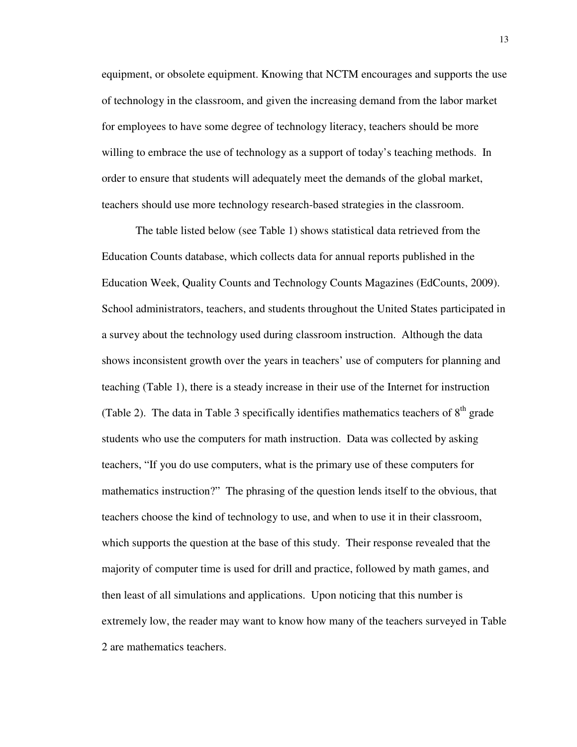equipment, or obsolete equipment. Knowing that NCTM encourages and supports the use of technology in the classroom, and given the increasing demand from the labor market for employees to have some degree of technology literacy, teachers should be more willing to embrace the use of technology as a support of today's teaching methods. In order to ensure that students will adequately meet the demands of the global market, teachers should use more technology research-based strategies in the classroom.

The table listed below (see Table 1) shows statistical data retrieved from the Education Counts database, which collects data for annual reports published in the Education Week, Quality Counts and Technology Counts Magazines (EdCounts, 2009). School administrators, teachers, and students throughout the United States participated in a survey about the technology used during classroom instruction. Although the data shows inconsistent growth over the years in teachers' use of computers for planning and teaching (Table 1), there is a steady increase in their use of the Internet for instruction (Table 2). The data in Table 3 specifically identifies mathematics teachers of  $8<sup>th</sup>$  grade students who use the computers for math instruction. Data was collected by asking teachers, "If you do use computers, what is the primary use of these computers for mathematics instruction?" The phrasing of the question lends itself to the obvious, that teachers choose the kind of technology to use, and when to use it in their classroom, which supports the question at the base of this study. Their response revealed that the majority of computer time is used for drill and practice, followed by math games, and then least of all simulations and applications. Upon noticing that this number is extremely low, the reader may want to know how many of the teachers surveyed in Table 2 are mathematics teachers.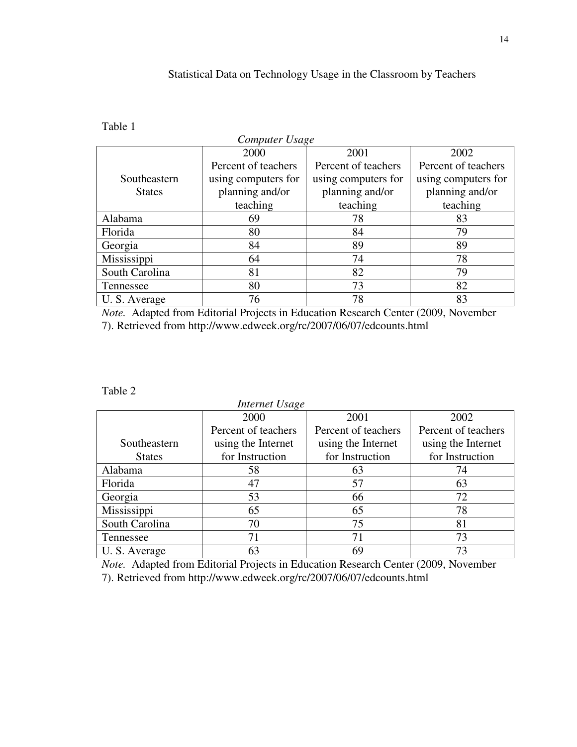## Statistical Data on Technology Usage in the Classroom by Teachers

## Table 1

| Computer Usage |                     |                     |                     |  |  |
|----------------|---------------------|---------------------|---------------------|--|--|
|                | 2000                | 2001                | 2002                |  |  |
|                | Percent of teachers | Percent of teachers | Percent of teachers |  |  |
| Southeastern   | using computers for | using computers for | using computers for |  |  |
| <b>States</b>  | planning and/or     | planning and/or     | planning and/or     |  |  |
|                | teaching            | teaching            | teaching            |  |  |
| Alabama        | 69                  | 78                  | 83                  |  |  |
| Florida        | 80                  | 84                  | 79                  |  |  |
| Georgia        | 84                  | 89                  | 89                  |  |  |
| Mississippi    | 64                  | 74                  | 78                  |  |  |
| South Carolina | 81                  | 82                  | 79                  |  |  |
| Tennessee      | 80                  | 73                  | 82                  |  |  |
| U. S. Average  | 76                  | 78                  | 83                  |  |  |

*Note.* Adapted from Editorial Projects in Education Research Center (2009, November 7). Retrieved from http://www.edweek.org/rc/2007/06/07/edcounts.html

#### Table 2

 *Internet Usage* Southeastern States 2000 Percent of teachers using the Internet for Instruction 2001 Percent of teachers using the Internet for Instruction 2002 Percent of teachers using the Internet for Instruction Alabama 1 58 63 74 Florida 17 47 57 63 Georgia 1 53 66 72 Mississippi 65 65 78 South Carolina 70 75 81 Tennessee 71 71 73 U. S. Average 63 69 73

*Note.* Adapted from Editorial Projects in Education Research Center (2009, November 7). Retrieved from http://www.edweek.org/rc/2007/06/07/edcounts.html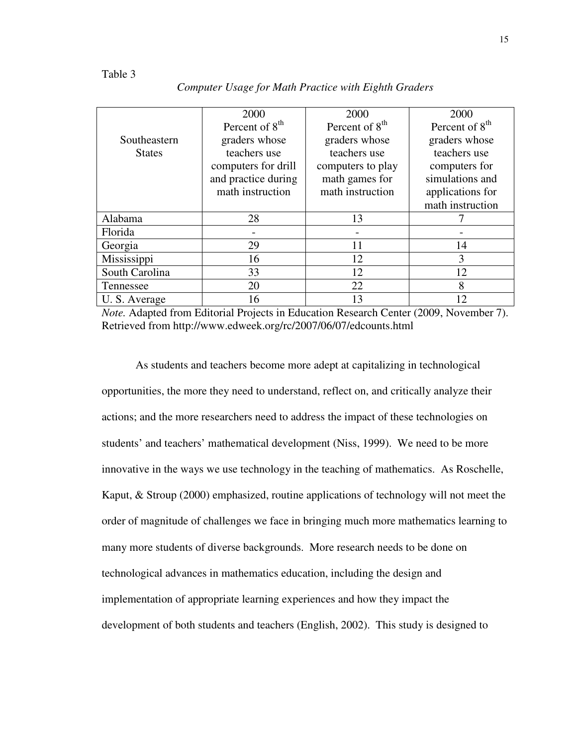|                | 2000                       | 2000                       | 2000                       |
|----------------|----------------------------|----------------------------|----------------------------|
|                | Percent of 8 <sup>th</sup> | Percent of 8 <sup>th</sup> | Percent of 8 <sup>th</sup> |
| Southeastern   | graders whose              | graders whose              | graders whose              |
| <b>States</b>  | teachers use               | teachers use               | teachers use               |
|                | computers for drill        | computers to play          | computers for              |
|                | and practice during        | math games for             | simulations and            |
|                | math instruction           | math instruction           | applications for           |
|                |                            |                            | math instruction           |
| Alabama        | 28                         | 13                         |                            |
| Florida        |                            |                            |                            |
| Georgia        | 29                         | 11                         | 14                         |
| Mississippi    | 16                         | 12                         | 3                          |
| South Carolina | 33                         | 12                         | 12                         |
| Tennessee      | 20                         | 22                         | 8                          |
| U.S. Average   | 16                         | 13                         | 12                         |

*Computer Usage for Math Practice with Eighth Graders* 

*Note.* Adapted from Editorial Projects in Education Research Center (2009, November 7). Retrieved from http://www.edweek.org/rc/2007/06/07/edcounts.html

As students and teachers become more adept at capitalizing in technological opportunities, the more they need to understand, reflect on, and critically analyze their actions; and the more researchers need to address the impact of these technologies on students' and teachers' mathematical development (Niss, 1999). We need to be more innovative in the ways we use technology in the teaching of mathematics. As Roschelle, Kaput, & Stroup (2000) emphasized, routine applications of technology will not meet the order of magnitude of challenges we face in bringing much more mathematics learning to many more students of diverse backgrounds. More research needs to be done on technological advances in mathematics education, including the design and implementation of appropriate learning experiences and how they impact the development of both students and teachers (English, 2002). This study is designed to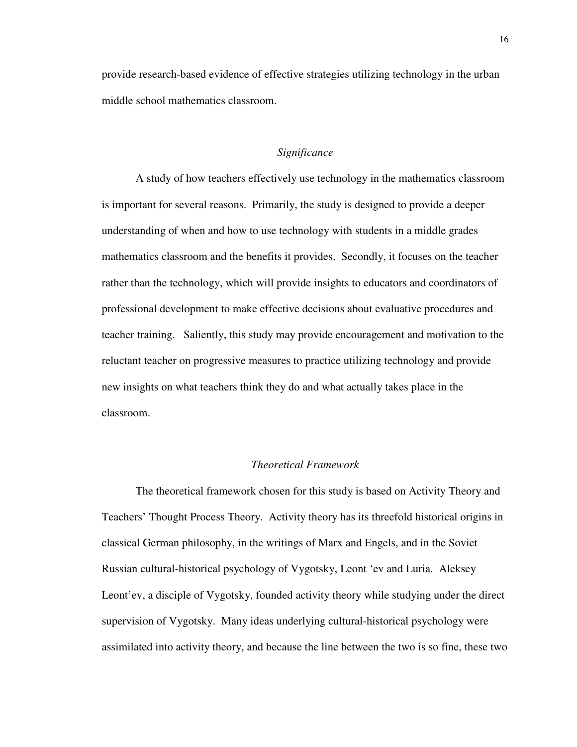provide research-based evidence of effective strategies utilizing technology in the urban middle school mathematics classroom.

#### *Significance*

A study of how teachers effectively use technology in the mathematics classroom is important for several reasons. Primarily, the study is designed to provide a deeper understanding of when and how to use technology with students in a middle grades mathematics classroom and the benefits it provides. Secondly, it focuses on the teacher rather than the technology, which will provide insights to educators and coordinators of professional development to make effective decisions about evaluative procedures and teacher training. Saliently, this study may provide encouragement and motivation to the reluctant teacher on progressive measures to practice utilizing technology and provide new insights on what teachers think they do and what actually takes place in the classroom.

## *Theoretical Framework*

The theoretical framework chosen for this study is based on Activity Theory and Teachers' Thought Process Theory. Activity theory has its threefold historical origins in classical German philosophy, in the writings of Marx and Engels, and in the Soviet Russian cultural-historical psychology of Vygotsky, Leont 'ev and Luria. Aleksey Leont'ev, a disciple of Vygotsky, founded activity theory while studying under the direct supervision of Vygotsky. Many ideas underlying cultural-historical psychology were assimilated into activity theory, and because the line between the two is so fine, these two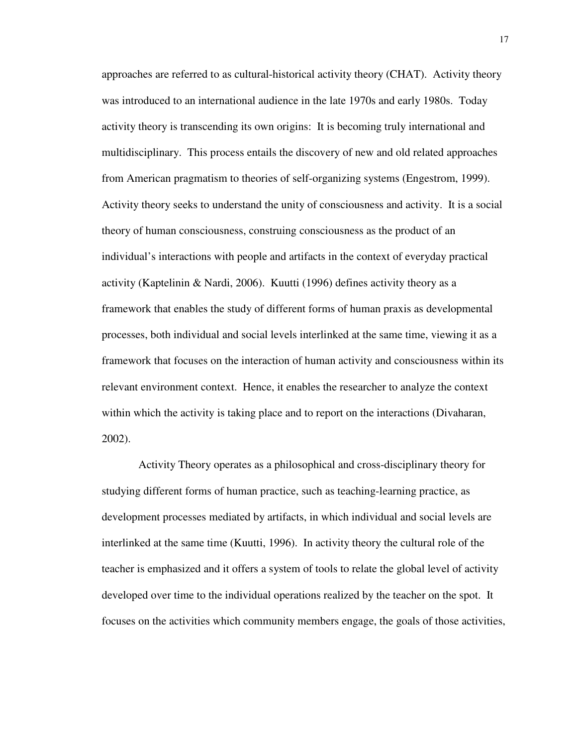approaches are referred to as cultural-historical activity theory (CHAT). Activity theory was introduced to an international audience in the late 1970s and early 1980s. Today activity theory is transcending its own origins: It is becoming truly international and multidisciplinary. This process entails the discovery of new and old related approaches from American pragmatism to theories of self-organizing systems (Engestrom, 1999). Activity theory seeks to understand the unity of consciousness and activity. It is a social theory of human consciousness, construing consciousness as the product of an individual's interactions with people and artifacts in the context of everyday practical activity (Kaptelinin & Nardi, 2006). Kuutti (1996) defines activity theory as a framework that enables the study of different forms of human praxis as developmental processes, both individual and social levels interlinked at the same time, viewing it as a framework that focuses on the interaction of human activity and consciousness within its relevant environment context. Hence, it enables the researcher to analyze the context within which the activity is taking place and to report on the interactions (Divaharan, 2002).

 Activity Theory operates as a philosophical and cross-disciplinary theory for studying different forms of human practice, such as teaching-learning practice, as development processes mediated by artifacts, in which individual and social levels are interlinked at the same time (Kuutti, 1996). In activity theory the cultural role of the teacher is emphasized and it offers a system of tools to relate the global level of activity developed over time to the individual operations realized by the teacher on the spot. It focuses on the activities which community members engage, the goals of those activities,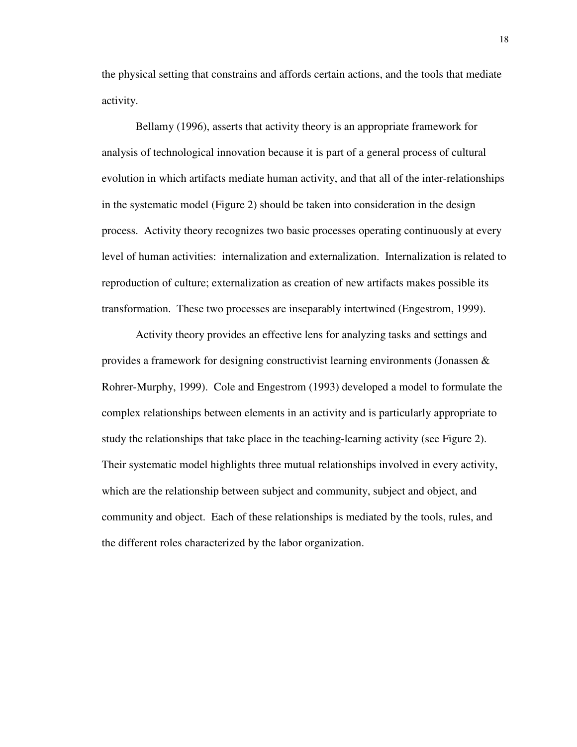the physical setting that constrains and affords certain actions, and the tools that mediate activity.

Bellamy (1996), asserts that activity theory is an appropriate framework for analysis of technological innovation because it is part of a general process of cultural evolution in which artifacts mediate human activity, and that all of the inter-relationships in the systematic model (Figure 2) should be taken into consideration in the design process. Activity theory recognizes two basic processes operating continuously at every level of human activities: internalization and externalization. Internalization is related to reproduction of culture; externalization as creation of new artifacts makes possible its transformation. These two processes are inseparably intertwined (Engestrom, 1999).

Activity theory provides an effective lens for analyzing tasks and settings and provides a framework for designing constructivist learning environments (Jonassen & Rohrer-Murphy, 1999). Cole and Engestrom (1993) developed a model to formulate the complex relationships between elements in an activity and is particularly appropriate to study the relationships that take place in the teaching-learning activity (see Figure 2). Their systematic model highlights three mutual relationships involved in every activity, which are the relationship between subject and community, subject and object, and community and object. Each of these relationships is mediated by the tools, rules, and the different roles characterized by the labor organization.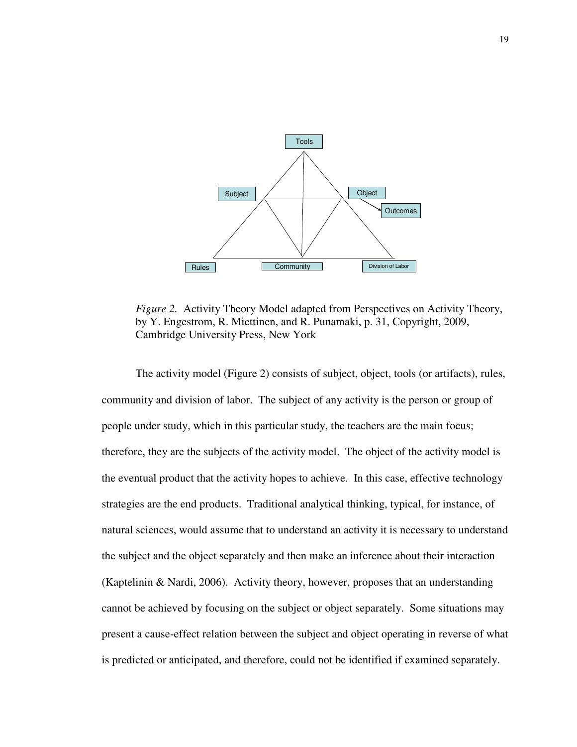

*Figure 2.* Activity Theory Model adapted from Perspectives on Activity Theory, by Y. Engestrom, R. Miettinen, and R. Punamaki, p. 31, Copyright, 2009, Cambridge University Press, New York

The activity model (Figure 2) consists of subject, object, tools (or artifacts), rules, community and division of labor. The subject of any activity is the person or group of people under study, which in this particular study, the teachers are the main focus; therefore, they are the subjects of the activity model. The object of the activity model is the eventual product that the activity hopes to achieve. In this case, effective technology strategies are the end products. Traditional analytical thinking, typical, for instance, of natural sciences, would assume that to understand an activity it is necessary to understand the subject and the object separately and then make an inference about their interaction (Kaptelinin & Nardi, 2006). Activity theory, however, proposes that an understanding cannot be achieved by focusing on the subject or object separately. Some situations may present a cause-effect relation between the subject and object operating in reverse of what is predicted or anticipated, and therefore, could not be identified if examined separately.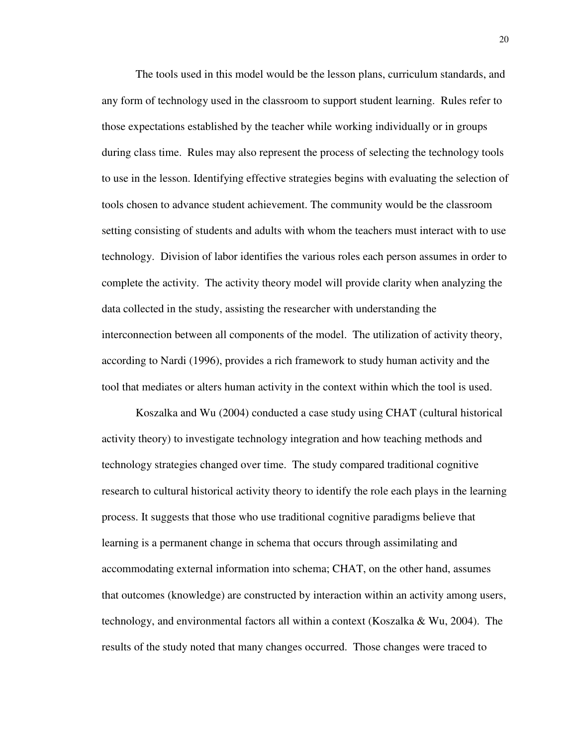The tools used in this model would be the lesson plans, curriculum standards, and any form of technology used in the classroom to support student learning. Rules refer to those expectations established by the teacher while working individually or in groups during class time. Rules may also represent the process of selecting the technology tools to use in the lesson. Identifying effective strategies begins with evaluating the selection of tools chosen to advance student achievement. The community would be the classroom setting consisting of students and adults with whom the teachers must interact with to use technology. Division of labor identifies the various roles each person assumes in order to complete the activity. The activity theory model will provide clarity when analyzing the data collected in the study, assisting the researcher with understanding the interconnection between all components of the model. The utilization of activity theory, according to Nardi (1996), provides a rich framework to study human activity and the tool that mediates or alters human activity in the context within which the tool is used.

Koszalka and Wu (2004) conducted a case study using CHAT (cultural historical activity theory) to investigate technology integration and how teaching methods and technology strategies changed over time. The study compared traditional cognitive research to cultural historical activity theory to identify the role each plays in the learning process. It suggests that those who use traditional cognitive paradigms believe that learning is a permanent change in schema that occurs through assimilating and accommodating external information into schema; CHAT, on the other hand, assumes that outcomes (knowledge) are constructed by interaction within an activity among users, technology, and environmental factors all within a context (Koszalka & Wu, 2004). The results of the study noted that many changes occurred. Those changes were traced to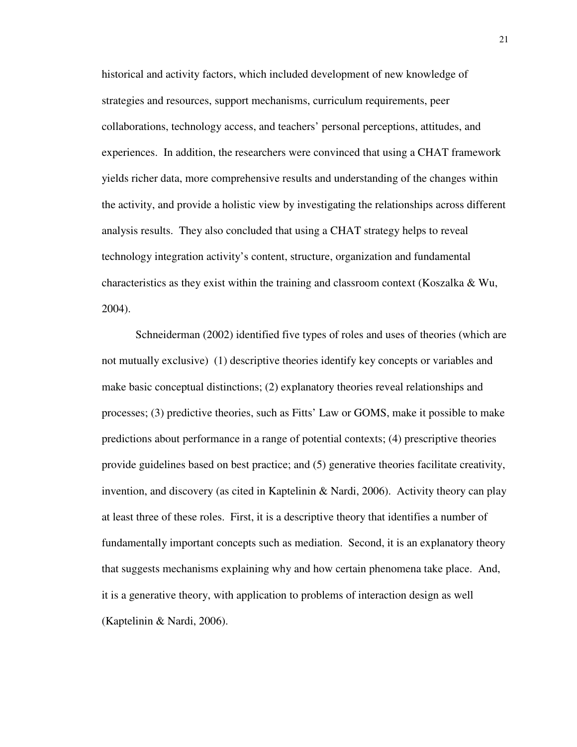historical and activity factors, which included development of new knowledge of strategies and resources, support mechanisms, curriculum requirements, peer collaborations, technology access, and teachers' personal perceptions, attitudes, and experiences. In addition, the researchers were convinced that using a CHAT framework yields richer data, more comprehensive results and understanding of the changes within the activity, and provide a holistic view by investigating the relationships across different analysis results. They also concluded that using a CHAT strategy helps to reveal technology integration activity's content, structure, organization and fundamental characteristics as they exist within the training and classroom context (Koszalka & Wu, 2004).

Schneiderman (2002) identified five types of roles and uses of theories (which are not mutually exclusive) (1) descriptive theories identify key concepts or variables and make basic conceptual distinctions; (2) explanatory theories reveal relationships and processes; (3) predictive theories, such as Fitts' Law or GOMS, make it possible to make predictions about performance in a range of potential contexts; (4) prescriptive theories provide guidelines based on best practice; and (5) generative theories facilitate creativity, invention, and discovery (as cited in Kaptelinin & Nardi, 2006). Activity theory can play at least three of these roles. First, it is a descriptive theory that identifies a number of fundamentally important concepts such as mediation. Second, it is an explanatory theory that suggests mechanisms explaining why and how certain phenomena take place. And, it is a generative theory, with application to problems of interaction design as well (Kaptelinin & Nardi, 2006).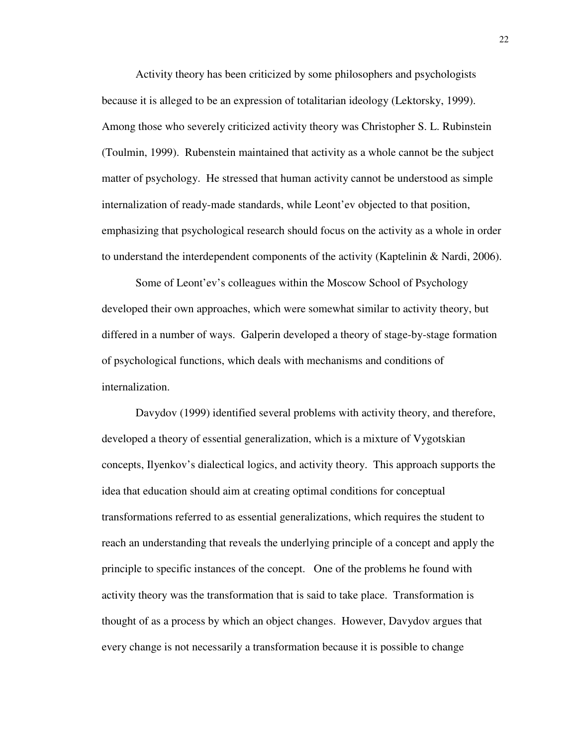Activity theory has been criticized by some philosophers and psychologists because it is alleged to be an expression of totalitarian ideology (Lektorsky, 1999). Among those who severely criticized activity theory was Christopher S. L. Rubinstein (Toulmin, 1999). Rubenstein maintained that activity as a whole cannot be the subject matter of psychology. He stressed that human activity cannot be understood as simple internalization of ready-made standards, while Leont'ev objected to that position, emphasizing that psychological research should focus on the activity as a whole in order to understand the interdependent components of the activity (Kaptelinin & Nardi, 2006).

Some of Leont'ev's colleagues within the Moscow School of Psychology developed their own approaches, which were somewhat similar to activity theory, but differed in a number of ways. Galperin developed a theory of stage-by-stage formation of psychological functions, which deals with mechanisms and conditions of internalization.

Davydov (1999) identified several problems with activity theory, and therefore, developed a theory of essential generalization, which is a mixture of Vygotskian concepts, Ilyenkov's dialectical logics, and activity theory. This approach supports the idea that education should aim at creating optimal conditions for conceptual transformations referred to as essential generalizations, which requires the student to reach an understanding that reveals the underlying principle of a concept and apply the principle to specific instances of the concept. One of the problems he found with activity theory was the transformation that is said to take place. Transformation is thought of as a process by which an object changes. However, Davydov argues that every change is not necessarily a transformation because it is possible to change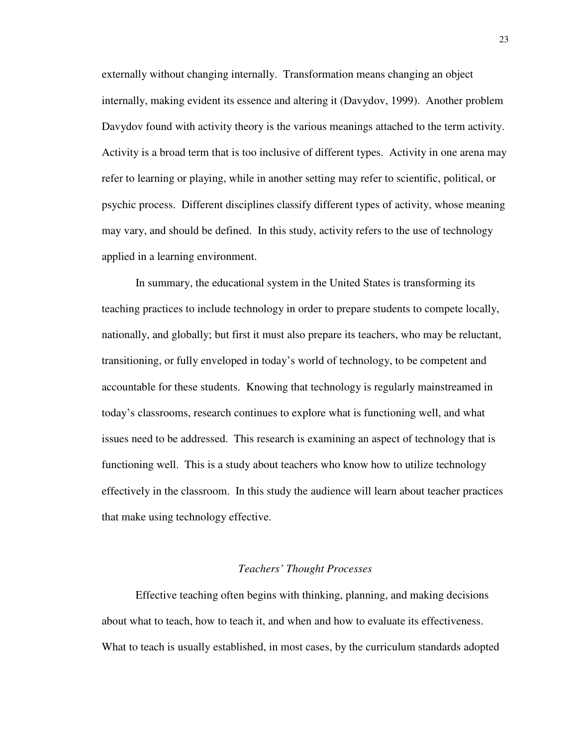externally without changing internally. Transformation means changing an object internally, making evident its essence and altering it (Davydov, 1999). Another problem Davydov found with activity theory is the various meanings attached to the term activity. Activity is a broad term that is too inclusive of different types. Activity in one arena may refer to learning or playing, while in another setting may refer to scientific, political, or psychic process. Different disciplines classify different types of activity, whose meaning may vary, and should be defined. In this study, activity refers to the use of technology applied in a learning environment.

In summary, the educational system in the United States is transforming its teaching practices to include technology in order to prepare students to compete locally, nationally, and globally; but first it must also prepare its teachers, who may be reluctant, transitioning, or fully enveloped in today's world of technology, to be competent and accountable for these students. Knowing that technology is regularly mainstreamed in today's classrooms, research continues to explore what is functioning well, and what issues need to be addressed. This research is examining an aspect of technology that is functioning well. This is a study about teachers who know how to utilize technology effectively in the classroom. In this study the audience will learn about teacher practices that make using technology effective.

#### *Teachers' Thought Processes*

 Effective teaching often begins with thinking, planning, and making decisions about what to teach, how to teach it, and when and how to evaluate its effectiveness. What to teach is usually established, in most cases, by the curriculum standards adopted

23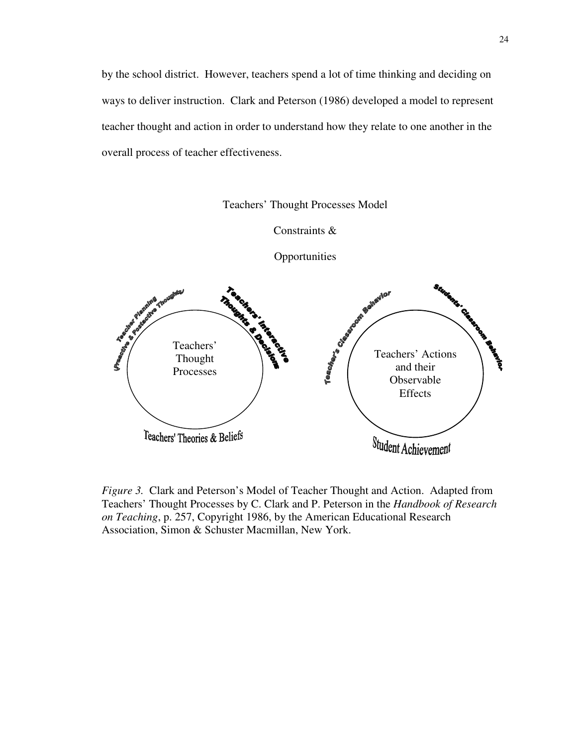by the school district. However, teachers spend a lot of time thinking and deciding on ways to deliver instruction. Clark and Peterson (1986) developed a model to represent teacher thought and action in order to understand how they relate to one another in the overall process of teacher effectiveness.



Constraints &



*Figure 3.* Clark and Peterson's Model of Teacher Thought and Action. Adapted from Teachers' Thought Processes by C. Clark and P. Peterson in the *Handbook of Research on Teaching*, p. 257, Copyright 1986, by the American Educational Research

Association, Simon & Schuster Macmillan, New York.

**Opportunities**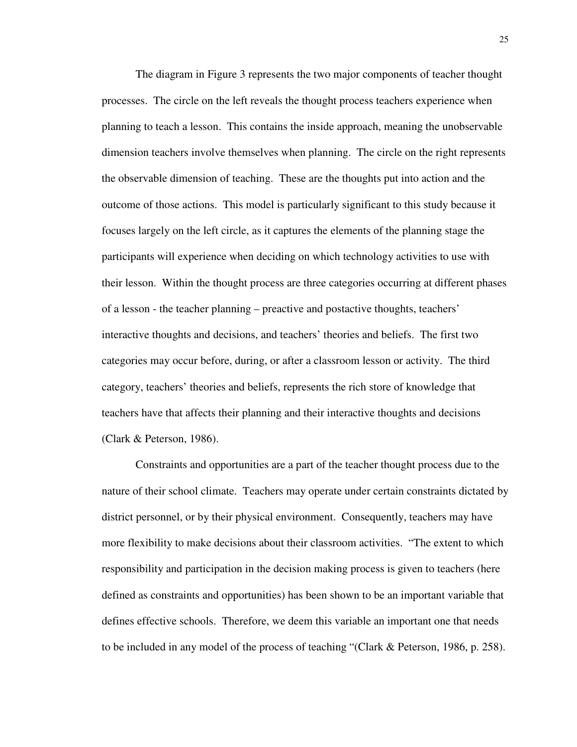The diagram in Figure 3 represents the two major components of teacher thought processes. The circle on the left reveals the thought process teachers experience when planning to teach a lesson. This contains the inside approach, meaning the unobservable dimension teachers involve themselves when planning. The circle on the right represents the observable dimension of teaching. These are the thoughts put into action and the outcome of those actions. This model is particularly significant to this study because it focuses largely on the left circle, as it captures the elements of the planning stage the participants will experience when deciding on which technology activities to use with their lesson. Within the thought process are three categories occurring at different phases of a lesson - the teacher planning – preactive and postactive thoughts, teachers' interactive thoughts and decisions, and teachers' theories and beliefs. The first two categories may occur before, during, or after a classroom lesson or activity. The third category, teachers' theories and beliefs, represents the rich store of knowledge that teachers have that affects their planning and their interactive thoughts and decisions (Clark & Peterson, 1986).

 Constraints and opportunities are a part of the teacher thought process due to the nature of their school climate. Teachers may operate under certain constraints dictated by district personnel, or by their physical environment. Consequently, teachers may have more flexibility to make decisions about their classroom activities. "The extent to which responsibility and participation in the decision making process is given to teachers (here defined as constraints and opportunities) has been shown to be an important variable that defines effective schools. Therefore, we deem this variable an important one that needs to be included in any model of the process of teaching "(Clark & Peterson, 1986, p. 258).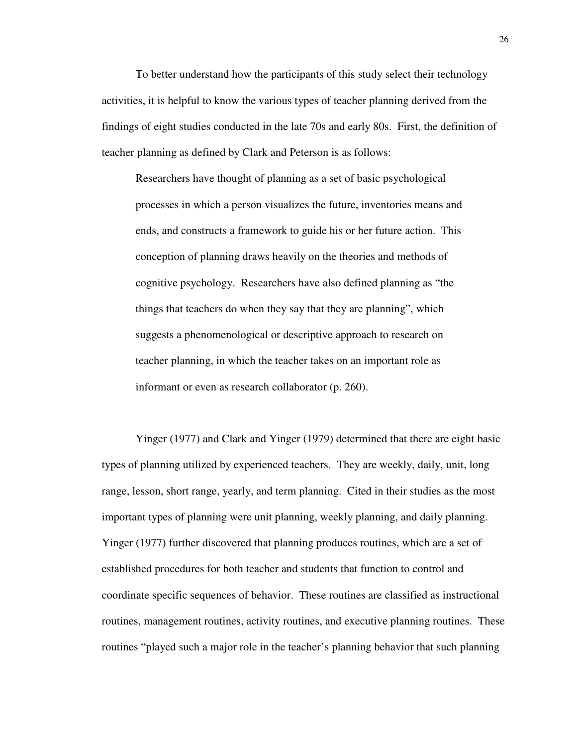To better understand how the participants of this study select their technology activities, it is helpful to know the various types of teacher planning derived from the findings of eight studies conducted in the late 70s and early 80s. First, the definition of teacher planning as defined by Clark and Peterson is as follows:

 Researchers have thought of planning as a set of basic psychological processes in which a person visualizes the future, inventories means and ends, and constructs a framework to guide his or her future action. This conception of planning draws heavily on the theories and methods of cognitive psychology. Researchers have also defined planning as "the things that teachers do when they say that they are planning", which suggests a phenomenological or descriptive approach to research on teacher planning, in which the teacher takes on an important role as informant or even as research collaborator (p. 260).

 Yinger (1977) and Clark and Yinger (1979) determined that there are eight basic types of planning utilized by experienced teachers. They are weekly, daily, unit, long range, lesson, short range, yearly, and term planning. Cited in their studies as the most important types of planning were unit planning, weekly planning, and daily planning. Yinger (1977) further discovered that planning produces routines, which are a set of established procedures for both teacher and students that function to control and coordinate specific sequences of behavior. These routines are classified as instructional routines, management routines, activity routines, and executive planning routines. These routines "played such a major role in the teacher's planning behavior that such planning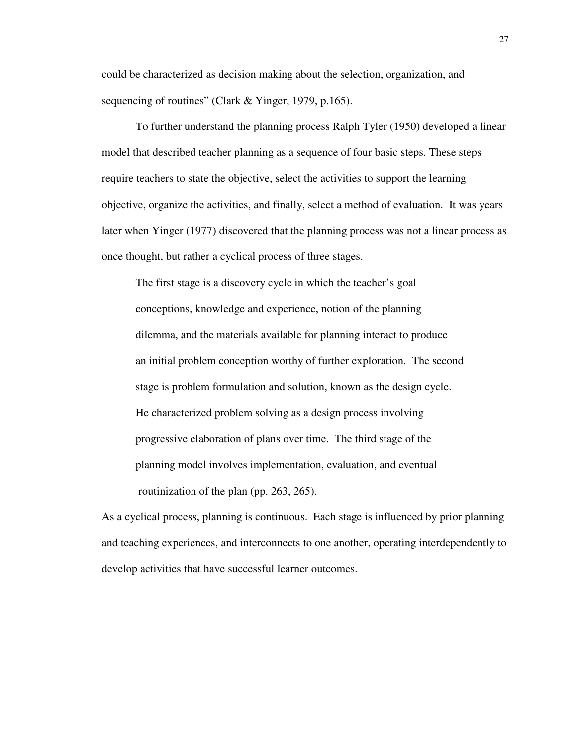could be characterized as decision making about the selection, organization, and sequencing of routines" (Clark & Yinger, 1979, p.165).

 To further understand the planning process Ralph Tyler (1950) developed a linear model that described teacher planning as a sequence of four basic steps. These steps require teachers to state the objective, select the activities to support the learning objective, organize the activities, and finally, select a method of evaluation. It was years later when Yinger (1977) discovered that the planning process was not a linear process as once thought, but rather a cyclical process of three stages.

 The first stage is a discovery cycle in which the teacher's goal conceptions, knowledge and experience, notion of the planning dilemma, and the materials available for planning interact to produce an initial problem conception worthy of further exploration. The second stage is problem formulation and solution, known as the design cycle. He characterized problem solving as a design process involving progressive elaboration of plans over time. The third stage of the planning model involves implementation, evaluation, and eventual routinization of the plan (pp. 263, 265).

As a cyclical process, planning is continuous. Each stage is influenced by prior planning and teaching experiences, and interconnects to one another, operating interdependently to develop activities that have successful learner outcomes.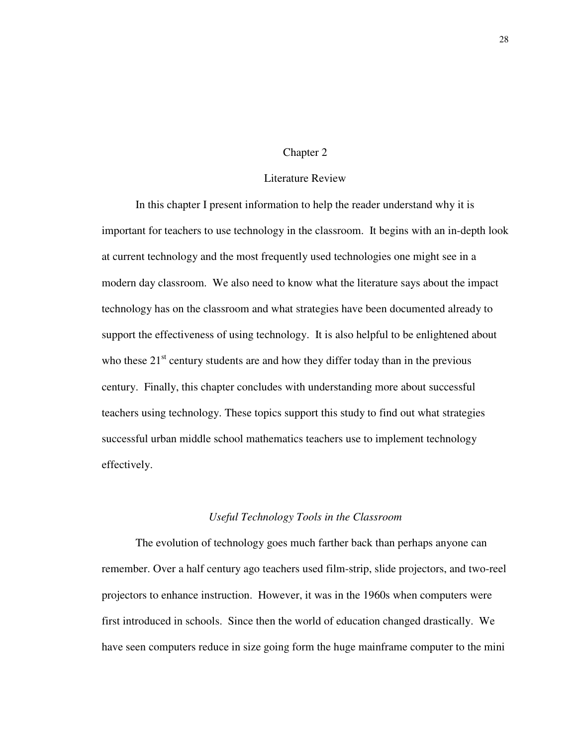### Chapter 2

# Literature Review

 In this chapter I present information to help the reader understand why it is important for teachers to use technology in the classroom. It begins with an in-depth look at current technology and the most frequently used technologies one might see in a modern day classroom. We also need to know what the literature says about the impact technology has on the classroom and what strategies have been documented already to support the effectiveness of using technology. It is also helpful to be enlightened about who these  $21<sup>st</sup>$  century students are and how they differ today than in the previous century. Finally, this chapter concludes with understanding more about successful teachers using technology. These topics support this study to find out what strategies successful urban middle school mathematics teachers use to implement technology effectively.

## *Useful Technology Tools in the Classroom*

The evolution of technology goes much farther back than perhaps anyone can remember. Over a half century ago teachers used film-strip, slide projectors, and two-reel projectors to enhance instruction. However, it was in the 1960s when computers were first introduced in schools. Since then the world of education changed drastically. We have seen computers reduce in size going form the huge mainframe computer to the mini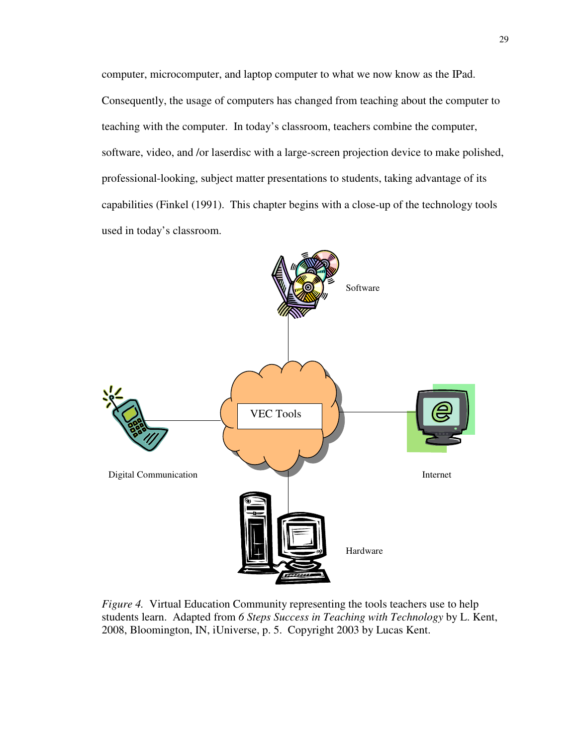computer, microcomputer, and laptop computer to what we now know as the IPad. Consequently, the usage of computers has changed from teaching about the computer to teaching with the computer. In today's classroom, teachers combine the computer, software, video, and /or laserdisc with a large-screen projection device to make polished, professional-looking, subject matter presentations to students, taking advantage of its capabilities (Finkel (1991). This chapter begins with a close-up of the technology tools used in today's classroom.



*Figure 4.* Virtual Education Community representing the tools teachers use to help students learn. Adapted from *6 Steps Success in Teaching with Technology* by L. Kent, 2008, Bloomington, IN, iUniverse, p. 5. Copyright 2003 by Lucas Kent.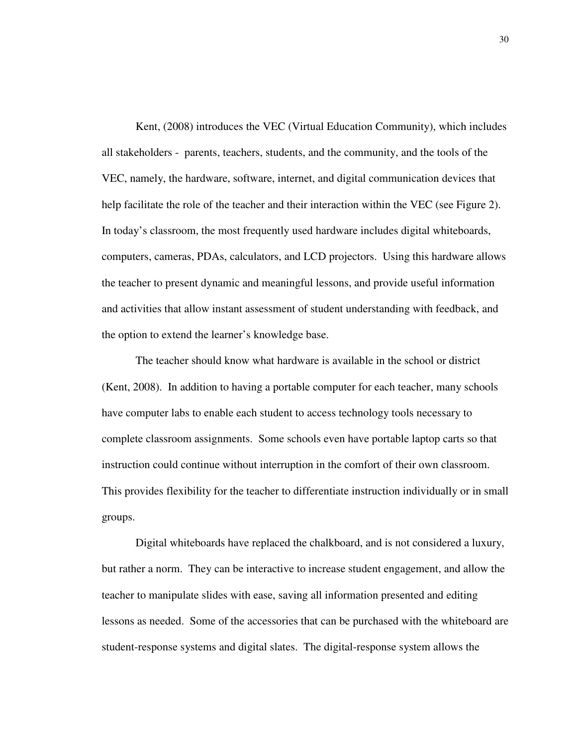Kent, (2008) introduces the VEC (Virtual Education Community), which includes all stakeholders - parents, teachers, students, and the community, and the tools of the VEC, namely, the hardware, software, internet, and digital communication devices that help facilitate the role of the teacher and their interaction within the VEC (see Figure 2). In today's classroom, the most frequently used hardware includes digital whiteboards, computers, cameras, PDAs, calculators, and LCD projectors. Using this hardware allows the teacher to present dynamic and meaningful lessons, and provide useful information and activities that allow instant assessment of student understanding with feedback, and the option to extend the learner's knowledge base.

The teacher should know what hardware is available in the school or district (Kent, 2008). In addition to having a portable computer for each teacher, many schools have computer labs to enable each student to access technology tools necessary to complete classroom assignments. Some schools even have portable laptop carts so that instruction could continue without interruption in the comfort of their own classroom. This provides flexibility for the teacher to differentiate instruction individually or in small groups.

Digital whiteboards have replaced the chalkboard, and is not considered a luxury, but rather a norm. They can be interactive to increase student engagement, and allow the teacher to manipulate slides with ease, saving all information presented and editing lessons as needed. Some of the accessories that can be purchased with the whiteboard are student-response systems and digital slates. The digital-response system allows the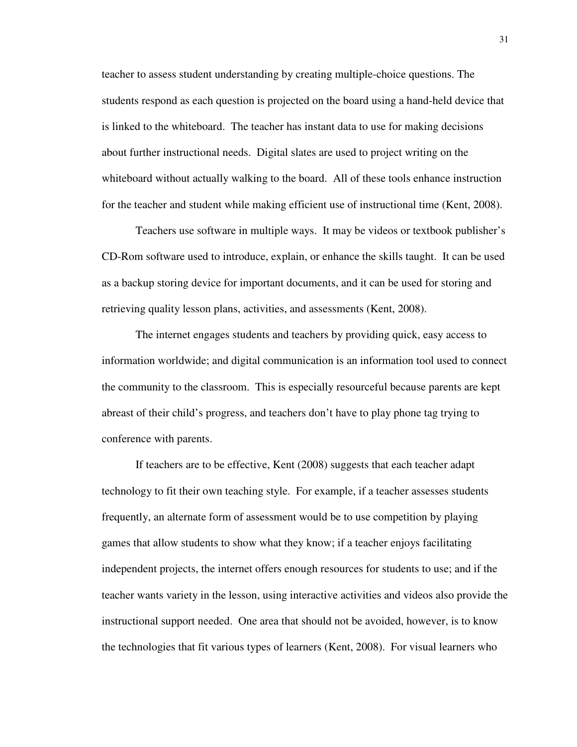teacher to assess student understanding by creating multiple-choice questions. The students respond as each question is projected on the board using a hand-held device that is linked to the whiteboard. The teacher has instant data to use for making decisions about further instructional needs. Digital slates are used to project writing on the whiteboard without actually walking to the board. All of these tools enhance instruction for the teacher and student while making efficient use of instructional time (Kent, 2008).

Teachers use software in multiple ways. It may be videos or textbook publisher's CD-Rom software used to introduce, explain, or enhance the skills taught. It can be used as a backup storing device for important documents, and it can be used for storing and retrieving quality lesson plans, activities, and assessments (Kent, 2008).

The internet engages students and teachers by providing quick, easy access to information worldwide; and digital communication is an information tool used to connect the community to the classroom. This is especially resourceful because parents are kept abreast of their child's progress, and teachers don't have to play phone tag trying to conference with parents.

 If teachers are to be effective, Kent (2008) suggests that each teacher adapt technology to fit their own teaching style. For example, if a teacher assesses students frequently, an alternate form of assessment would be to use competition by playing games that allow students to show what they know; if a teacher enjoys facilitating independent projects, the internet offers enough resources for students to use; and if the teacher wants variety in the lesson, using interactive activities and videos also provide the instructional support needed. One area that should not be avoided, however, is to know the technologies that fit various types of learners (Kent, 2008). For visual learners who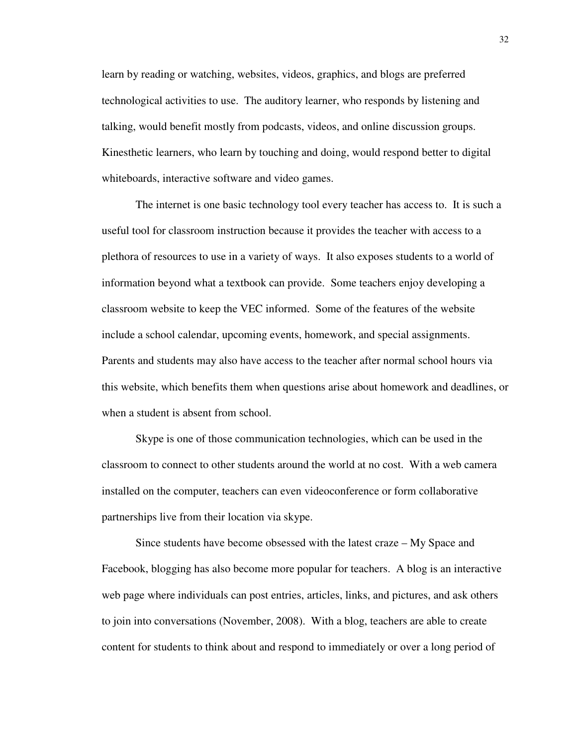learn by reading or watching, websites, videos, graphics, and blogs are preferred technological activities to use. The auditory learner, who responds by listening and talking, would benefit mostly from podcasts, videos, and online discussion groups. Kinesthetic learners, who learn by touching and doing, would respond better to digital whiteboards, interactive software and video games.

The internet is one basic technology tool every teacher has access to. It is such a useful tool for classroom instruction because it provides the teacher with access to a plethora of resources to use in a variety of ways. It also exposes students to a world of information beyond what a textbook can provide. Some teachers enjoy developing a classroom website to keep the VEC informed. Some of the features of the website include a school calendar, upcoming events, homework, and special assignments. Parents and students may also have access to the teacher after normal school hours via this website, which benefits them when questions arise about homework and deadlines, or when a student is absent from school.

Skype is one of those communication technologies, which can be used in the classroom to connect to other students around the world at no cost. With a web camera installed on the computer, teachers can even videoconference or form collaborative partnerships live from their location via skype.

Since students have become obsessed with the latest craze – My Space and Facebook, blogging has also become more popular for teachers. A blog is an interactive web page where individuals can post entries, articles, links, and pictures, and ask others to join into conversations (November, 2008). With a blog, teachers are able to create content for students to think about and respond to immediately or over a long period of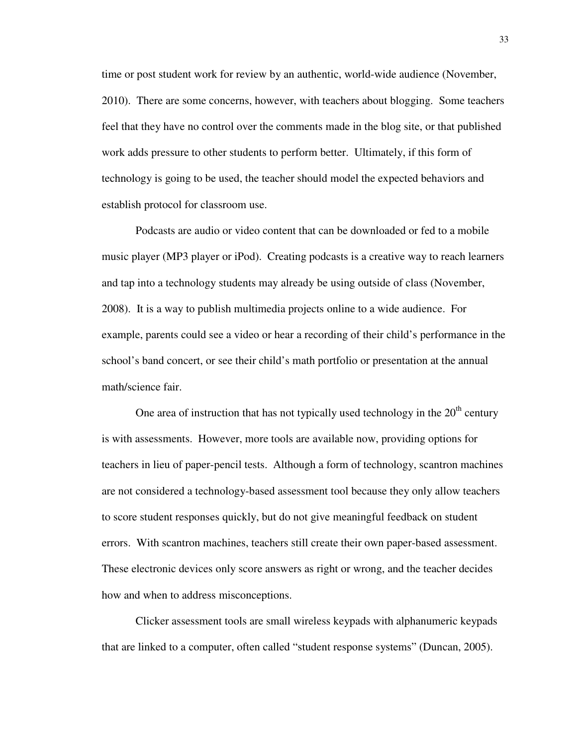time or post student work for review by an authentic, world-wide audience (November, 2010). There are some concerns, however, with teachers about blogging. Some teachers feel that they have no control over the comments made in the blog site, or that published work adds pressure to other students to perform better. Ultimately, if this form of technology is going to be used, the teacher should model the expected behaviors and establish protocol for classroom use.

Podcasts are audio or video content that can be downloaded or fed to a mobile music player (MP3 player or iPod). Creating podcasts is a creative way to reach learners and tap into a technology students may already be using outside of class (November, 2008). It is a way to publish multimedia projects online to a wide audience. For example, parents could see a video or hear a recording of their child's performance in the school's band concert, or see their child's math portfolio or presentation at the annual math/science fair.

One area of instruction that has not typically used technology in the  $20<sup>th</sup>$  century is with assessments. However, more tools are available now, providing options for teachers in lieu of paper-pencil tests. Although a form of technology, scantron machines are not considered a technology-based assessment tool because they only allow teachers to score student responses quickly, but do not give meaningful feedback on student errors. With scantron machines, teachers still create their own paper-based assessment. These electronic devices only score answers as right or wrong, and the teacher decides how and when to address misconceptions.

Clicker assessment tools are small wireless keypads with alphanumeric keypads that are linked to a computer, often called "student response systems" (Duncan, 2005).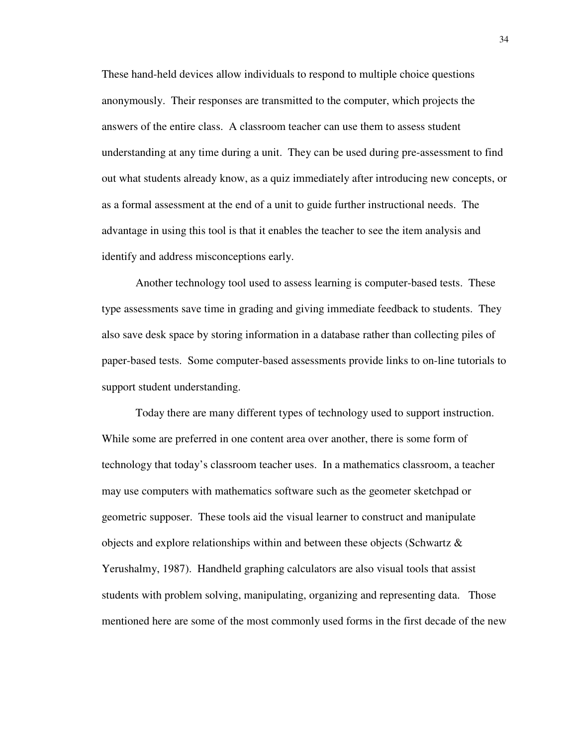These hand-held devices allow individuals to respond to multiple choice questions anonymously. Their responses are transmitted to the computer, which projects the answers of the entire class. A classroom teacher can use them to assess student understanding at any time during a unit. They can be used during pre-assessment to find out what students already know, as a quiz immediately after introducing new concepts, or as a formal assessment at the end of a unit to guide further instructional needs. The advantage in using this tool is that it enables the teacher to see the item analysis and identify and address misconceptions early.

Another technology tool used to assess learning is computer-based tests. These type assessments save time in grading and giving immediate feedback to students. They also save desk space by storing information in a database rather than collecting piles of paper-based tests. Some computer-based assessments provide links to on-line tutorials to support student understanding.

Today there are many different types of technology used to support instruction. While some are preferred in one content area over another, there is some form of technology that today's classroom teacher uses. In a mathematics classroom, a teacher may use computers with mathematics software such as the geometer sketchpad or geometric supposer. These tools aid the visual learner to construct and manipulate objects and explore relationships within and between these objects (Schwartz & Yerushalmy, 1987). Handheld graphing calculators are also visual tools that assist students with problem solving, manipulating, organizing and representing data. Those mentioned here are some of the most commonly used forms in the first decade of the new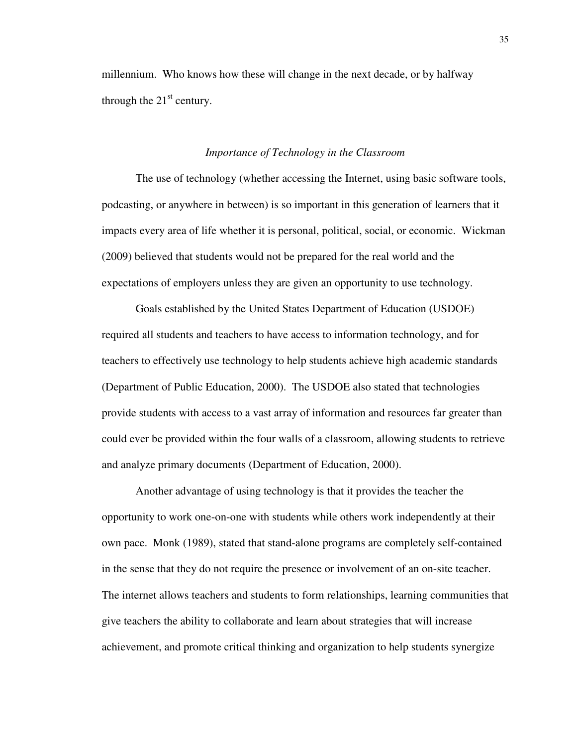millennium. Who knows how these will change in the next decade, or by halfway through the  $21<sup>st</sup>$  century.

## *Importance of Technology in the Classroom*

 The use of technology (whether accessing the Internet, using basic software tools, podcasting, or anywhere in between) is so important in this generation of learners that it impacts every area of life whether it is personal, political, social, or economic. Wickman (2009) believed that students would not be prepared for the real world and the expectations of employers unless they are given an opportunity to use technology.

Goals established by the United States Department of Education (USDOE) required all students and teachers to have access to information technology, and for teachers to effectively use technology to help students achieve high academic standards (Department of Public Education, 2000). The USDOE also stated that technologies provide students with access to a vast array of information and resources far greater than could ever be provided within the four walls of a classroom, allowing students to retrieve and analyze primary documents (Department of Education, 2000).

Another advantage of using technology is that it provides the teacher the opportunity to work one-on-one with students while others work independently at their own pace. Monk (1989), stated that stand-alone programs are completely self-contained in the sense that they do not require the presence or involvement of an on-site teacher. The internet allows teachers and students to form relationships, learning communities that give teachers the ability to collaborate and learn about strategies that will increase achievement, and promote critical thinking and organization to help students synergize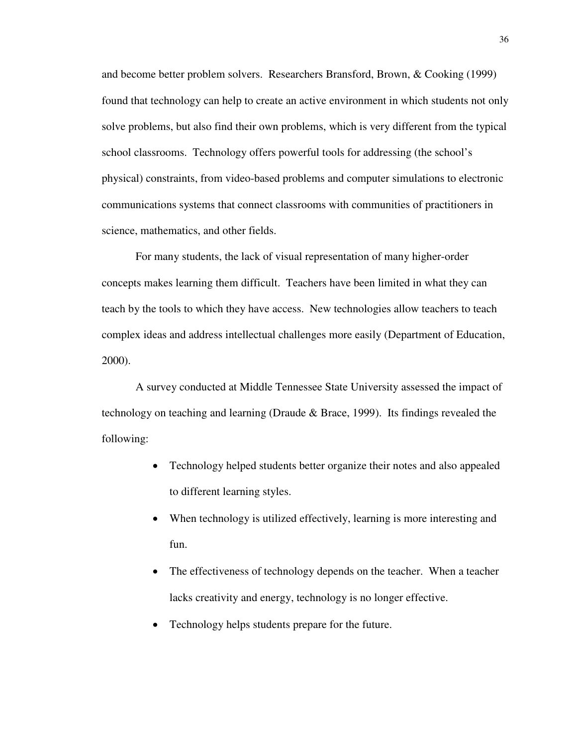and become better problem solvers. Researchers Bransford, Brown, & Cooking (1999) found that technology can help to create an active environment in which students not only solve problems, but also find their own problems, which is very different from the typical school classrooms. Technology offers powerful tools for addressing (the school's physical) constraints, from video-based problems and computer simulations to electronic communications systems that connect classrooms with communities of practitioners in science, mathematics, and other fields.

For many students, the lack of visual representation of many higher-order concepts makes learning them difficult. Teachers have been limited in what they can teach by the tools to which they have access. New technologies allow teachers to teach complex ideas and address intellectual challenges more easily (Department of Education, 2000).

A survey conducted at Middle Tennessee State University assessed the impact of technology on teaching and learning (Draude & Brace, 1999). Its findings revealed the following:

- Technology helped students better organize their notes and also appealed to different learning styles.
- When technology is utilized effectively, learning is more interesting and fun.
- The effectiveness of technology depends on the teacher. When a teacher lacks creativity and energy, technology is no longer effective.
- Technology helps students prepare for the future.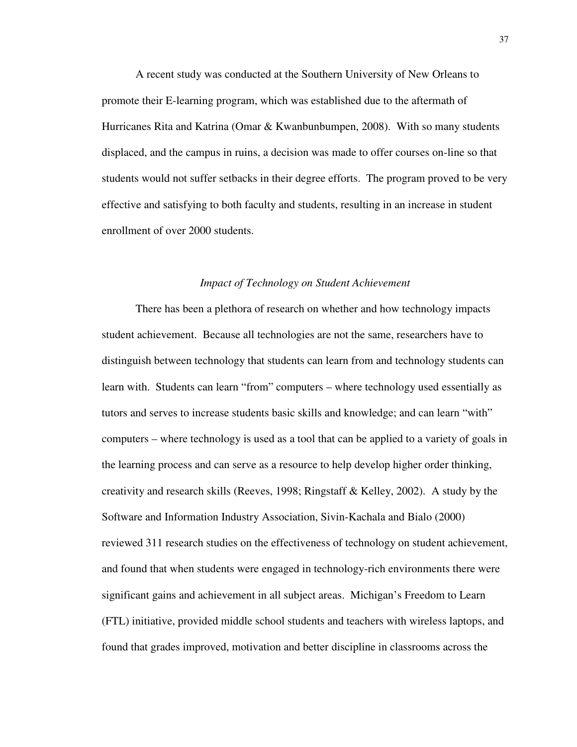A recent study was conducted at the Southern University of New Orleans to promote their E-learning program, which was established due to the aftermath of Hurricanes Rita and Katrina (Omar & Kwanbunbumpen, 2008). With so many students displaced, and the campus in ruins, a decision was made to offer courses on-line so that students would not suffer setbacks in their degree efforts. The program proved to be very effective and satisfying to both faculty and students, resulting in an increase in student enrollment of over 2000 students.

# *Impact of Technology on Student Achievement*

There has been a plethora of research on whether and how technology impacts student achievement. Because all technologies are not the same, researchers have to distinguish between technology that students can learn from and technology students can learn with. Students can learn "from" computers – where technology used essentially as tutors and serves to increase students basic skills and knowledge; and can learn "with" computers – where technology is used as a tool that can be applied to a variety of goals in the learning process and can serve as a resource to help develop higher order thinking, creativity and research skills (Reeves, 1998; Ringstaff & Kelley, 2002). A study by the Software and Information Industry Association, Sivin-Kachala and Bialo (2000) reviewed 311 research studies on the effectiveness of technology on student achievement, and found that when students were engaged in technology-rich environments there were significant gains and achievement in all subject areas. Michigan's Freedom to Learn (FTL) initiative, provided middle school students and teachers with wireless laptops, and found that grades improved, motivation and better discipline in classrooms across the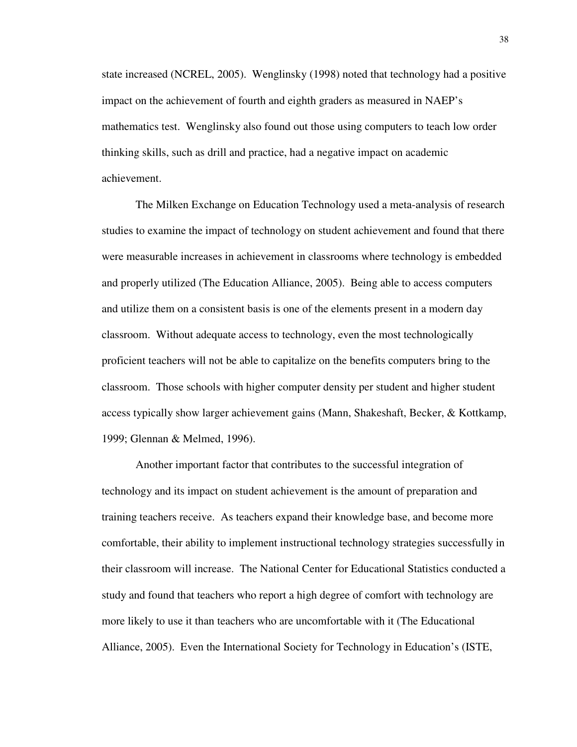state increased (NCREL, 2005). Wenglinsky (1998) noted that technology had a positive impact on the achievement of fourth and eighth graders as measured in NAEP's mathematics test. Wenglinsky also found out those using computers to teach low order thinking skills, such as drill and practice, had a negative impact on academic achievement.

The Milken Exchange on Education Technology used a meta-analysis of research studies to examine the impact of technology on student achievement and found that there were measurable increases in achievement in classrooms where technology is embedded and properly utilized (The Education Alliance, 2005). Being able to access computers and utilize them on a consistent basis is one of the elements present in a modern day classroom. Without adequate access to technology, even the most technologically proficient teachers will not be able to capitalize on the benefits computers bring to the classroom. Those schools with higher computer density per student and higher student access typically show larger achievement gains (Mann, Shakeshaft, Becker, & Kottkamp, 1999; Glennan & Melmed, 1996).

Another important factor that contributes to the successful integration of technology and its impact on student achievement is the amount of preparation and training teachers receive. As teachers expand their knowledge base, and become more comfortable, their ability to implement instructional technology strategies successfully in their classroom will increase. The National Center for Educational Statistics conducted a study and found that teachers who report a high degree of comfort with technology are more likely to use it than teachers who are uncomfortable with it (The Educational Alliance, 2005). Even the International Society for Technology in Education's (ISTE,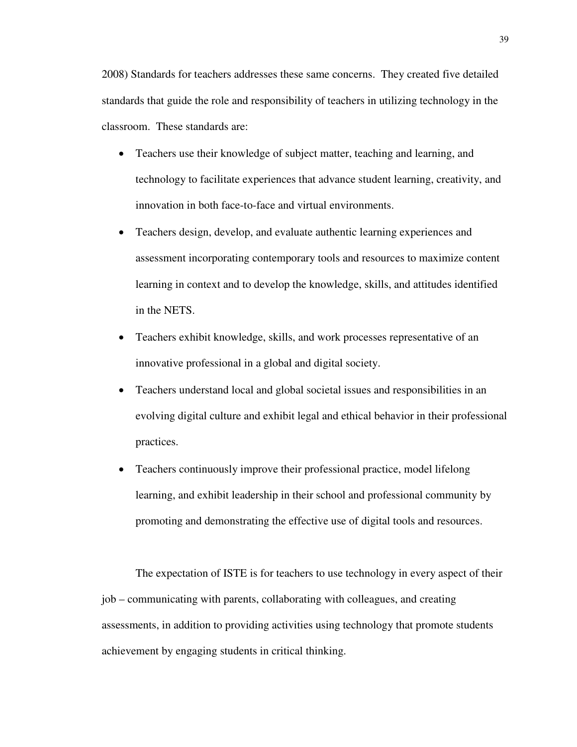2008) Standards for teachers addresses these same concerns. They created five detailed standards that guide the role and responsibility of teachers in utilizing technology in the classroom. These standards are:

- Teachers use their knowledge of subject matter, teaching and learning, and technology to facilitate experiences that advance student learning, creativity, and innovation in both face-to-face and virtual environments.
- Teachers design, develop, and evaluate authentic learning experiences and assessment incorporating contemporary tools and resources to maximize content learning in context and to develop the knowledge, skills, and attitudes identified in the NETS.
- Teachers exhibit knowledge, skills, and work processes representative of an innovative professional in a global and digital society.
- Teachers understand local and global societal issues and responsibilities in an evolving digital culture and exhibit legal and ethical behavior in their professional practices.
- Teachers continuously improve their professional practice, model lifelong learning, and exhibit leadership in their school and professional community by promoting and demonstrating the effective use of digital tools and resources.

The expectation of ISTE is for teachers to use technology in every aspect of their job – communicating with parents, collaborating with colleagues, and creating assessments, in addition to providing activities using technology that promote students achievement by engaging students in critical thinking.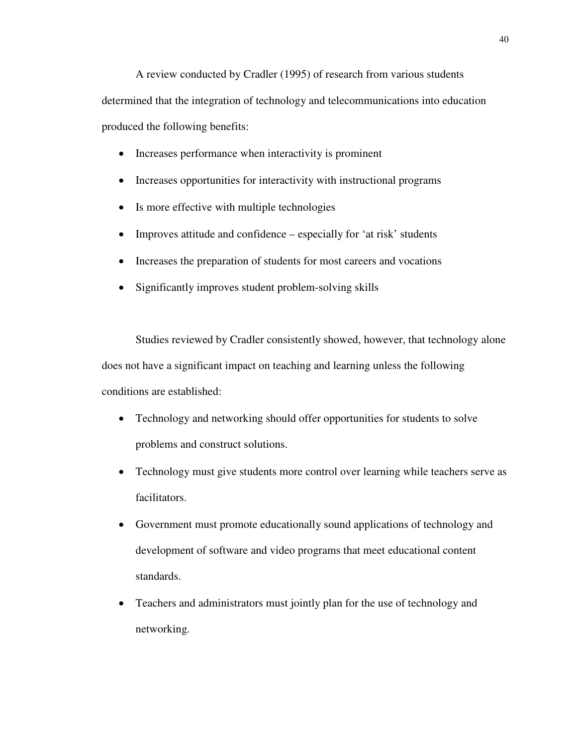A review conducted by Cradler (1995) of research from various students determined that the integration of technology and telecommunications into education produced the following benefits:

- Increases performance when interactivity is prominent
- Increases opportunities for interactivity with instructional programs
- Is more effective with multiple technologies
- Improves attitude and confidence especially for 'at risk' students
- Increases the preparation of students for most careers and vocations
- Significantly improves student problem-solving skills

Studies reviewed by Cradler consistently showed, however, that technology alone does not have a significant impact on teaching and learning unless the following conditions are established:

- Technology and networking should offer opportunities for students to solve problems and construct solutions.
- Technology must give students more control over learning while teachers serve as facilitators.
- Government must promote educationally sound applications of technology and development of software and video programs that meet educational content standards.
- Teachers and administrators must jointly plan for the use of technology and networking.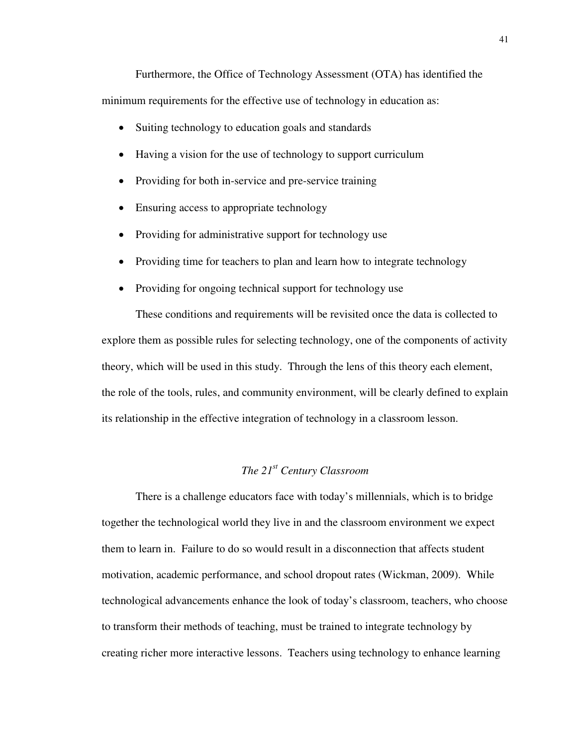Furthermore, the Office of Technology Assessment (OTA) has identified the minimum requirements for the effective use of technology in education as:

- Suiting technology to education goals and standards
- Having a vision for the use of technology to support curriculum
- Providing for both in-service and pre-service training
- Ensuring access to appropriate technology
- Providing for administrative support for technology use
- Providing time for teachers to plan and learn how to integrate technology
- Providing for ongoing technical support for technology use

These conditions and requirements will be revisited once the data is collected to explore them as possible rules for selecting technology, one of the components of activity theory, which will be used in this study. Through the lens of this theory each element, the role of the tools, rules, and community environment, will be clearly defined to explain its relationship in the effective integration of technology in a classroom lesson.

# *The 21st Century Classroom*

There is a challenge educators face with today's millennials, which is to bridge together the technological world they live in and the classroom environment we expect them to learn in. Failure to do so would result in a disconnection that affects student motivation, academic performance, and school dropout rates (Wickman, 2009). While technological advancements enhance the look of today's classroom, teachers, who choose to transform their methods of teaching, must be trained to integrate technology by creating richer more interactive lessons. Teachers using technology to enhance learning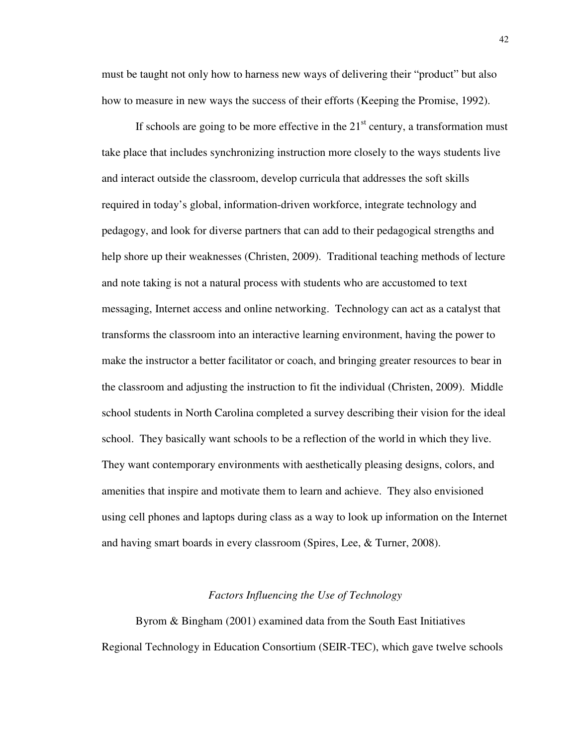must be taught not only how to harness new ways of delivering their "product" but also how to measure in new ways the success of their efforts (Keeping the Promise, 1992).

If schools are going to be more effective in the  $21<sup>st</sup>$  century, a transformation must take place that includes synchronizing instruction more closely to the ways students live and interact outside the classroom, develop curricula that addresses the soft skills required in today's global, information-driven workforce, integrate technology and pedagogy, and look for diverse partners that can add to their pedagogical strengths and help shore up their weaknesses (Christen, 2009). Traditional teaching methods of lecture and note taking is not a natural process with students who are accustomed to text messaging, Internet access and online networking. Technology can act as a catalyst that transforms the classroom into an interactive learning environment, having the power to make the instructor a better facilitator or coach, and bringing greater resources to bear in the classroom and adjusting the instruction to fit the individual (Christen, 2009). Middle school students in North Carolina completed a survey describing their vision for the ideal school. They basically want schools to be a reflection of the world in which they live. They want contemporary environments with aesthetically pleasing designs, colors, and amenities that inspire and motivate them to learn and achieve. They also envisioned using cell phones and laptops during class as a way to look up information on the Internet and having smart boards in every classroom (Spires, Lee, & Turner, 2008).

#### *Factors Influencing the Use of Technology*

Byrom & Bingham (2001) examined data from the South East Initiatives Regional Technology in Education Consortium (SEIR-TEC), which gave twelve schools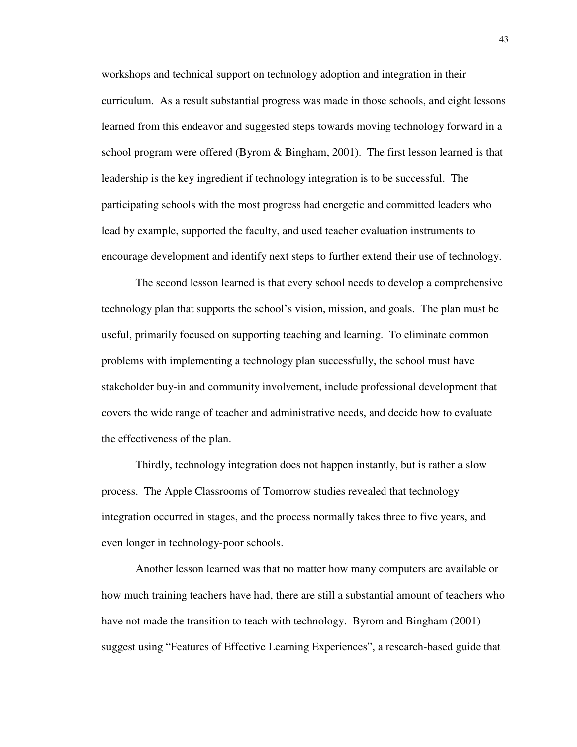workshops and technical support on technology adoption and integration in their curriculum. As a result substantial progress was made in those schools, and eight lessons learned from this endeavor and suggested steps towards moving technology forward in a school program were offered (Byrom & Bingham, 2001). The first lesson learned is that leadership is the key ingredient if technology integration is to be successful. The participating schools with the most progress had energetic and committed leaders who lead by example, supported the faculty, and used teacher evaluation instruments to encourage development and identify next steps to further extend their use of technology.

The second lesson learned is that every school needs to develop a comprehensive technology plan that supports the school's vision, mission, and goals. The plan must be useful, primarily focused on supporting teaching and learning. To eliminate common problems with implementing a technology plan successfully, the school must have stakeholder buy-in and community involvement, include professional development that covers the wide range of teacher and administrative needs, and decide how to evaluate the effectiveness of the plan.

Thirdly, technology integration does not happen instantly, but is rather a slow process. The Apple Classrooms of Tomorrow studies revealed that technology integration occurred in stages, and the process normally takes three to five years, and even longer in technology-poor schools.

Another lesson learned was that no matter how many computers are available or how much training teachers have had, there are still a substantial amount of teachers who have not made the transition to teach with technology. Byrom and Bingham (2001) suggest using "Features of Effective Learning Experiences", a research-based guide that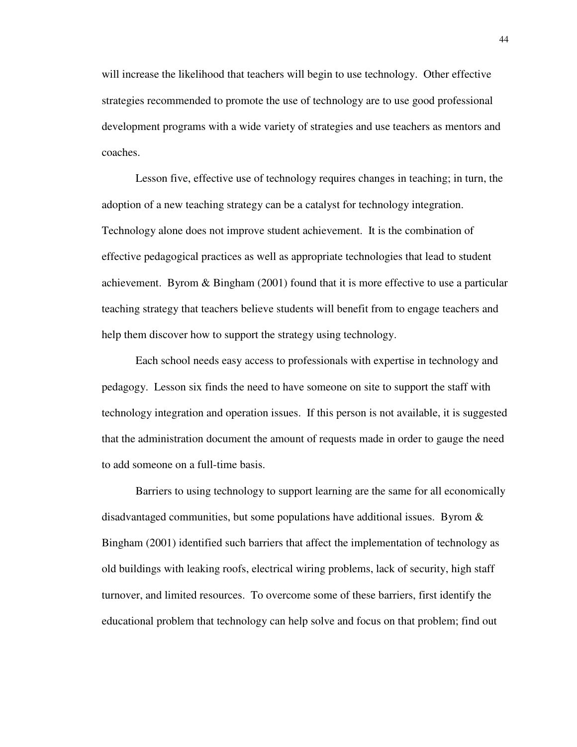will increase the likelihood that teachers will begin to use technology. Other effective strategies recommended to promote the use of technology are to use good professional development programs with a wide variety of strategies and use teachers as mentors and coaches.

Lesson five, effective use of technology requires changes in teaching; in turn, the adoption of a new teaching strategy can be a catalyst for technology integration. Technology alone does not improve student achievement. It is the combination of effective pedagogical practices as well as appropriate technologies that lead to student achievement. Byrom & Bingham (2001) found that it is more effective to use a particular teaching strategy that teachers believe students will benefit from to engage teachers and help them discover how to support the strategy using technology.

Each school needs easy access to professionals with expertise in technology and pedagogy. Lesson six finds the need to have someone on site to support the staff with technology integration and operation issues. If this person is not available, it is suggested that the administration document the amount of requests made in order to gauge the need to add someone on a full-time basis.

Barriers to using technology to support learning are the same for all economically disadvantaged communities, but some populations have additional issues. Byrom  $\&$ Bingham (2001) identified such barriers that affect the implementation of technology as old buildings with leaking roofs, electrical wiring problems, lack of security, high staff turnover, and limited resources. To overcome some of these barriers, first identify the educational problem that technology can help solve and focus on that problem; find out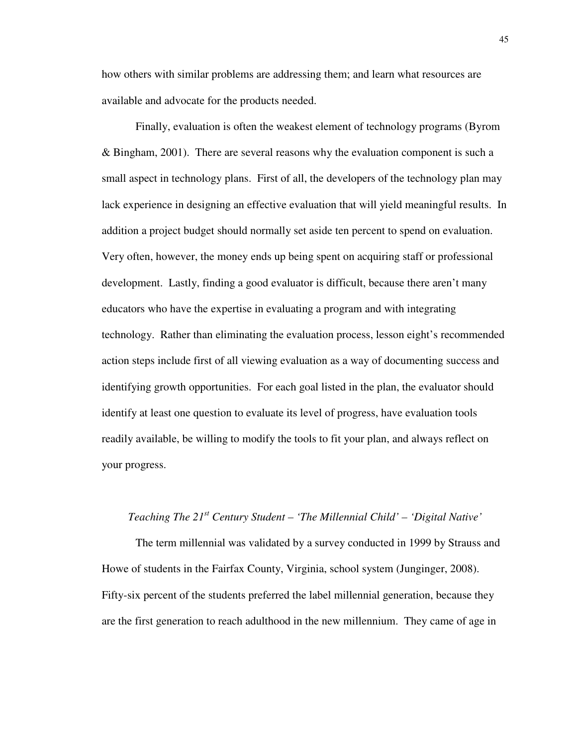how others with similar problems are addressing them; and learn what resources are available and advocate for the products needed.

Finally, evaluation is often the weakest element of technology programs (Byrom & Bingham, 2001). There are several reasons why the evaluation component is such a small aspect in technology plans. First of all, the developers of the technology plan may lack experience in designing an effective evaluation that will yield meaningful results. In addition a project budget should normally set aside ten percent to spend on evaluation. Very often, however, the money ends up being spent on acquiring staff or professional development. Lastly, finding a good evaluator is difficult, because there aren't many educators who have the expertise in evaluating a program and with integrating technology. Rather than eliminating the evaluation process, lesson eight's recommended action steps include first of all viewing evaluation as a way of documenting success and identifying growth opportunities. For each goal listed in the plan, the evaluator should identify at least one question to evaluate its level of progress, have evaluation tools readily available, be willing to modify the tools to fit your plan, and always reflect on your progress.

# *Teaching The 21st Century Student – 'The Millennial Child' – 'Digital Native'*

The term millennial was validated by a survey conducted in 1999 by Strauss and Howe of students in the Fairfax County, Virginia, school system (Junginger, 2008). Fifty-six percent of the students preferred the label millennial generation, because they are the first generation to reach adulthood in the new millennium. They came of age in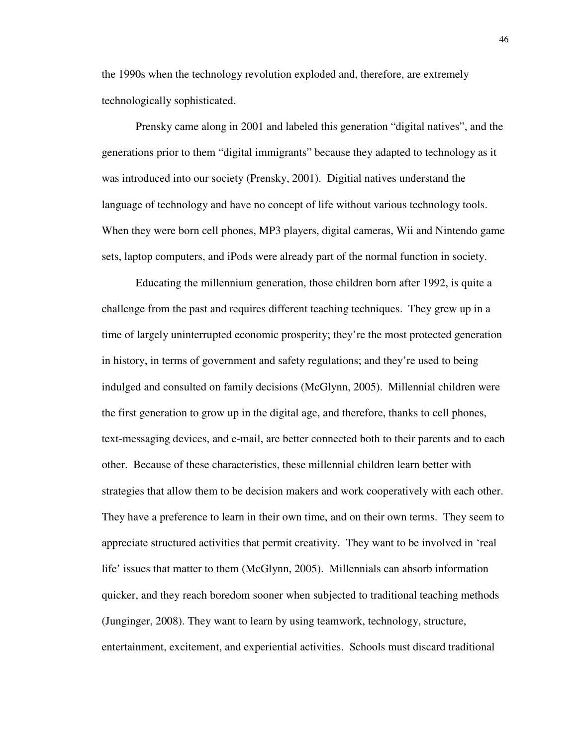the 1990s when the technology revolution exploded and, therefore, are extremely technologically sophisticated.

Prensky came along in 2001 and labeled this generation "digital natives", and the generations prior to them "digital immigrants" because they adapted to technology as it was introduced into our society (Prensky, 2001). Digitial natives understand the language of technology and have no concept of life without various technology tools. When they were born cell phones, MP3 players, digital cameras, Wii and Nintendo game sets, laptop computers, and iPods were already part of the normal function in society.

Educating the millennium generation, those children born after 1992, is quite a challenge from the past and requires different teaching techniques. They grew up in a time of largely uninterrupted economic prosperity; they're the most protected generation in history, in terms of government and safety regulations; and they're used to being indulged and consulted on family decisions (McGlynn, 2005). Millennial children were the first generation to grow up in the digital age, and therefore, thanks to cell phones, text-messaging devices, and e-mail, are better connected both to their parents and to each other. Because of these characteristics, these millennial children learn better with strategies that allow them to be decision makers and work cooperatively with each other. They have a preference to learn in their own time, and on their own terms. They seem to appreciate structured activities that permit creativity. They want to be involved in 'real life' issues that matter to them (McGlynn, 2005). Millennials can absorb information quicker, and they reach boredom sooner when subjected to traditional teaching methods (Junginger, 2008). They want to learn by using teamwork, technology, structure, entertainment, excitement, and experiential activities. Schools must discard traditional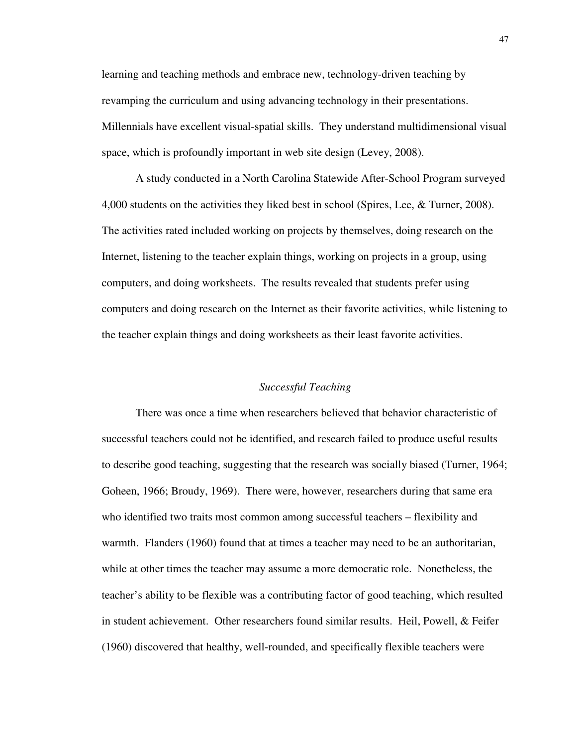learning and teaching methods and embrace new, technology-driven teaching by revamping the curriculum and using advancing technology in their presentations. Millennials have excellent visual-spatial skills. They understand multidimensional visual space, which is profoundly important in web site design (Levey, 2008).

A study conducted in a North Carolina Statewide After-School Program surveyed 4,000 students on the activities they liked best in school (Spires, Lee, & Turner, 2008). The activities rated included working on projects by themselves, doing research on the Internet, listening to the teacher explain things, working on projects in a group, using computers, and doing worksheets. The results revealed that students prefer using computers and doing research on the Internet as their favorite activities, while listening to the teacher explain things and doing worksheets as their least favorite activities.

## *Successful Teaching*

There was once a time when researchers believed that behavior characteristic of successful teachers could not be identified, and research failed to produce useful results to describe good teaching, suggesting that the research was socially biased (Turner, 1964; Goheen, 1966; Broudy, 1969). There were, however, researchers during that same era who identified two traits most common among successful teachers – flexibility and warmth. Flanders (1960) found that at times a teacher may need to be an authoritarian, while at other times the teacher may assume a more democratic role. Nonetheless, the teacher's ability to be flexible was a contributing factor of good teaching, which resulted in student achievement. Other researchers found similar results. Heil, Powell, & Feifer (1960) discovered that healthy, well-rounded, and specifically flexible teachers were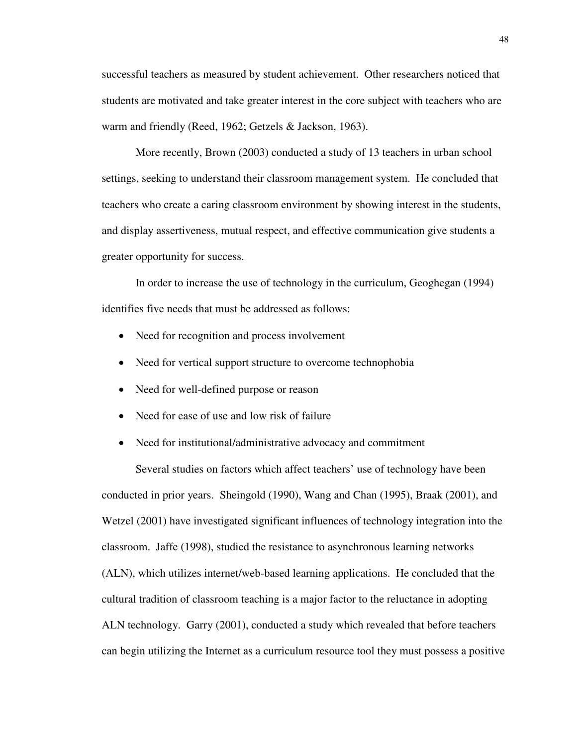successful teachers as measured by student achievement. Other researchers noticed that students are motivated and take greater interest in the core subject with teachers who are warm and friendly (Reed, 1962; Getzels & Jackson, 1963).

More recently, Brown (2003) conducted a study of 13 teachers in urban school settings, seeking to understand their classroom management system. He concluded that teachers who create a caring classroom environment by showing interest in the students, and display assertiveness, mutual respect, and effective communication give students a greater opportunity for success.

In order to increase the use of technology in the curriculum, Geoghegan (1994) identifies five needs that must be addressed as follows:

- Need for recognition and process involvement
- Need for vertical support structure to overcome technophobia
- Need for well-defined purpose or reason
- Need for ease of use and low risk of failure
- Need for institutional/administrative advocacy and commitment

Several studies on factors which affect teachers' use of technology have been conducted in prior years. Sheingold (1990), Wang and Chan (1995), Braak (2001), and Wetzel (2001) have investigated significant influences of technology integration into the classroom. Jaffe (1998), studied the resistance to asynchronous learning networks (ALN), which utilizes internet/web-based learning applications. He concluded that the cultural tradition of classroom teaching is a major factor to the reluctance in adopting ALN technology. Garry (2001), conducted a study which revealed that before teachers can begin utilizing the Internet as a curriculum resource tool they must possess a positive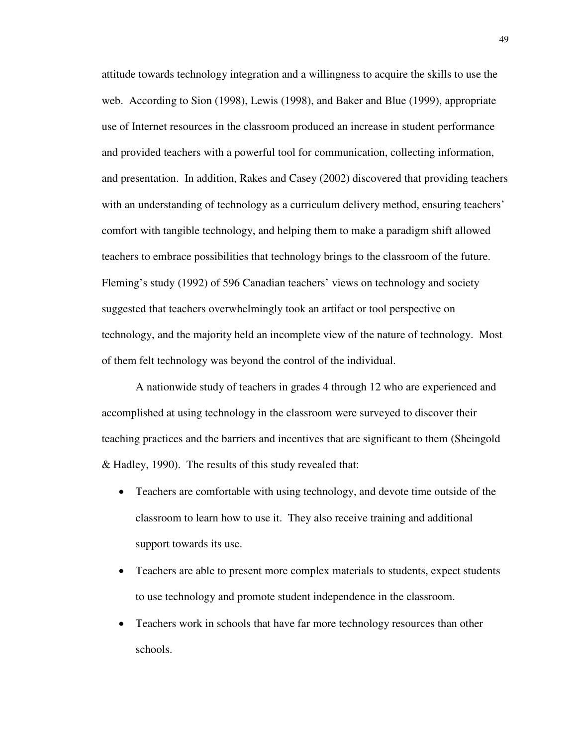attitude towards technology integration and a willingness to acquire the skills to use the web. According to Sion (1998), Lewis (1998), and Baker and Blue (1999), appropriate use of Internet resources in the classroom produced an increase in student performance and provided teachers with a powerful tool for communication, collecting information, and presentation. In addition, Rakes and Casey (2002) discovered that providing teachers with an understanding of technology as a curriculum delivery method, ensuring teachers' comfort with tangible technology, and helping them to make a paradigm shift allowed teachers to embrace possibilities that technology brings to the classroom of the future. Fleming's study (1992) of 596 Canadian teachers' views on technology and society suggested that teachers overwhelmingly took an artifact or tool perspective on technology, and the majority held an incomplete view of the nature of technology. Most of them felt technology was beyond the control of the individual.

A nationwide study of teachers in grades 4 through 12 who are experienced and accomplished at using technology in the classroom were surveyed to discover their teaching practices and the barriers and incentives that are significant to them (Sheingold & Hadley, 1990). The results of this study revealed that:

- Teachers are comfortable with using technology, and devote time outside of the classroom to learn how to use it. They also receive training and additional support towards its use.
- Teachers are able to present more complex materials to students, expect students to use technology and promote student independence in the classroom.
- Teachers work in schools that have far more technology resources than other schools.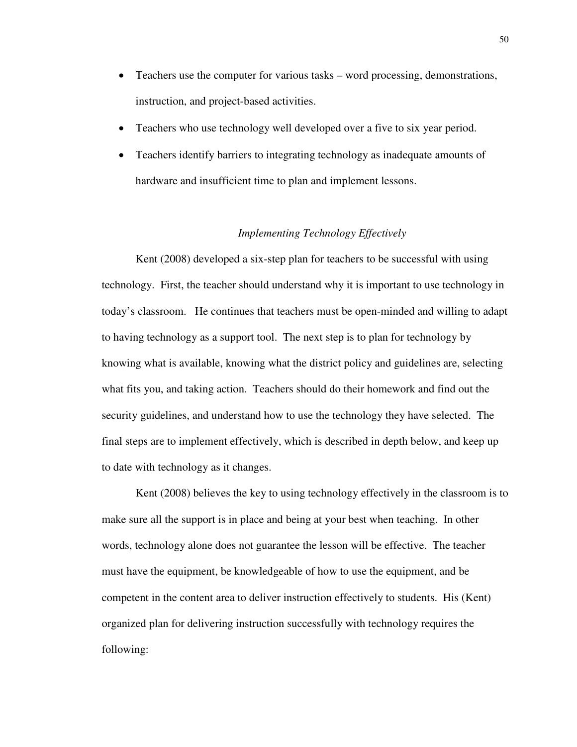- Teachers use the computer for various tasks word processing, demonstrations, instruction, and project-based activities.
- Teachers who use technology well developed over a five to six year period.
- Teachers identify barriers to integrating technology as inadequate amounts of hardware and insufficient time to plan and implement lessons.

# *Implementing Technology Effectively*

Kent (2008) developed a six-step plan for teachers to be successful with using technology. First, the teacher should understand why it is important to use technology in today's classroom. He continues that teachers must be open-minded and willing to adapt to having technology as a support tool. The next step is to plan for technology by knowing what is available, knowing what the district policy and guidelines are, selecting what fits you, and taking action. Teachers should do their homework and find out the security guidelines, and understand how to use the technology they have selected. The final steps are to implement effectively, which is described in depth below, and keep up to date with technology as it changes.

Kent (2008) believes the key to using technology effectively in the classroom is to make sure all the support is in place and being at your best when teaching. In other words, technology alone does not guarantee the lesson will be effective. The teacher must have the equipment, be knowledgeable of how to use the equipment, and be competent in the content area to deliver instruction effectively to students. His (Kent) organized plan for delivering instruction successfully with technology requires the following: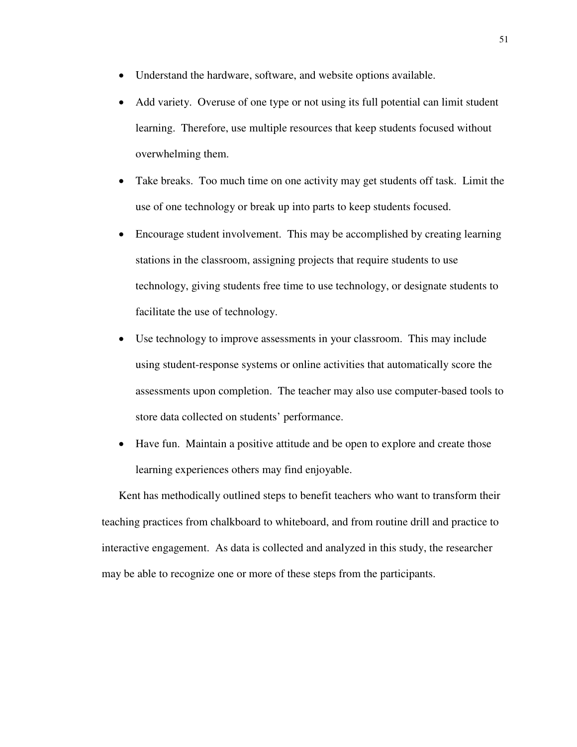- Understand the hardware, software, and website options available.
- Add variety. Overuse of one type or not using its full potential can limit student learning. Therefore, use multiple resources that keep students focused without overwhelming them.
- Take breaks. Too much time on one activity may get students off task. Limit the use of one technology or break up into parts to keep students focused.
- Encourage student involvement. This may be accomplished by creating learning stations in the classroom, assigning projects that require students to use technology, giving students free time to use technology, or designate students to facilitate the use of technology.
- Use technology to improve assessments in your classroom. This may include using student-response systems or online activities that automatically score the assessments upon completion. The teacher may also use computer-based tools to store data collected on students' performance.
- Have fun. Maintain a positive attitude and be open to explore and create those learning experiences others may find enjoyable.

Kent has methodically outlined steps to benefit teachers who want to transform their teaching practices from chalkboard to whiteboard, and from routine drill and practice to interactive engagement. As data is collected and analyzed in this study, the researcher may be able to recognize one or more of these steps from the participants.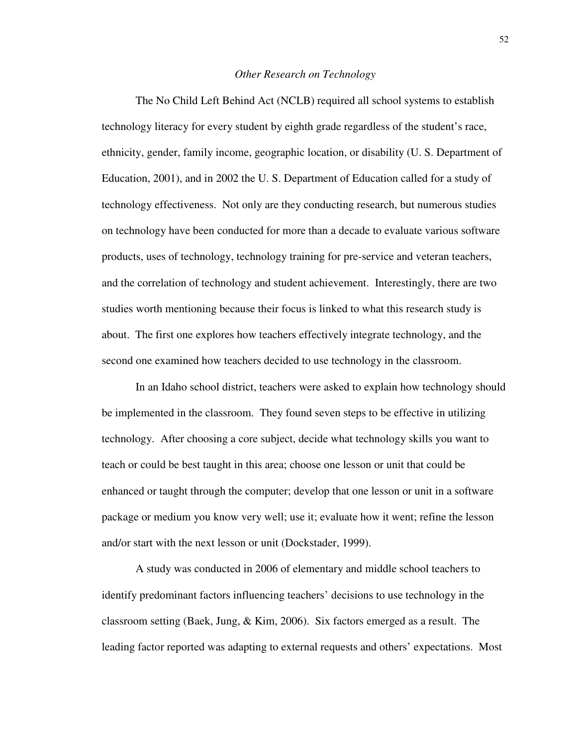#### *Other Research on Technology*

The No Child Left Behind Act (NCLB) required all school systems to establish technology literacy for every student by eighth grade regardless of the student's race, ethnicity, gender, family income, geographic location, or disability (U. S. Department of Education, 2001), and in 2002 the U. S. Department of Education called for a study of technology effectiveness. Not only are they conducting research, but numerous studies on technology have been conducted for more than a decade to evaluate various software products, uses of technology, technology training for pre-service and veteran teachers, and the correlation of technology and student achievement. Interestingly, there are two studies worth mentioning because their focus is linked to what this research study is about. The first one explores how teachers effectively integrate technology, and the second one examined how teachers decided to use technology in the classroom.

In an Idaho school district, teachers were asked to explain how technology should be implemented in the classroom. They found seven steps to be effective in utilizing technology. After choosing a core subject, decide what technology skills you want to teach or could be best taught in this area; choose one lesson or unit that could be enhanced or taught through the computer; develop that one lesson or unit in a software package or medium you know very well; use it; evaluate how it went; refine the lesson and/or start with the next lesson or unit (Dockstader, 1999).

 A study was conducted in 2006 of elementary and middle school teachers to identify predominant factors influencing teachers' decisions to use technology in the classroom setting (Baek, Jung, & Kim, 2006). Six factors emerged as a result. The leading factor reported was adapting to external requests and others' expectations. Most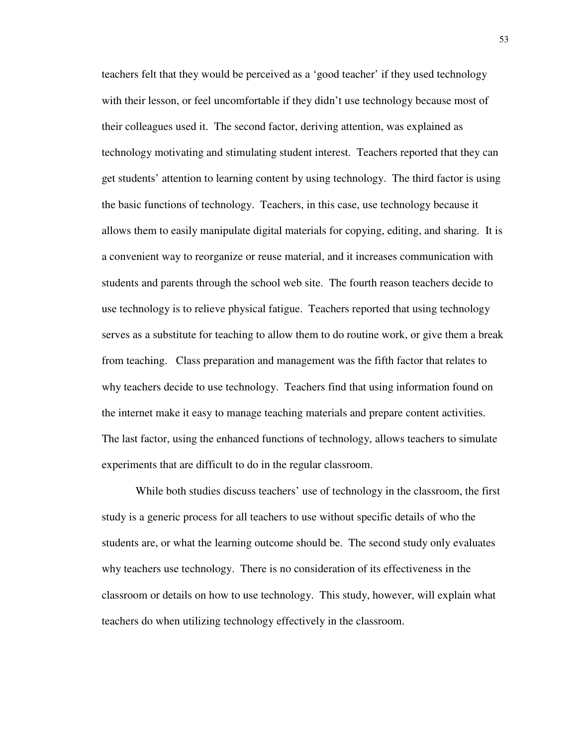teachers felt that they would be perceived as a 'good teacher' if they used technology with their lesson, or feel uncomfortable if they didn't use technology because most of their colleagues used it. The second factor, deriving attention, was explained as technology motivating and stimulating student interest. Teachers reported that they can get students' attention to learning content by using technology. The third factor is using the basic functions of technology. Teachers, in this case, use technology because it allows them to easily manipulate digital materials for copying, editing, and sharing. It is a convenient way to reorganize or reuse material, and it increases communication with students and parents through the school web site. The fourth reason teachers decide to use technology is to relieve physical fatigue. Teachers reported that using technology serves as a substitute for teaching to allow them to do routine work, or give them a break from teaching. Class preparation and management was the fifth factor that relates to why teachers decide to use technology. Teachers find that using information found on the internet make it easy to manage teaching materials and prepare content activities. The last factor, using the enhanced functions of technology, allows teachers to simulate experiments that are difficult to do in the regular classroom.

 While both studies discuss teachers' use of technology in the classroom, the first study is a generic process for all teachers to use without specific details of who the students are, or what the learning outcome should be. The second study only evaluates why teachers use technology. There is no consideration of its effectiveness in the classroom or details on how to use technology. This study, however, will explain what teachers do when utilizing technology effectively in the classroom.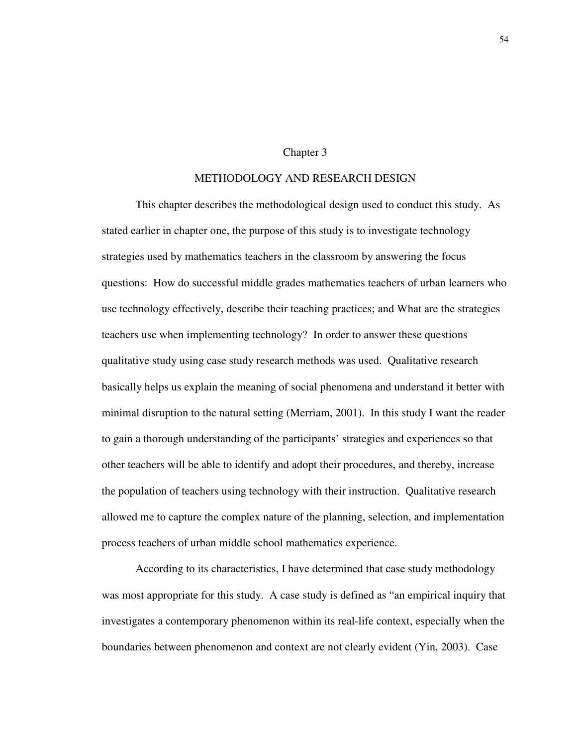#### Chapter 3

## METHODOLOGY AND RESEARCH DESIGN

This chapter describes the methodological design used to conduct this study. As stated earlier in chapter one, the purpose of this study is to investigate technology strategies used by mathematics teachers in the classroom by answering the focus questions: How do successful middle grades mathematics teachers of urban learners who use technology effectively, describe their teaching practices; and What are the strategies teachers use when implementing technology? In order to answer these questions qualitative study using case study research methods was used. Qualitative research basically helps us explain the meaning of social phenomena and understand it better with minimal disruption to the natural setting (Merriam, 2001). In this study I want the reader to gain a thorough understanding of the participants' strategies and experiences so that other teachers will be able to identify and adopt their procedures, and thereby, increase the population of teachers using technology with their instruction. Qualitative research allowed me to capture the complex nature of the planning, selection, and implementation process teachers of urban middle school mathematics experience.

According to its characteristics, I have determined that case study methodology was most appropriate for this study. A case study is defined as "an empirical inquiry that investigates a contemporary phenomenon within its real-life context, especially when the boundaries between phenomenon and context are not clearly evident (Yin, 2003). Case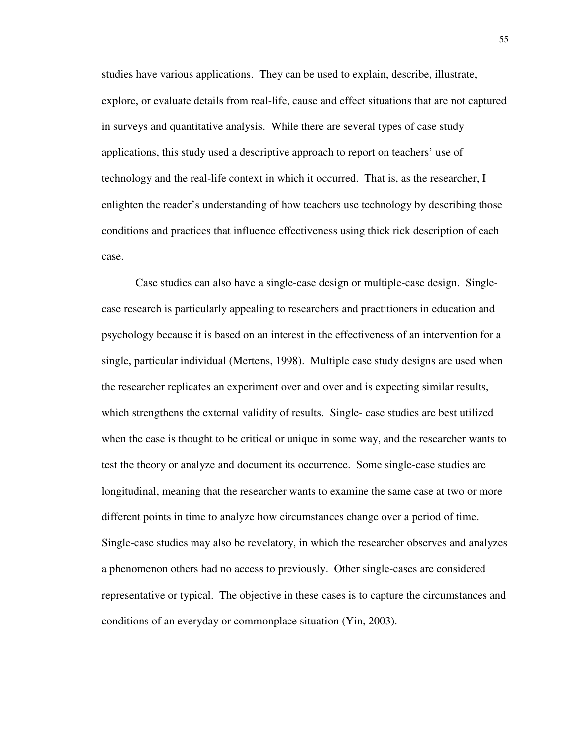studies have various applications. They can be used to explain, describe, illustrate, explore, or evaluate details from real-life, cause and effect situations that are not captured in surveys and quantitative analysis. While there are several types of case study applications, this study used a descriptive approach to report on teachers' use of technology and the real-life context in which it occurred. That is, as the researcher, I enlighten the reader's understanding of how teachers use technology by describing those conditions and practices that influence effectiveness using thick rick description of each case.

Case studies can also have a single-case design or multiple-case design. Singlecase research is particularly appealing to researchers and practitioners in education and psychology because it is based on an interest in the effectiveness of an intervention for a single, particular individual (Mertens, 1998). Multiple case study designs are used when the researcher replicates an experiment over and over and is expecting similar results, which strengthens the external validity of results. Single- case studies are best utilized when the case is thought to be critical or unique in some way, and the researcher wants to test the theory or analyze and document its occurrence. Some single-case studies are longitudinal, meaning that the researcher wants to examine the same case at two or more different points in time to analyze how circumstances change over a period of time. Single-case studies may also be revelatory, in which the researcher observes and analyzes a phenomenon others had no access to previously. Other single-cases are considered representative or typical. The objective in these cases is to capture the circumstances and conditions of an everyday or commonplace situation (Yin, 2003).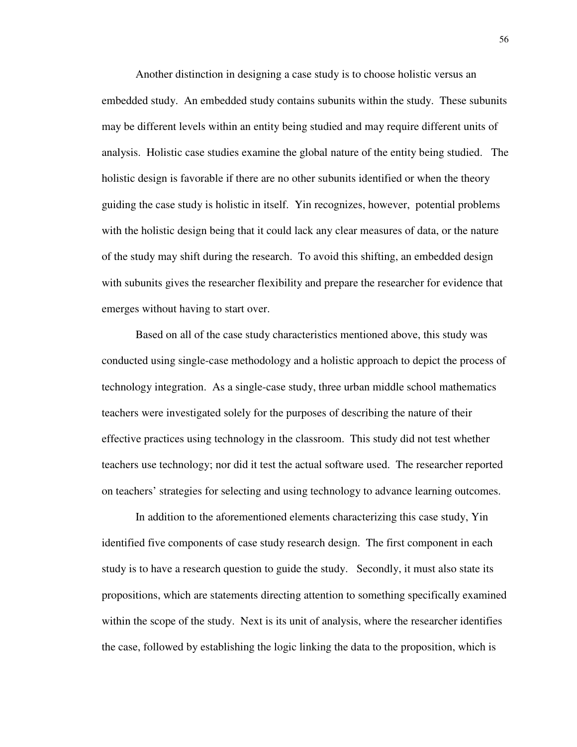Another distinction in designing a case study is to choose holistic versus an embedded study. An embedded study contains subunits within the study. These subunits may be different levels within an entity being studied and may require different units of analysis. Holistic case studies examine the global nature of the entity being studied. The holistic design is favorable if there are no other subunits identified or when the theory guiding the case study is holistic in itself. Yin recognizes, however, potential problems with the holistic design being that it could lack any clear measures of data, or the nature of the study may shift during the research. To avoid this shifting, an embedded design with subunits gives the researcher flexibility and prepare the researcher for evidence that emerges without having to start over.

Based on all of the case study characteristics mentioned above, this study was conducted using single-case methodology and a holistic approach to depict the process of technology integration. As a single-case study, three urban middle school mathematics teachers were investigated solely for the purposes of describing the nature of their effective practices using technology in the classroom. This study did not test whether teachers use technology; nor did it test the actual software used. The researcher reported on teachers' strategies for selecting and using technology to advance learning outcomes.

In addition to the aforementioned elements characterizing this case study, Yin identified five components of case study research design. The first component in each study is to have a research question to guide the study. Secondly, it must also state its propositions, which are statements directing attention to something specifically examined within the scope of the study. Next is its unit of analysis, where the researcher identifies the case, followed by establishing the logic linking the data to the proposition, which is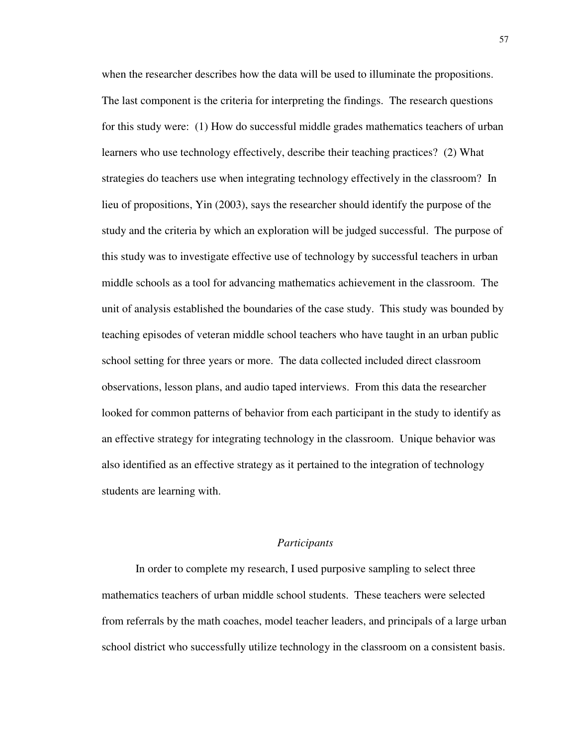when the researcher describes how the data will be used to illuminate the propositions. The last component is the criteria for interpreting the findings. The research questions for this study were: (1) How do successful middle grades mathematics teachers of urban learners who use technology effectively, describe their teaching practices? (2) What strategies do teachers use when integrating technology effectively in the classroom? In lieu of propositions, Yin (2003), says the researcher should identify the purpose of the study and the criteria by which an exploration will be judged successful. The purpose of this study was to investigate effective use of technology by successful teachers in urban middle schools as a tool for advancing mathematics achievement in the classroom. The unit of analysis established the boundaries of the case study. This study was bounded by teaching episodes of veteran middle school teachers who have taught in an urban public school setting for three years or more. The data collected included direct classroom observations, lesson plans, and audio taped interviews. From this data the researcher looked for common patterns of behavior from each participant in the study to identify as an effective strategy for integrating technology in the classroom. Unique behavior was also identified as an effective strategy as it pertained to the integration of technology students are learning with.

#### *Participants*

In order to complete my research, I used purposive sampling to select three mathematics teachers of urban middle school students. These teachers were selected from referrals by the math coaches, model teacher leaders, and principals of a large urban school district who successfully utilize technology in the classroom on a consistent basis.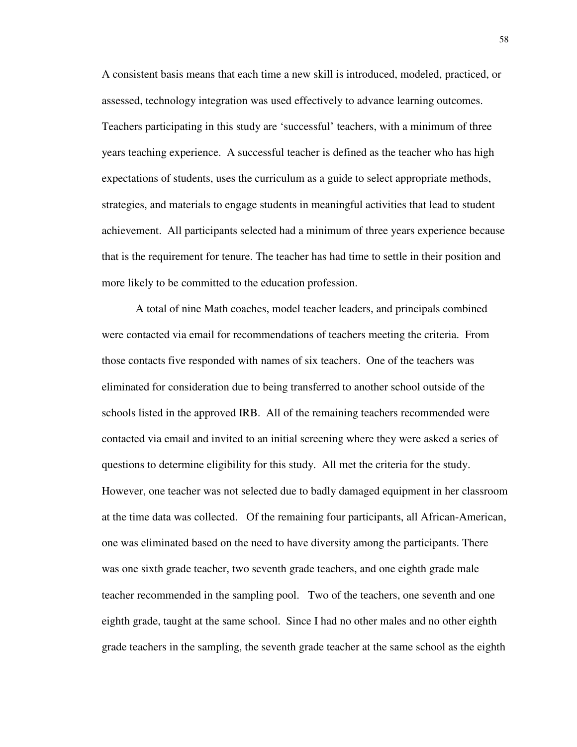A consistent basis means that each time a new skill is introduced, modeled, practiced, or assessed, technology integration was used effectively to advance learning outcomes. Teachers participating in this study are 'successful' teachers, with a minimum of three years teaching experience. A successful teacher is defined as the teacher who has high expectations of students, uses the curriculum as a guide to select appropriate methods, strategies, and materials to engage students in meaningful activities that lead to student achievement. All participants selected had a minimum of three years experience because that is the requirement for tenure. The teacher has had time to settle in their position and more likely to be committed to the education profession.

A total of nine Math coaches, model teacher leaders, and principals combined were contacted via email for recommendations of teachers meeting the criteria. From those contacts five responded with names of six teachers. One of the teachers was eliminated for consideration due to being transferred to another school outside of the schools listed in the approved IRB. All of the remaining teachers recommended were contacted via email and invited to an initial screening where they were asked a series of questions to determine eligibility for this study. All met the criteria for the study. However, one teacher was not selected due to badly damaged equipment in her classroom at the time data was collected. Of the remaining four participants, all African-American, one was eliminated based on the need to have diversity among the participants. There was one sixth grade teacher, two seventh grade teachers, and one eighth grade male teacher recommended in the sampling pool. Two of the teachers, one seventh and one eighth grade, taught at the same school. Since I had no other males and no other eighth grade teachers in the sampling, the seventh grade teacher at the same school as the eighth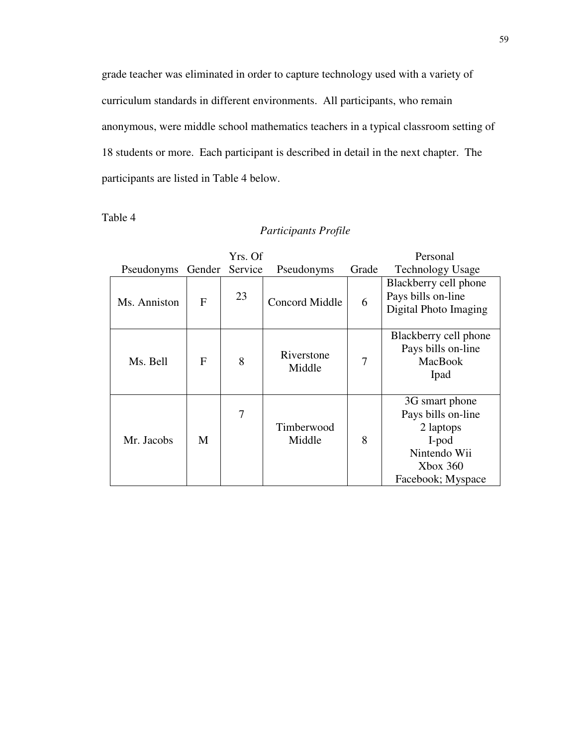grade teacher was eliminated in order to capture technology used with a variety of curriculum standards in different environments. All participants, who remain anonymous, were middle school mathematics teachers in a typical classroom setting of 18 students or more. Each participant is described in detail in the next chapter. The participants are listed in Table 4 below.

Table 4

## *Participants Profile*

| Yrs. Of      |        |         | Personal             |       |                                                                                                                |
|--------------|--------|---------|----------------------|-------|----------------------------------------------------------------------------------------------------------------|
| Pseudonyms   | Gender | Service | Pseudonyms           | Grade | <b>Technology Usage</b>                                                                                        |
| Ms. Anniston | F      | 23      | Concord Middle       | 6     | Blackberry cell phone<br>Pays bills on-line<br>Digital Photo Imaging                                           |
| Ms. Bell     | F      | 8       | Riverstone<br>Middle | 7     | Blackberry cell phone<br>Pays bills on-line<br><b>MacBook</b><br>Ipad                                          |
| Mr. Jacobs   | M      | 7       | Timberwood<br>Middle | 8     | 3G smart phone<br>Pays bills on-line<br>2 laptops<br>I-pod<br>Nintendo Wii<br>$X$ box 360<br>Facebook; Myspace |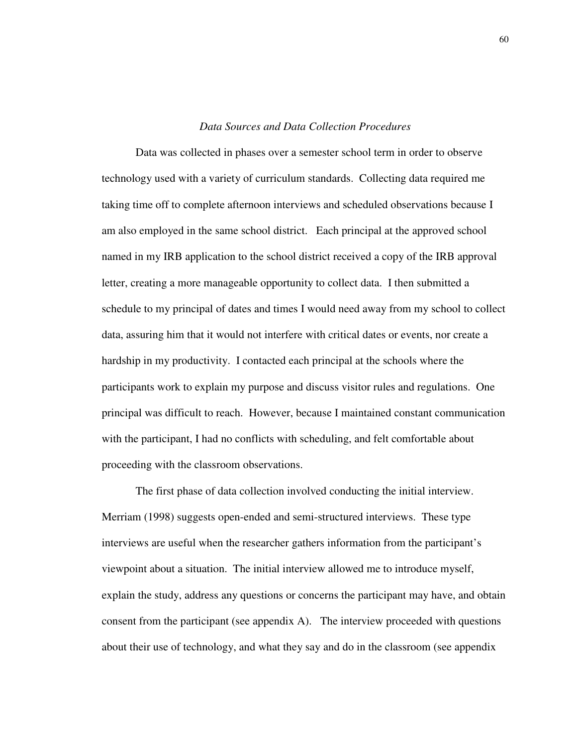## *Data Sources and Data Collection Procedures*

Data was collected in phases over a semester school term in order to observe technology used with a variety of curriculum standards. Collecting data required me taking time off to complete afternoon interviews and scheduled observations because I am also employed in the same school district. Each principal at the approved school named in my IRB application to the school district received a copy of the IRB approval letter, creating a more manageable opportunity to collect data. I then submitted a schedule to my principal of dates and times I would need away from my school to collect data, assuring him that it would not interfere with critical dates or events, nor create a hardship in my productivity. I contacted each principal at the schools where the participants work to explain my purpose and discuss visitor rules and regulations. One principal was difficult to reach. However, because I maintained constant communication with the participant, I had no conflicts with scheduling, and felt comfortable about proceeding with the classroom observations.

The first phase of data collection involved conducting the initial interview. Merriam (1998) suggests open-ended and semi-structured interviews. These type interviews are useful when the researcher gathers information from the participant's viewpoint about a situation. The initial interview allowed me to introduce myself, explain the study, address any questions or concerns the participant may have, and obtain consent from the participant (see appendix A). The interview proceeded with questions about their use of technology, and what they say and do in the classroom (see appendix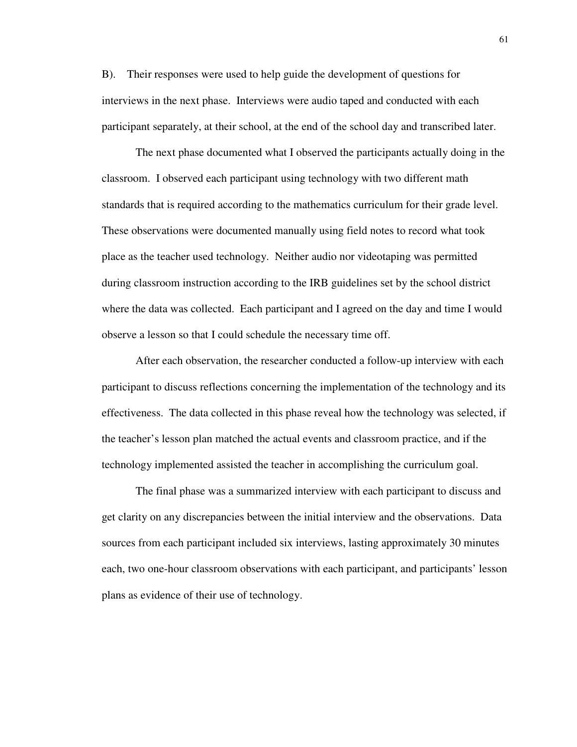B). Their responses were used to help guide the development of questions for interviews in the next phase. Interviews were audio taped and conducted with each participant separately, at their school, at the end of the school day and transcribed later.

The next phase documented what I observed the participants actually doing in the classroom. I observed each participant using technology with two different math standards that is required according to the mathematics curriculum for their grade level. These observations were documented manually using field notes to record what took place as the teacher used technology. Neither audio nor videotaping was permitted during classroom instruction according to the IRB guidelines set by the school district where the data was collected. Each participant and I agreed on the day and time I would observe a lesson so that I could schedule the necessary time off.

After each observation, the researcher conducted a follow-up interview with each participant to discuss reflections concerning the implementation of the technology and its effectiveness. The data collected in this phase reveal how the technology was selected, if the teacher's lesson plan matched the actual events and classroom practice, and if the technology implemented assisted the teacher in accomplishing the curriculum goal.

The final phase was a summarized interview with each participant to discuss and get clarity on any discrepancies between the initial interview and the observations. Data sources from each participant included six interviews, lasting approximately 30 minutes each, two one-hour classroom observations with each participant, and participants' lesson plans as evidence of their use of technology.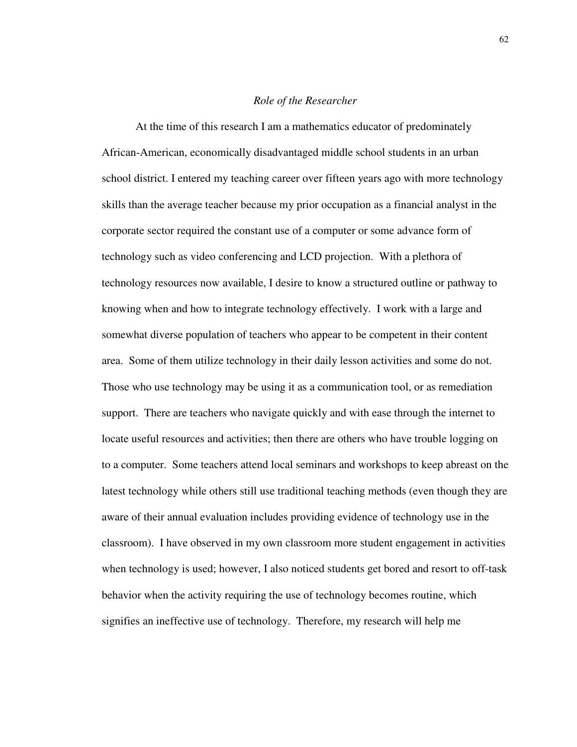## *Role of the Researcher*

At the time of this research I am a mathematics educator of predominately African-American, economically disadvantaged middle school students in an urban school district. I entered my teaching career over fifteen years ago with more technology skills than the average teacher because my prior occupation as a financial analyst in the corporate sector required the constant use of a computer or some advance form of technology such as video conferencing and LCD projection. With a plethora of technology resources now available, I desire to know a structured outline or pathway to knowing when and how to integrate technology effectively. I work with a large and somewhat diverse population of teachers who appear to be competent in their content area. Some of them utilize technology in their daily lesson activities and some do not. Those who use technology may be using it as a communication tool, or as remediation support. There are teachers who navigate quickly and with ease through the internet to locate useful resources and activities; then there are others who have trouble logging on to a computer. Some teachers attend local seminars and workshops to keep abreast on the latest technology while others still use traditional teaching methods (even though they are aware of their annual evaluation includes providing evidence of technology use in the classroom). I have observed in my own classroom more student engagement in activities when technology is used; however, I also noticed students get bored and resort to off-task behavior when the activity requiring the use of technology becomes routine, which signifies an ineffective use of technology. Therefore, my research will help me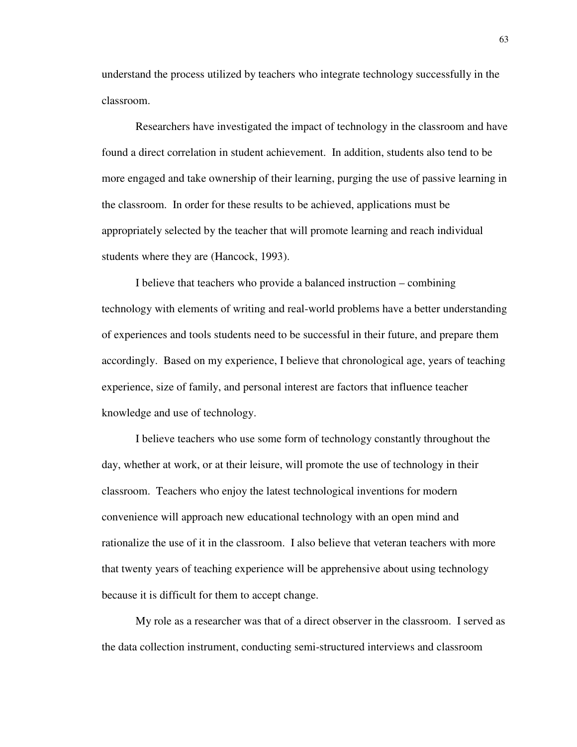understand the process utilized by teachers who integrate technology successfully in the classroom.

Researchers have investigated the impact of technology in the classroom and have found a direct correlation in student achievement. In addition, students also tend to be more engaged and take ownership of their learning, purging the use of passive learning in the classroom. In order for these results to be achieved, applications must be appropriately selected by the teacher that will promote learning and reach individual students where they are (Hancock, 1993).

I believe that teachers who provide a balanced instruction – combining technology with elements of writing and real-world problems have a better understanding of experiences and tools students need to be successful in their future, and prepare them accordingly. Based on my experience, I believe that chronological age, years of teaching experience, size of family, and personal interest are factors that influence teacher knowledge and use of technology.

I believe teachers who use some form of technology constantly throughout the day, whether at work, or at their leisure, will promote the use of technology in their classroom. Teachers who enjoy the latest technological inventions for modern convenience will approach new educational technology with an open mind and rationalize the use of it in the classroom. I also believe that veteran teachers with more that twenty years of teaching experience will be apprehensive about using technology because it is difficult for them to accept change.

My role as a researcher was that of a direct observer in the classroom. I served as the data collection instrument, conducting semi-structured interviews and classroom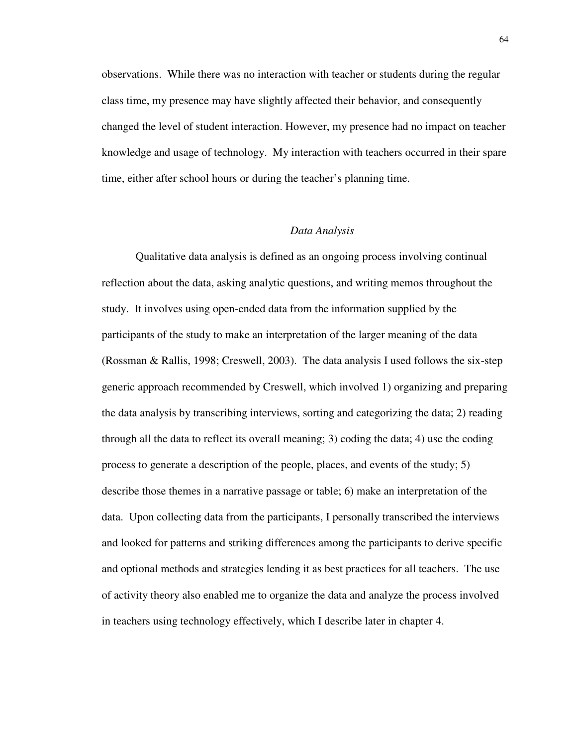observations. While there was no interaction with teacher or students during the regular class time, my presence may have slightly affected their behavior, and consequently changed the level of student interaction. However, my presence had no impact on teacher knowledge and usage of technology. My interaction with teachers occurred in their spare time, either after school hours or during the teacher's planning time.

### *Data Analysis*

Qualitative data analysis is defined as an ongoing process involving continual reflection about the data, asking analytic questions, and writing memos throughout the study. It involves using open-ended data from the information supplied by the participants of the study to make an interpretation of the larger meaning of the data (Rossman & Rallis, 1998; Creswell, 2003). The data analysis I used follows the six-step generic approach recommended by Creswell, which involved 1) organizing and preparing the data analysis by transcribing interviews, sorting and categorizing the data; 2) reading through all the data to reflect its overall meaning; 3) coding the data; 4) use the coding process to generate a description of the people, places, and events of the study; 5) describe those themes in a narrative passage or table; 6) make an interpretation of the data. Upon collecting data from the participants, I personally transcribed the interviews and looked for patterns and striking differences among the participants to derive specific and optional methods and strategies lending it as best practices for all teachers. The use of activity theory also enabled me to organize the data and analyze the process involved in teachers using technology effectively, which I describe later in chapter 4.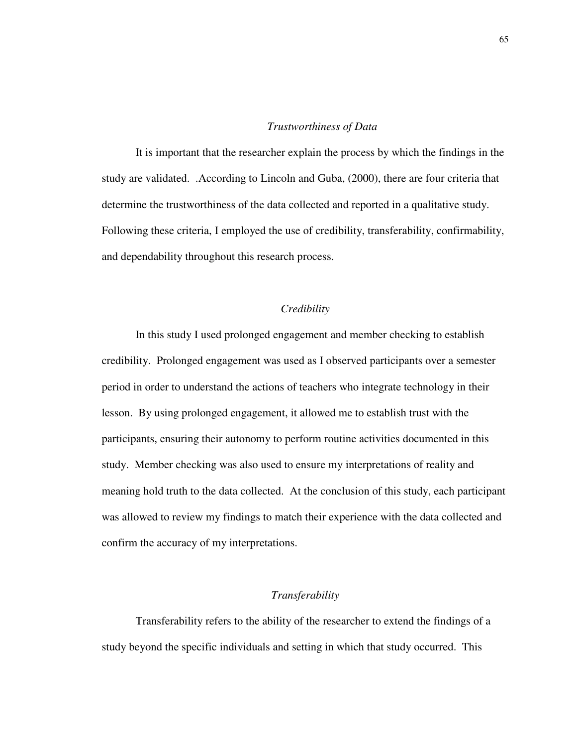## *Trustworthiness of Data*

It is important that the researcher explain the process by which the findings in the study are validated. .According to Lincoln and Guba, (2000), there are four criteria that determine the trustworthiness of the data collected and reported in a qualitative study. Following these criteria, I employed the use of credibility, transferability, confirmability, and dependability throughout this research process.

### *Credibility*

In this study I used prolonged engagement and member checking to establish credibility. Prolonged engagement was used as I observed participants over a semester period in order to understand the actions of teachers who integrate technology in their lesson. By using prolonged engagement, it allowed me to establish trust with the participants, ensuring their autonomy to perform routine activities documented in this study. Member checking was also used to ensure my interpretations of reality and meaning hold truth to the data collected. At the conclusion of this study, each participant was allowed to review my findings to match their experience with the data collected and confirm the accuracy of my interpretations.

#### *Transferability*

Transferability refers to the ability of the researcher to extend the findings of a study beyond the specific individuals and setting in which that study occurred. This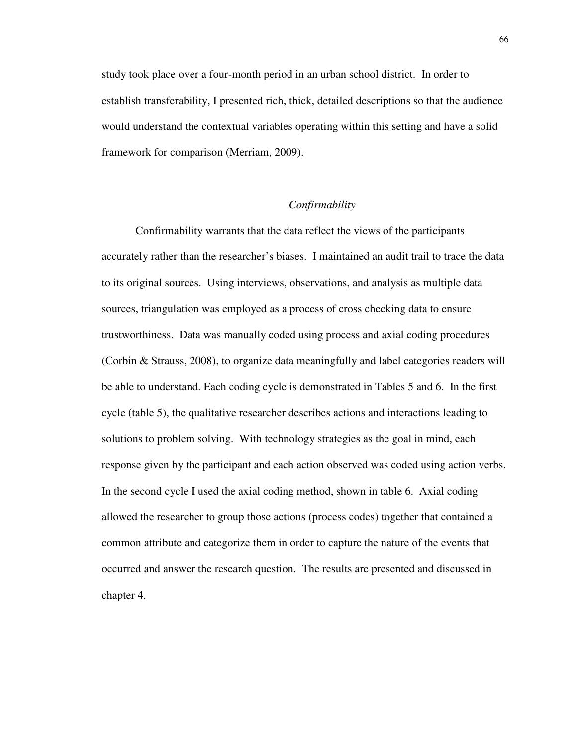study took place over a four-month period in an urban school district. In order to establish transferability, I presented rich, thick, detailed descriptions so that the audience would understand the contextual variables operating within this setting and have a solid framework for comparison (Merriam, 2009).

## *Confirmability*

Confirmability warrants that the data reflect the views of the participants accurately rather than the researcher's biases. I maintained an audit trail to trace the data to its original sources. Using interviews, observations, and analysis as multiple data sources, triangulation was employed as a process of cross checking data to ensure trustworthiness. Data was manually coded using process and axial coding procedures (Corbin & Strauss, 2008), to organize data meaningfully and label categories readers will be able to understand. Each coding cycle is demonstrated in Tables 5 and 6. In the first cycle (table 5), the qualitative researcher describes actions and interactions leading to solutions to problem solving. With technology strategies as the goal in mind, each response given by the participant and each action observed was coded using action verbs. In the second cycle I used the axial coding method, shown in table 6. Axial coding allowed the researcher to group those actions (process codes) together that contained a common attribute and categorize them in order to capture the nature of the events that occurred and answer the research question. The results are presented and discussed in chapter 4.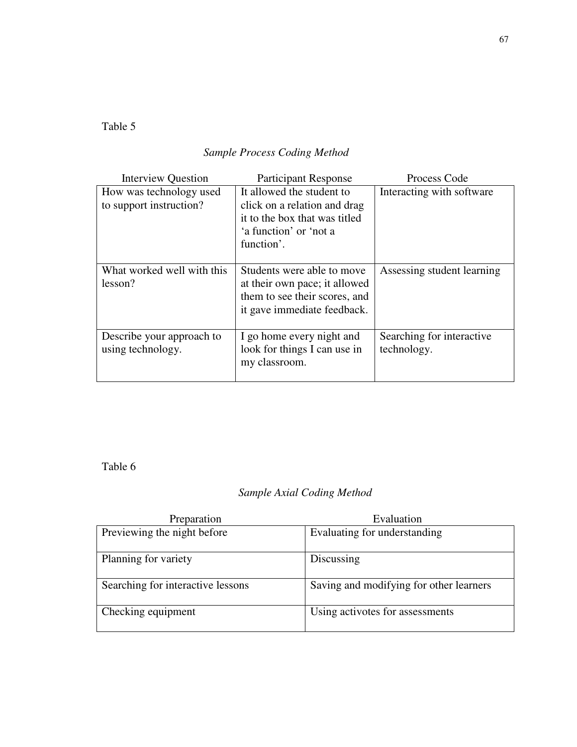Table 5

# *Sample Process Coding Method*

| <b>Interview Question</b>                          | <b>Participant Response</b>                                                                                                        | Process Code                             |  |
|----------------------------------------------------|------------------------------------------------------------------------------------------------------------------------------------|------------------------------------------|--|
| How was technology used<br>to support instruction? | It allowed the student to<br>click on a relation and drag<br>it to the box that was titled<br>'a function' or 'not a<br>function'. | Interacting with software                |  |
| What worked well with this<br>lesson?              | Students were able to move<br>at their own pace; it allowed<br>them to see their scores, and<br>it gave immediate feedback.        | Assessing student learning               |  |
| Describe your approach to<br>using technology.     | I go home every night and<br>look for things I can use in<br>my classroom.                                                         | Searching for interactive<br>technology. |  |

Table 6

## *Sample Axial Coding Method*

| Preparation                       | Evaluation                              |
|-----------------------------------|-----------------------------------------|
| Previewing the night before       | Evaluating for understanding            |
| Planning for variety              | Discussing                              |
| Searching for interactive lessons | Saving and modifying for other learners |
| Checking equipment                | Using activotes for assessments         |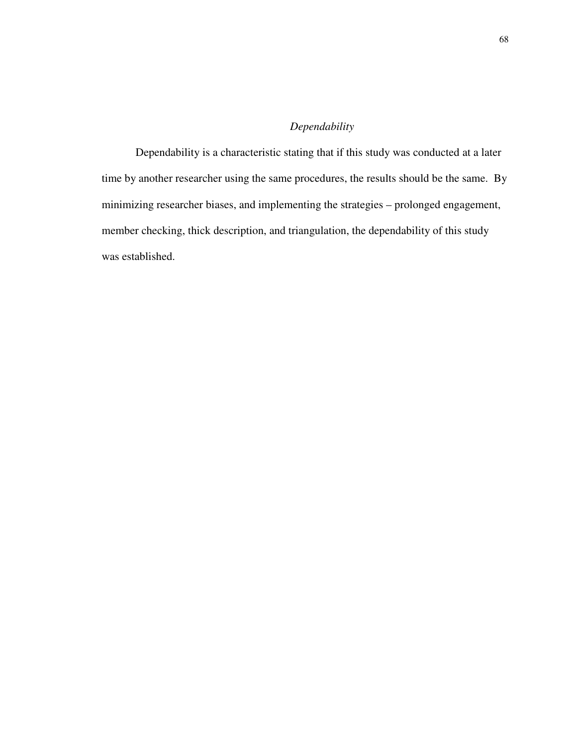## *Dependability*

Dependability is a characteristic stating that if this study was conducted at a later time by another researcher using the same procedures, the results should be the same. By minimizing researcher biases, and implementing the strategies – prolonged engagement, member checking, thick description, and triangulation, the dependability of this study was established.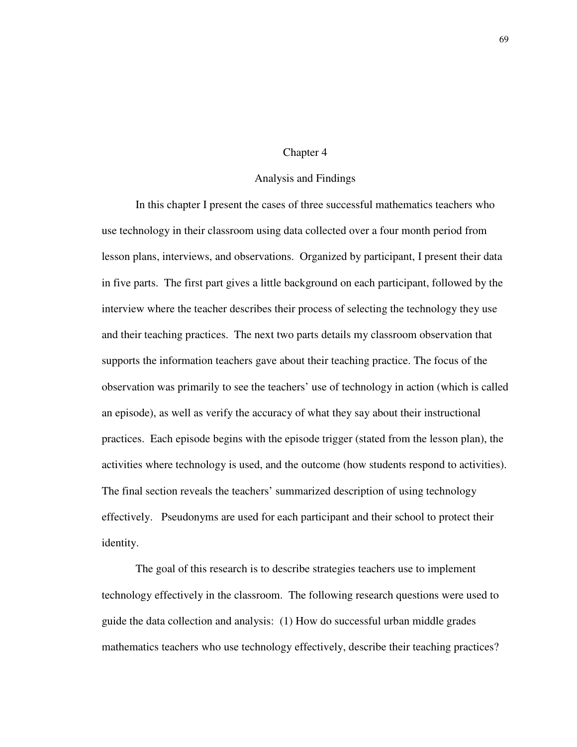#### Chapter 4

#### Analysis and Findings

 In this chapter I present the cases of three successful mathematics teachers who use technology in their classroom using data collected over a four month period from lesson plans, interviews, and observations. Organized by participant, I present their data in five parts. The first part gives a little background on each participant, followed by the interview where the teacher describes their process of selecting the technology they use and their teaching practices. The next two parts details my classroom observation that supports the information teachers gave about their teaching practice. The focus of the observation was primarily to see the teachers' use of technology in action (which is called an episode), as well as verify the accuracy of what they say about their instructional practices. Each episode begins with the episode trigger (stated from the lesson plan), the activities where technology is used, and the outcome (how students respond to activities). The final section reveals the teachers' summarized description of using technology effectively. Pseudonyms are used for each participant and their school to protect their identity.

The goal of this research is to describe strategies teachers use to implement technology effectively in the classroom. The following research questions were used to guide the data collection and analysis: (1) How do successful urban middle grades mathematics teachers who use technology effectively, describe their teaching practices?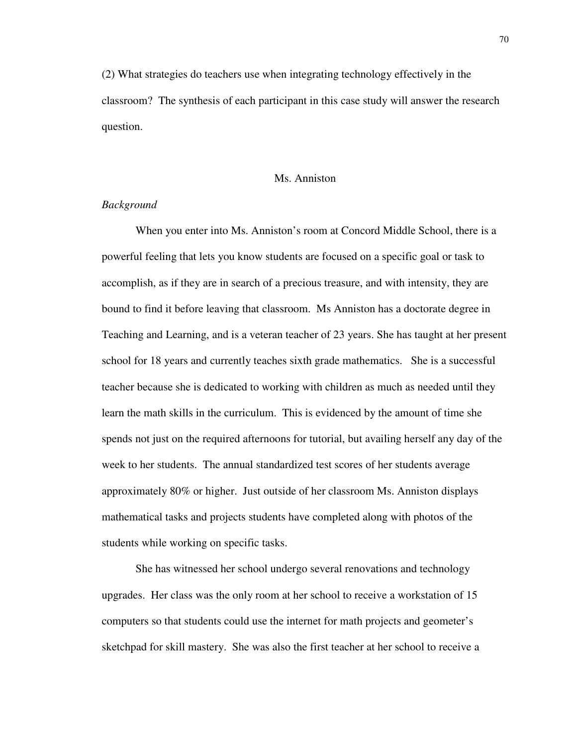(2) What strategies do teachers use when integrating technology effectively in the classroom? The synthesis of each participant in this case study will answer the research question.

#### Ms. Anniston

## *Background*

When you enter into Ms. Anniston's room at Concord Middle School, there is a powerful feeling that lets you know students are focused on a specific goal or task to accomplish, as if they are in search of a precious treasure, and with intensity, they are bound to find it before leaving that classroom. Ms Anniston has a doctorate degree in Teaching and Learning, and is a veteran teacher of 23 years. She has taught at her present school for 18 years and currently teaches sixth grade mathematics. She is a successful teacher because she is dedicated to working with children as much as needed until they learn the math skills in the curriculum. This is evidenced by the amount of time she spends not just on the required afternoons for tutorial, but availing herself any day of the week to her students. The annual standardized test scores of her students average approximately 80% or higher. Just outside of her classroom Ms. Anniston displays mathematical tasks and projects students have completed along with photos of the students while working on specific tasks.

She has witnessed her school undergo several renovations and technology upgrades. Her class was the only room at her school to receive a workstation of 15 computers so that students could use the internet for math projects and geometer's sketchpad for skill mastery. She was also the first teacher at her school to receive a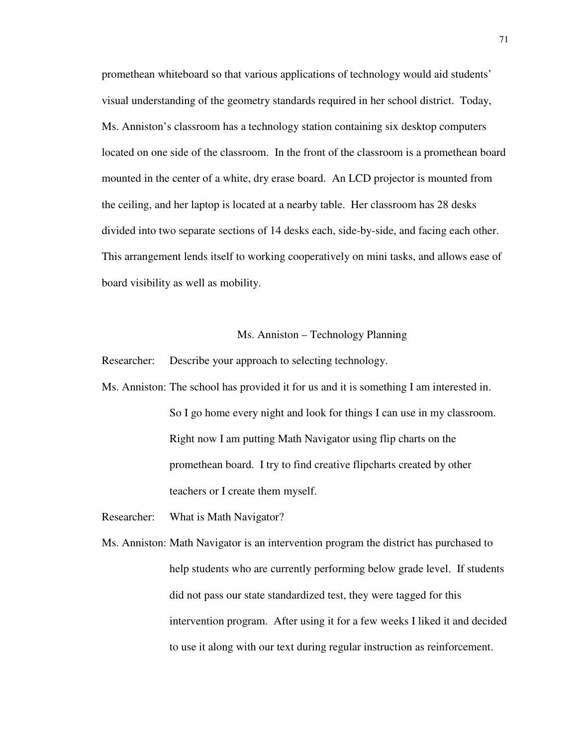promethean whiteboard so that various applications of technology would aid students' visual understanding of the geometry standards required in her school district. Today, Ms. Anniston's classroom has a technology station containing six desktop computers located on one side of the classroom. In the front of the classroom is a promethean board mounted in the center of a white, dry erase board. An LCD projector is mounted from the ceiling, and her laptop is located at a nearby table. Her classroom has 28 desks divided into two separate sections of 14 desks each, side-by-side, and facing each other. This arrangement lends itself to working cooperatively on mini tasks, and allows ease of board visibility as well as mobility.

#### Ms. Anniston – Technology Planning

Researcher: Describe your approach to selecting technology.

- Ms. Anniston: The school has provided it for us and it is something I am interested in. So I go home every night and look for things I can use in my classroom. Right now I am putting Math Navigator using flip charts on the promethean board. I try to find creative flipcharts created by other teachers or I create them myself.
- Researcher: What is Math Navigator?
- Ms. Anniston: Math Navigator is an intervention program the district has purchased to help students who are currently performing below grade level. If students did not pass our state standardized test, they were tagged for this intervention program. After using it for a few weeks I liked it and decided to use it along with our text during regular instruction as reinforcement.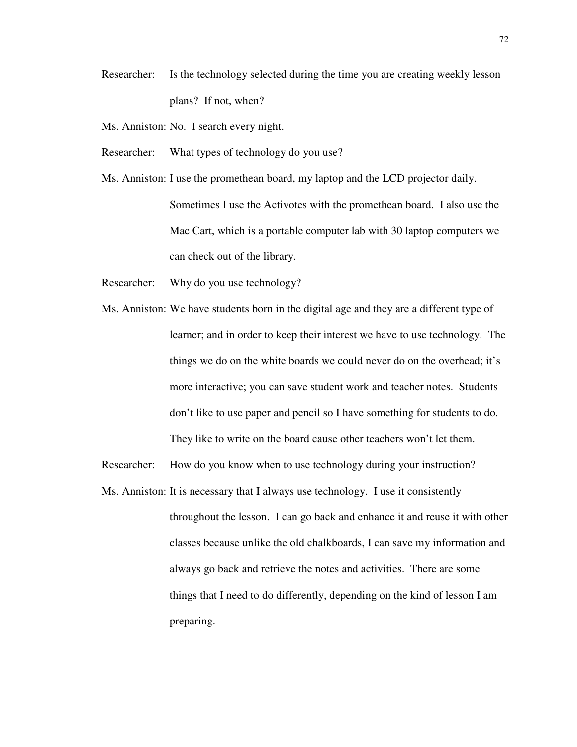- Researcher: Is the technology selected during the time you are creating weekly lesson plans? If not, when?
- Ms. Anniston: No. I search every night.
- Researcher: What types of technology do you use?
- Ms. Anniston: I use the promethean board, my laptop and the LCD projector daily. Sometimes I use the Activotes with the promethean board. I also use the Mac Cart, which is a portable computer lab with 30 laptop computers we can check out of the library.
- Researcher: Why do you use technology?
- Ms. Anniston: We have students born in the digital age and they are a different type of learner; and in order to keep their interest we have to use technology. The things we do on the white boards we could never do on the overhead; it's more interactive; you can save student work and teacher notes. Students don't like to use paper and pencil so I have something for students to do. They like to write on the board cause other teachers won't let them.
- Researcher: How do you know when to use technology during your instruction?
- Ms. Anniston: It is necessary that I always use technology. I use it consistently throughout the lesson. I can go back and enhance it and reuse it with other classes because unlike the old chalkboards, I can save my information and always go back and retrieve the notes and activities. There are some things that I need to do differently, depending on the kind of lesson I am preparing.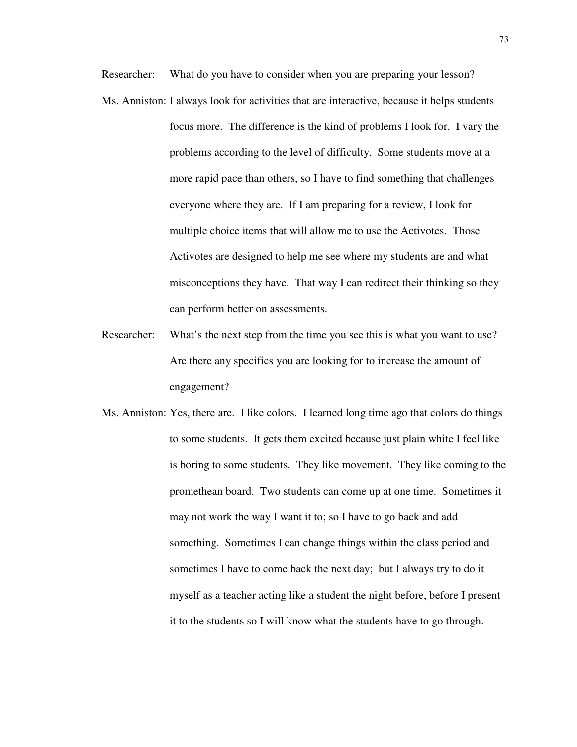Researcher: What do you have to consider when you are preparing your lesson?

- Ms. Anniston: I always look for activities that are interactive, because it helps students focus more. The difference is the kind of problems I look for. I vary the problems according to the level of difficulty. Some students move at a more rapid pace than others, so I have to find something that challenges everyone where they are. If I am preparing for a review, I look for multiple choice items that will allow me to use the Activotes. Those Activotes are designed to help me see where my students are and what misconceptions they have. That way I can redirect their thinking so they can perform better on assessments.
- Researcher: What's the next step from the time you see this is what you want to use? Are there any specifics you are looking for to increase the amount of engagement?
- Ms. Anniston: Yes, there are. I like colors. I learned long time ago that colors do things to some students. It gets them excited because just plain white I feel like is boring to some students. They like movement. They like coming to the promethean board. Two students can come up at one time. Sometimes it may not work the way I want it to; so I have to go back and add something. Sometimes I can change things within the class period and sometimes I have to come back the next day; but I always try to do it myself as a teacher acting like a student the night before, before I present it to the students so I will know what the students have to go through.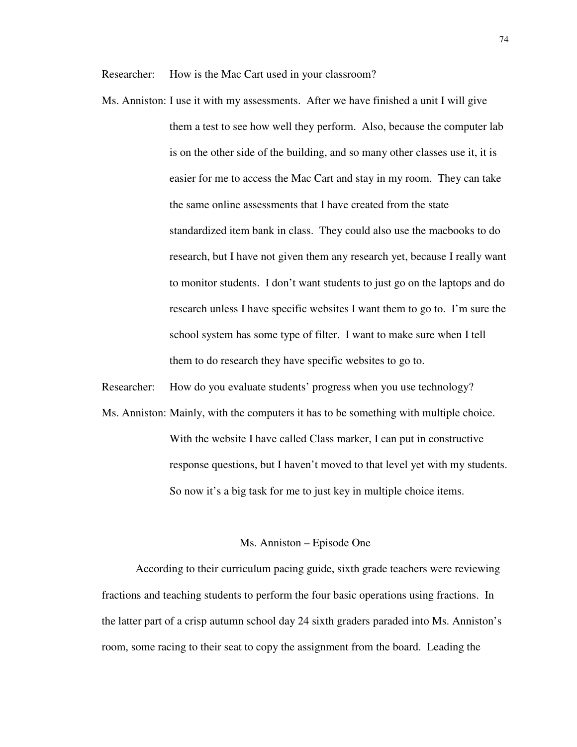Researcher: How is the Mac Cart used in your classroom?

Ms. Anniston: I use it with my assessments. After we have finished a unit I will give them a test to see how well they perform. Also, because the computer lab is on the other side of the building, and so many other classes use it, it is easier for me to access the Mac Cart and stay in my room. They can take the same online assessments that I have created from the state standardized item bank in class. They could also use the macbooks to do research, but I have not given them any research yet, because I really want to monitor students. I don't want students to just go on the laptops and do research unless I have specific websites I want them to go to. I'm sure the school system has some type of filter. I want to make sure when I tell them to do research they have specific websites to go to.

Researcher: How do you evaluate students' progress when you use technology?

Ms. Anniston: Mainly, with the computers it has to be something with multiple choice. With the website I have called Class marker, I can put in constructive response questions, but I haven't moved to that level yet with my students. So now it's a big task for me to just key in multiple choice items.

#### Ms. Anniston – Episode One

According to their curriculum pacing guide, sixth grade teachers were reviewing fractions and teaching students to perform the four basic operations using fractions. In the latter part of a crisp autumn school day 24 sixth graders paraded into Ms. Anniston's room, some racing to their seat to copy the assignment from the board. Leading the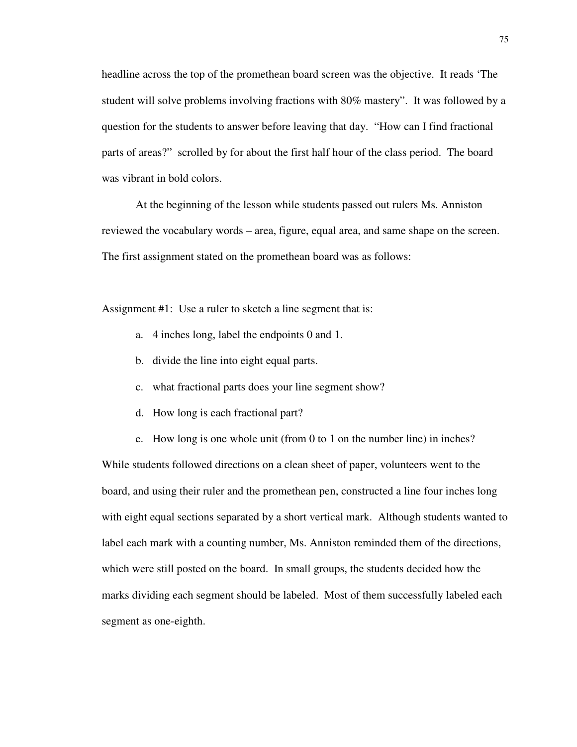headline across the top of the promethean board screen was the objective. It reads 'The student will solve problems involving fractions with 80% mastery". It was followed by a question for the students to answer before leaving that day. "How can I find fractional parts of areas?" scrolled by for about the first half hour of the class period. The board was vibrant in bold colors.

 At the beginning of the lesson while students passed out rulers Ms. Anniston reviewed the vocabulary words – area, figure, equal area, and same shape on the screen. The first assignment stated on the promethean board was as follows:

Assignment #1: Use a ruler to sketch a line segment that is:

- a. 4 inches long, label the endpoints 0 and 1.
- b. divide the line into eight equal parts.
- c. what fractional parts does your line segment show?
- d. How long is each fractional part?
- e. How long is one whole unit (from 0 to 1 on the number line) in inches?

While students followed directions on a clean sheet of paper, volunteers went to the board, and using their ruler and the promethean pen, constructed a line four inches long with eight equal sections separated by a short vertical mark. Although students wanted to label each mark with a counting number, Ms. Anniston reminded them of the directions, which were still posted on the board. In small groups, the students decided how the marks dividing each segment should be labeled. Most of them successfully labeled each segment as one-eighth.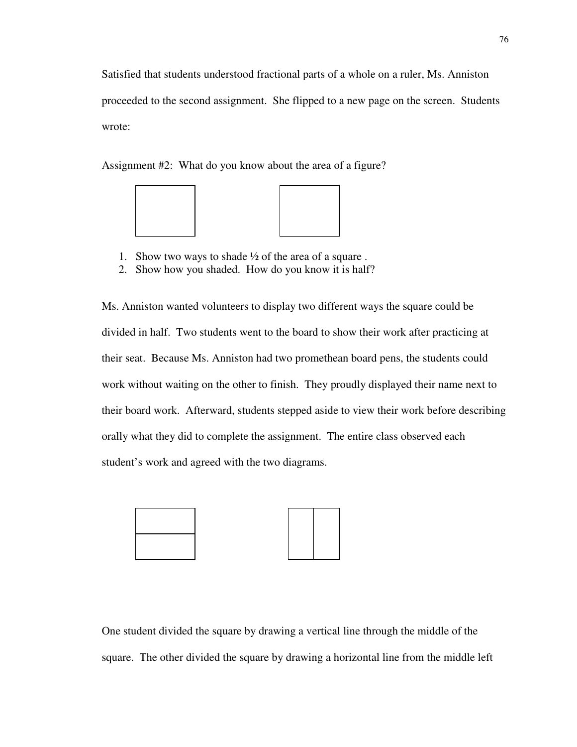Satisfied that students understood fractional parts of a whole on a ruler, Ms. Anniston proceeded to the second assignment. She flipped to a new page on the screen. Students wrote:

Assignment #2: What do you know about the area of a figure?



- 1. Show two ways to shade  $\frac{1}{2}$  of the area of a square.
- 2. Show how you shaded. How do you know it is half?

Ms. Anniston wanted volunteers to display two different ways the square could be divided in half. Two students went to the board to show their work after practicing at their seat. Because Ms. Anniston had two promethean board pens, the students could work without waiting on the other to finish. They proudly displayed their name next to their board work. Afterward, students stepped aside to view their work before describing orally what they did to complete the assignment. The entire class observed each student's work and agreed with the two diagrams.



One student divided the square by drawing a vertical line through the middle of the square. The other divided the square by drawing a horizontal line from the middle left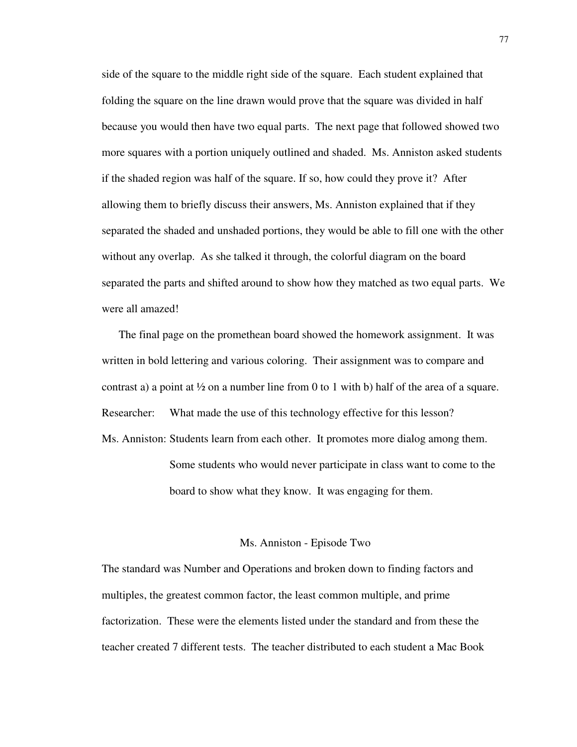side of the square to the middle right side of the square. Each student explained that folding the square on the line drawn would prove that the square was divided in half because you would then have two equal parts. The next page that followed showed two more squares with a portion uniquely outlined and shaded. Ms. Anniston asked students if the shaded region was half of the square. If so, how could they prove it? After allowing them to briefly discuss their answers, Ms. Anniston explained that if they separated the shaded and unshaded portions, they would be able to fill one with the other without any overlap. As she talked it through, the colorful diagram on the board separated the parts and shifted around to show how they matched as two equal parts. We were all amazed!

The final page on the promethean board showed the homework assignment. It was written in bold lettering and various coloring. Their assignment was to compare and contrast a) a point at  $\frac{1}{2}$  on a number line from 0 to 1 with b) half of the area of a square. Researcher: What made the use of this technology effective for this lesson? Ms. Anniston: Students learn from each other. It promotes more dialog among them. Some students who would never participate in class want to come to the

#### Ms. Anniston - Episode Two

board to show what they know. It was engaging for them.

The standard was Number and Operations and broken down to finding factors and multiples, the greatest common factor, the least common multiple, and prime factorization. These were the elements listed under the standard and from these the teacher created 7 different tests. The teacher distributed to each student a Mac Book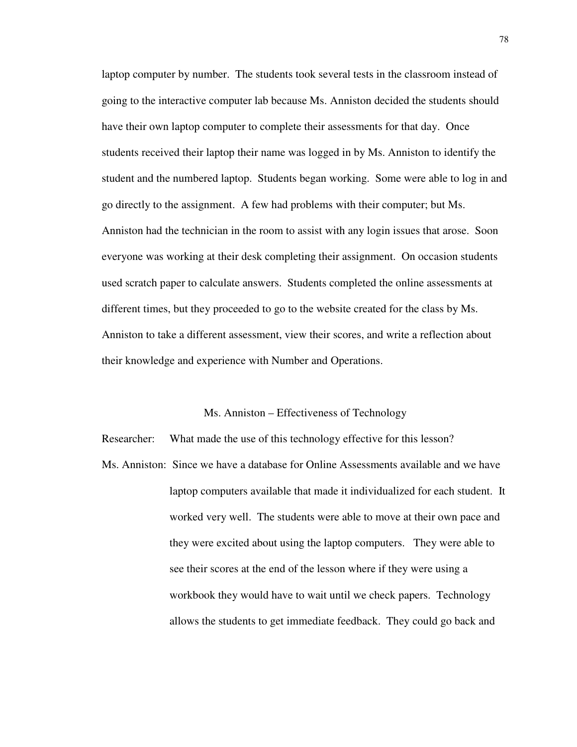laptop computer by number. The students took several tests in the classroom instead of going to the interactive computer lab because Ms. Anniston decided the students should have their own laptop computer to complete their assessments for that day. Once students received their laptop their name was logged in by Ms. Anniston to identify the student and the numbered laptop. Students began working. Some were able to log in and go directly to the assignment. A few had problems with their computer; but Ms. Anniston had the technician in the room to assist with any login issues that arose. Soon everyone was working at their desk completing their assignment. On occasion students used scratch paper to calculate answers. Students completed the online assessments at different times, but they proceeded to go to the website created for the class by Ms. Anniston to take a different assessment, view their scores, and write a reflection about their knowledge and experience with Number and Operations.

#### Ms. Anniston – Effectiveness of Technology

Researcher: What made the use of this technology effective for this lesson?

Ms. Anniston: Since we have a database for Online Assessments available and we have laptop computers available that made it individualized for each student. It worked very well. The students were able to move at their own pace and they were excited about using the laptop computers. They were able to see their scores at the end of the lesson where if they were using a workbook they would have to wait until we check papers. Technology allows the students to get immediate feedback. They could go back and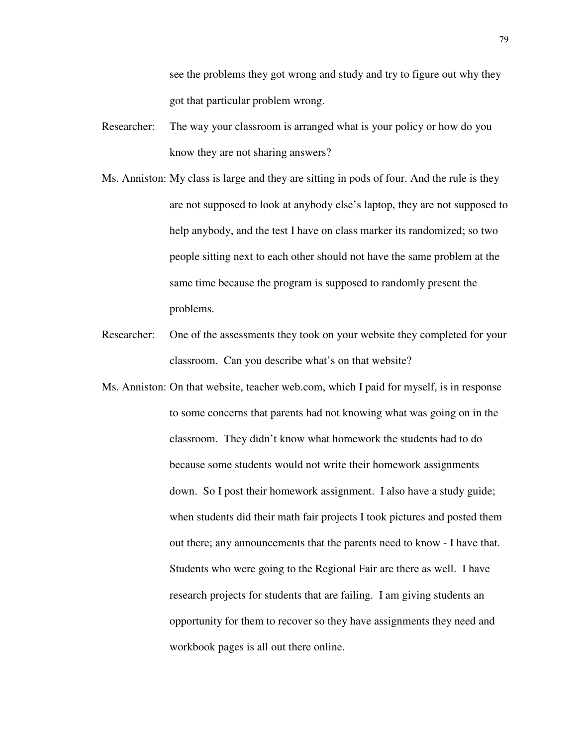see the problems they got wrong and study and try to figure out why they got that particular problem wrong.

- Researcher: The way your classroom is arranged what is your policy or how do you know they are not sharing answers?
- Ms. Anniston: My class is large and they are sitting in pods of four. And the rule is they are not supposed to look at anybody else's laptop, they are not supposed to help anybody, and the test I have on class marker its randomized; so two people sitting next to each other should not have the same problem at the same time because the program is supposed to randomly present the problems.
- Researcher: One of the assessments they took on your website they completed for your classroom. Can you describe what's on that website?
- Ms. Anniston: On that website, teacher web.com, which I paid for myself, is in response to some concerns that parents had not knowing what was going on in the classroom. They didn't know what homework the students had to do because some students would not write their homework assignments down. So I post their homework assignment. I also have a study guide; when students did their math fair projects I took pictures and posted them out there; any announcements that the parents need to know - I have that. Students who were going to the Regional Fair are there as well. I have research projects for students that are failing. I am giving students an opportunity for them to recover so they have assignments they need and workbook pages is all out there online.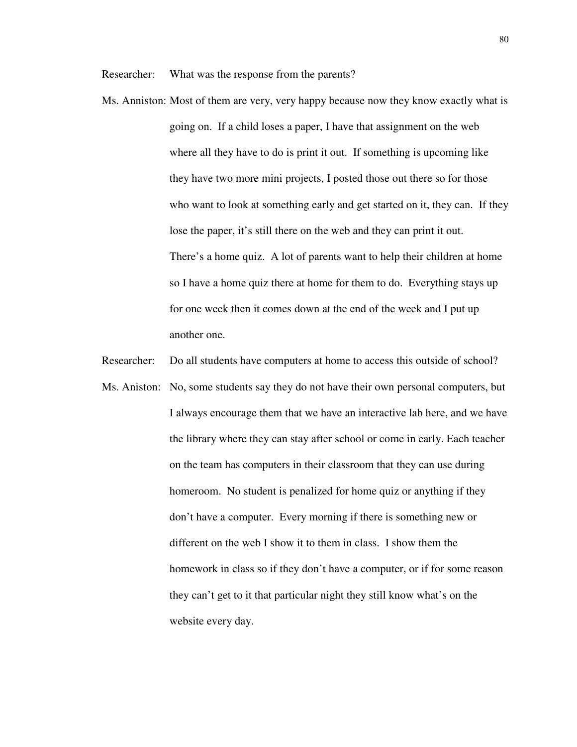Researcher: What was the response from the parents?

- Ms. Anniston: Most of them are very, very happy because now they know exactly what is going on. If a child loses a paper, I have that assignment on the web where all they have to do is print it out. If something is upcoming like they have two more mini projects, I posted those out there so for those who want to look at something early and get started on it, they can. If they lose the paper, it's still there on the web and they can print it out. There's a home quiz. A lot of parents want to help their children at home so I have a home quiz there at home for them to do. Everything stays up for one week then it comes down at the end of the week and I put up another one.
- Researcher: Do all students have computers at home to access this outside of school?
- Ms. Aniston: No, some students say they do not have their own personal computers, but I always encourage them that we have an interactive lab here, and we have the library where they can stay after school or come in early. Each teacher on the team has computers in their classroom that they can use during homeroom. No student is penalized for home quiz or anything if they don't have a computer. Every morning if there is something new or different on the web I show it to them in class. I show them the homework in class so if they don't have a computer, or if for some reason they can't get to it that particular night they still know what's on the website every day.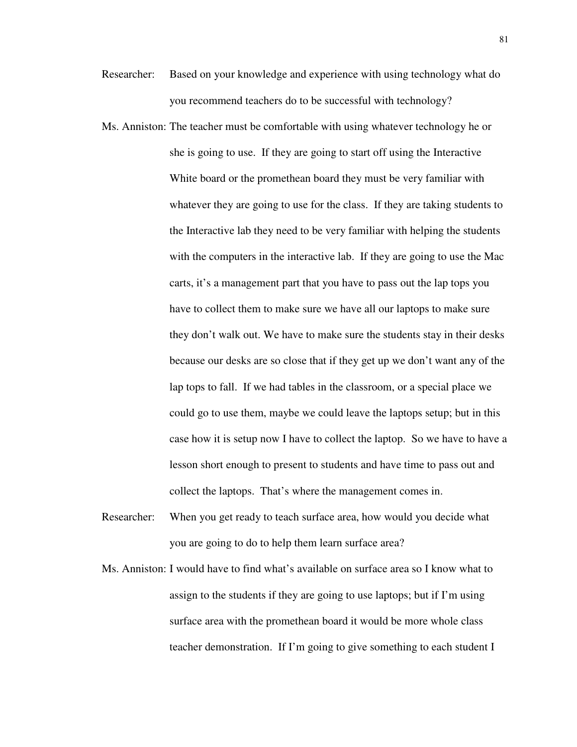- Researcher: Based on your knowledge and experience with using technology what do you recommend teachers do to be successful with technology?
- Ms. Anniston: The teacher must be comfortable with using whatever technology he or she is going to use. If they are going to start off using the Interactive White board or the promethean board they must be very familiar with whatever they are going to use for the class. If they are taking students to the Interactive lab they need to be very familiar with helping the students with the computers in the interactive lab. If they are going to use the Mac carts, it's a management part that you have to pass out the lap tops you have to collect them to make sure we have all our laptops to make sure they don't walk out. We have to make sure the students stay in their desks because our desks are so close that if they get up we don't want any of the lap tops to fall. If we had tables in the classroom, or a special place we could go to use them, maybe we could leave the laptops setup; but in this case how it is setup now I have to collect the laptop. So we have to have a lesson short enough to present to students and have time to pass out and collect the laptops. That's where the management comes in.
- Researcher: When you get ready to teach surface area, how would you decide what you are going to do to help them learn surface area?
- Ms. Anniston: I would have to find what's available on surface area so I know what to assign to the students if they are going to use laptops; but if I'm using surface area with the promethean board it would be more whole class teacher demonstration. If I'm going to give something to each student I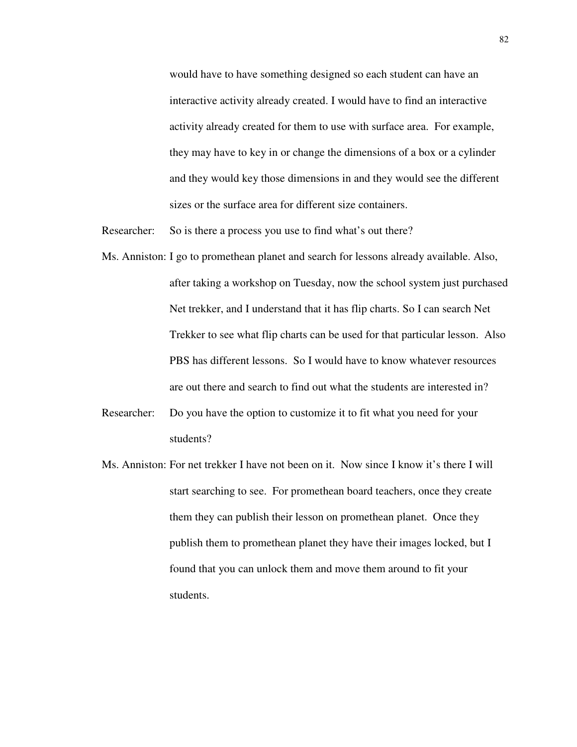would have to have something designed so each student can have an interactive activity already created. I would have to find an interactive activity already created for them to use with surface area. For example, they may have to key in or change the dimensions of a box or a cylinder and they would key those dimensions in and they would see the different sizes or the surface area for different size containers.

Researcher: So is there a process you use to find what's out there?

- Ms. Anniston: I go to promethean planet and search for lessons already available. Also, after taking a workshop on Tuesday, now the school system just purchased Net trekker, and I understand that it has flip charts. So I can search Net Trekker to see what flip charts can be used for that particular lesson. Also PBS has different lessons. So I would have to know whatever resources are out there and search to find out what the students are interested in?
- Researcher: Do you have the option to customize it to fit what you need for your students?
- Ms. Anniston: For net trekker I have not been on it. Now since I know it's there I will start searching to see. For promethean board teachers, once they create them they can publish their lesson on promethean planet. Once they publish them to promethean planet they have their images locked, but I found that you can unlock them and move them around to fit your students.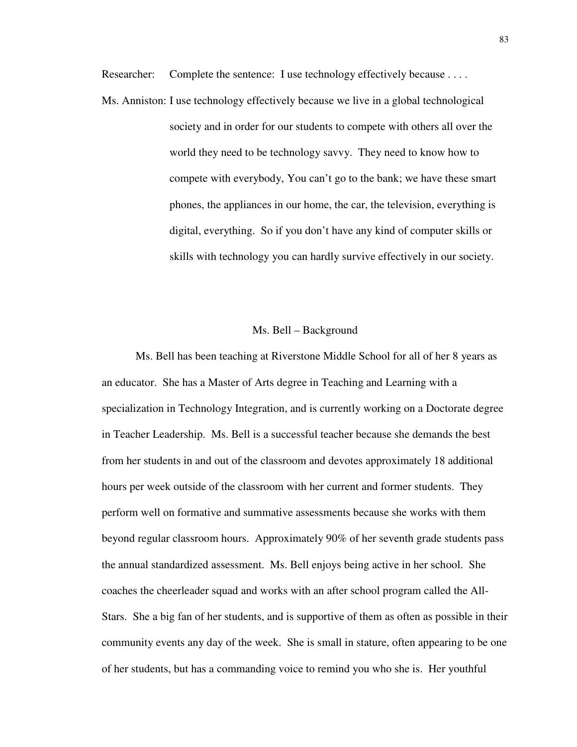Researcher: Complete the sentence: I use technology effectively because . . . .

Ms. Anniston: I use technology effectively because we live in a global technological society and in order for our students to compete with others all over the world they need to be technology savvy. They need to know how to compete with everybody, You can't go to the bank; we have these smart phones, the appliances in our home, the car, the television, everything is digital, everything. So if you don't have any kind of computer skills or skills with technology you can hardly survive effectively in our society.

#### Ms. Bell – Background

Ms. Bell has been teaching at Riverstone Middle School for all of her 8 years as an educator. She has a Master of Arts degree in Teaching and Learning with a specialization in Technology Integration, and is currently working on a Doctorate degree in Teacher Leadership. Ms. Bell is a successful teacher because she demands the best from her students in and out of the classroom and devotes approximately 18 additional hours per week outside of the classroom with her current and former students. They perform well on formative and summative assessments because she works with them beyond regular classroom hours. Approximately 90% of her seventh grade students pass the annual standardized assessment. Ms. Bell enjoys being active in her school. She coaches the cheerleader squad and works with an after school program called the All-Stars. She a big fan of her students, and is supportive of them as often as possible in their community events any day of the week. She is small in stature, often appearing to be one of her students, but has a commanding voice to remind you who she is. Her youthful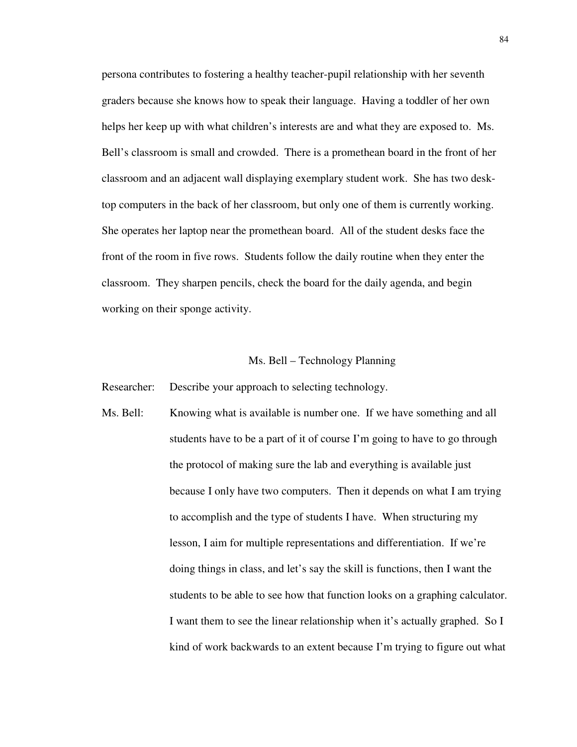persona contributes to fostering a healthy teacher-pupil relationship with her seventh graders because she knows how to speak their language. Having a toddler of her own helps her keep up with what children's interests are and what they are exposed to. Ms. Bell's classroom is small and crowded. There is a promethean board in the front of her classroom and an adjacent wall displaying exemplary student work. She has two desktop computers in the back of her classroom, but only one of them is currently working. She operates her laptop near the promethean board. All of the student desks face the front of the room in five rows. Students follow the daily routine when they enter the classroom. They sharpen pencils, check the board for the daily agenda, and begin working on their sponge activity.

#### Ms. Bell – Technology Planning

Researcher: Describe your approach to selecting technology.

Ms. Bell: Knowing what is available is number one. If we have something and all students have to be a part of it of course I'm going to have to go through the protocol of making sure the lab and everything is available just because I only have two computers. Then it depends on what I am trying to accomplish and the type of students I have. When structuring my lesson, I aim for multiple representations and differentiation. If we're doing things in class, and let's say the skill is functions, then I want the students to be able to see how that function looks on a graphing calculator. I want them to see the linear relationship when it's actually graphed. So I kind of work backwards to an extent because I'm trying to figure out what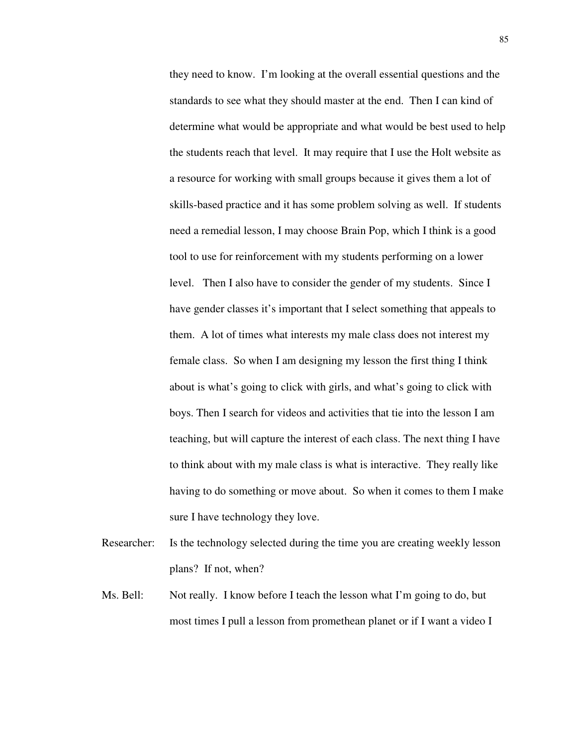they need to know. I'm looking at the overall essential questions and the standards to see what they should master at the end. Then I can kind of determine what would be appropriate and what would be best used to help the students reach that level. It may require that I use the Holt website as a resource for working with small groups because it gives them a lot of skills-based practice and it has some problem solving as well. If students need a remedial lesson, I may choose Brain Pop, which I think is a good tool to use for reinforcement with my students performing on a lower level. Then I also have to consider the gender of my students. Since I have gender classes it's important that I select something that appeals to them. A lot of times what interests my male class does not interest my female class. So when I am designing my lesson the first thing I think about is what's going to click with girls, and what's going to click with boys. Then I search for videos and activities that tie into the lesson I am teaching, but will capture the interest of each class. The next thing I have to think about with my male class is what is interactive. They really like having to do something or move about. So when it comes to them I make sure I have technology they love.

- Researcher: Is the technology selected during the time you are creating weekly lesson plans? If not, when?
- Ms. Bell: Not really. I know before I teach the lesson what I'm going to do, but most times I pull a lesson from promethean planet or if I want a video I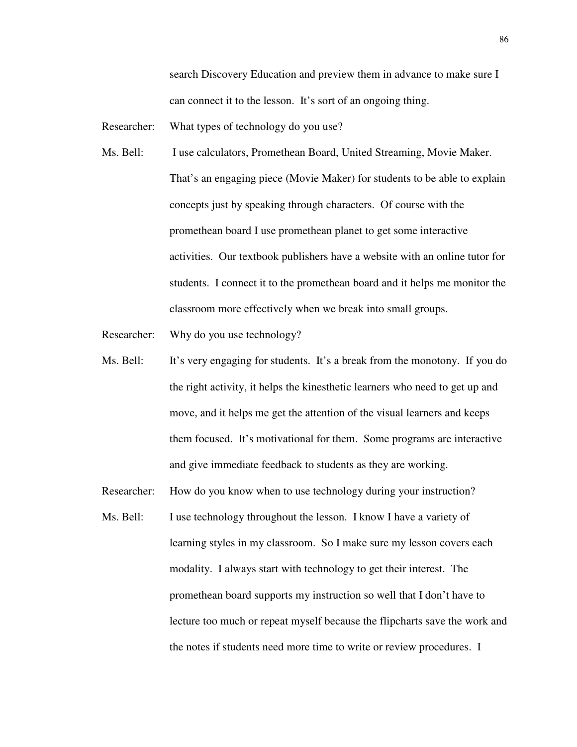search Discovery Education and preview them in advance to make sure I can connect it to the lesson. It's sort of an ongoing thing.

Researcher: What types of technology do you use?

- Ms. Bell: I use calculators, Promethean Board, United Streaming, Movie Maker. That's an engaging piece (Movie Maker) for students to be able to explain concepts just by speaking through characters. Of course with the promethean board I use promethean planet to get some interactive activities. Our textbook publishers have a website with an online tutor for students. I connect it to the promethean board and it helps me monitor the classroom more effectively when we break into small groups.
- Researcher: Why do you use technology?
- Ms. Bell: It's very engaging for students. It's a break from the monotony. If you do the right activity, it helps the kinesthetic learners who need to get up and move, and it helps me get the attention of the visual learners and keeps them focused. It's motivational for them. Some programs are interactive and give immediate feedback to students as they are working.
- Researcher: How do you know when to use technology during your instruction?
- Ms. Bell: I use technology throughout the lesson. I know I have a variety of learning styles in my classroom. So I make sure my lesson covers each modality. I always start with technology to get their interest. The promethean board supports my instruction so well that I don't have to lecture too much or repeat myself because the flipcharts save the work and the notes if students need more time to write or review procedures. I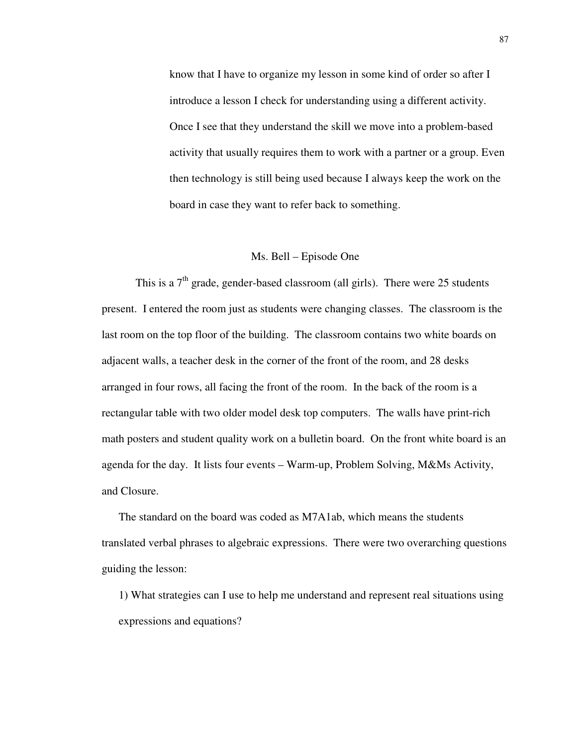know that I have to organize my lesson in some kind of order so after I introduce a lesson I check for understanding using a different activity. Once I see that they understand the skill we move into a problem-based activity that usually requires them to work with a partner or a group. Even then technology is still being used because I always keep the work on the board in case they want to refer back to something.

#### Ms. Bell – Episode One

This is a  $7<sup>th</sup>$  grade, gender-based classroom (all girls). There were 25 students present. I entered the room just as students were changing classes. The classroom is the last room on the top floor of the building. The classroom contains two white boards on adjacent walls, a teacher desk in the corner of the front of the room, and 28 desks arranged in four rows, all facing the front of the room. In the back of the room is a rectangular table with two older model desk top computers. The walls have print-rich math posters and student quality work on a bulletin board. On the front white board is an agenda for the day. It lists four events – Warm-up, Problem Solving, M&Ms Activity, and Closure.

The standard on the board was coded as M7A1ab, which means the students translated verbal phrases to algebraic expressions. There were two overarching questions guiding the lesson:

1) What strategies can I use to help me understand and represent real situations using expressions and equations?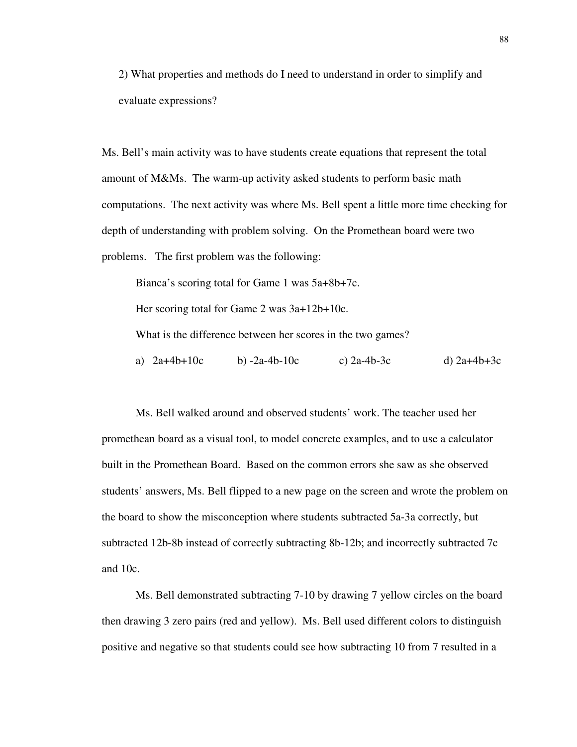2) What properties and methods do I need to understand in order to simplify and evaluate expressions?

Ms. Bell's main activity was to have students create equations that represent the total amount of M&Ms. The warm-up activity asked students to perform basic math computations. The next activity was where Ms. Bell spent a little more time checking for depth of understanding with problem solving. On the Promethean board were two problems. The first problem was the following:

Bianca's scoring total for Game 1 was 5a+8b+7c.

Her scoring total for Game 2 was 3a+12b+10c.

What is the difference between her scores in the two games?

a)  $2a+4b+10c$  b)  $-2a-4b-10c$  c)  $2a-4b-3c$  d)  $2a+4b+3c$ 

Ms. Bell walked around and observed students' work. The teacher used her promethean board as a visual tool, to model concrete examples, and to use a calculator built in the Promethean Board. Based on the common errors she saw as she observed students' answers, Ms. Bell flipped to a new page on the screen and wrote the problem on the board to show the misconception where students subtracted 5a-3a correctly, but subtracted 12b-8b instead of correctly subtracting 8b-12b; and incorrectly subtracted 7c and 10c.

Ms. Bell demonstrated subtracting 7-10 by drawing 7 yellow circles on the board then drawing 3 zero pairs (red and yellow). Ms. Bell used different colors to distinguish positive and negative so that students could see how subtracting 10 from 7 resulted in a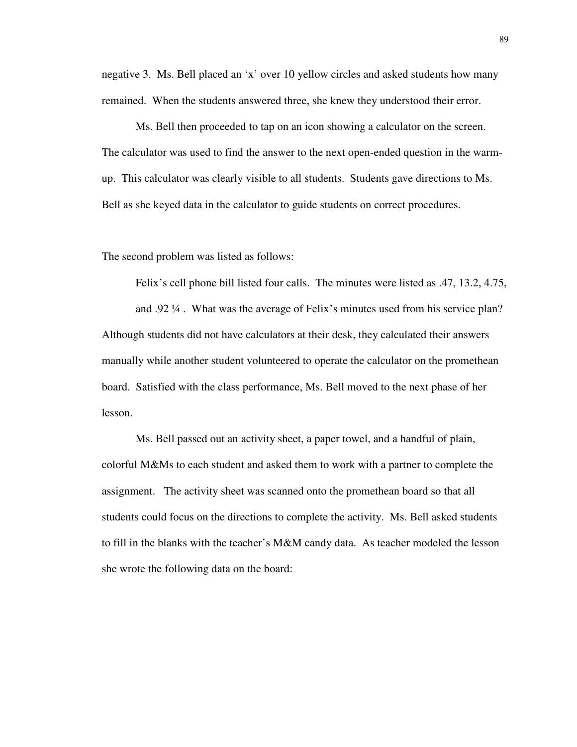negative 3. Ms. Bell placed an 'x' over 10 yellow circles and asked students how many remained. When the students answered three, she knew they understood their error.

Ms. Bell then proceeded to tap on an icon showing a calculator on the screen. The calculator was used to find the answer to the next open-ended question in the warmup. This calculator was clearly visible to all students. Students gave directions to Ms. Bell as she keyed data in the calculator to guide students on correct procedures.

The second problem was listed as follows:

Felix's cell phone bill listed four calls. The minutes were listed as .47, 13.2, 4.75,

and .92 ¼ . What was the average of Felix's minutes used from his service plan? Although students did not have calculators at their desk, they calculated their answers manually while another student volunteered to operate the calculator on the promethean board. Satisfied with the class performance, Ms. Bell moved to the next phase of her lesson.

Ms. Bell passed out an activity sheet, a paper towel, and a handful of plain, colorful M&Ms to each student and asked them to work with a partner to complete the assignment. The activity sheet was scanned onto the promethean board so that all students could focus on the directions to complete the activity. Ms. Bell asked students to fill in the blanks with the teacher's M&M candy data. As teacher modeled the lesson she wrote the following data on the board: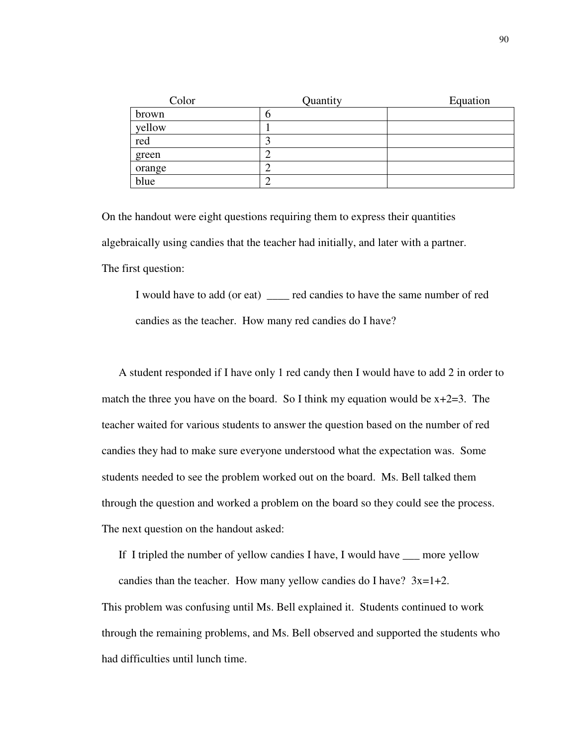| Color  | Quantity | Equation |
|--------|----------|----------|
| brown  |          |          |
| yellow |          |          |
| red    |          |          |
| green  |          |          |
| orange |          |          |
| blue   |          |          |

On the handout were eight questions requiring them to express their quantities algebraically using candies that the teacher had initially, and later with a partner. The first question:

I would have to add (or eat) \_\_\_\_ red candies to have the same number of red candies as the teacher. How many red candies do I have?

A student responded if I have only 1 red candy then I would have to add 2 in order to match the three you have on the board. So I think my equation would be  $x+2=3$ . The teacher waited for various students to answer the question based on the number of red candies they had to make sure everyone understood what the expectation was. Some students needed to see the problem worked out on the board. Ms. Bell talked them through the question and worked a problem on the board so they could see the process. The next question on the handout asked:

If I tripled the number of yellow candies I have, I would have \_\_\_ more yellow

candies than the teacher. How many yellow candies do I have?  $3x=1+2$ .

This problem was confusing until Ms. Bell explained it. Students continued to work through the remaining problems, and Ms. Bell observed and supported the students who had difficulties until lunch time.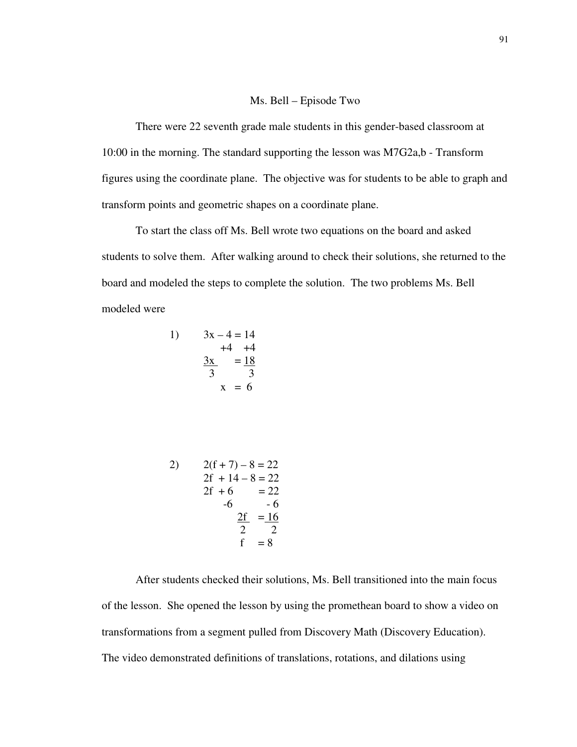#### Ms. Bell – Episode Two

There were 22 seventh grade male students in this gender-based classroom at 10:00 in the morning. The standard supporting the lesson was M7G2a,b - Transform figures using the coordinate plane. The objective was for students to be able to graph and transform points and geometric shapes on a coordinate plane.

To start the class off Ms. Bell wrote two equations on the board and asked students to solve them. After walking around to check their solutions, she returned to the board and modeled the steps to complete the solution. The two problems Ms. Bell modeled were

1) 
$$
3x - 4 = 14
$$
  
\n $+4 +4$   
\n $\frac{3x}{3} = \frac{18}{3}$   
\n $x = 6$ 

2) 
$$
2(f+7) - 8 = 22
$$
  
\n2f + 14 - 8 = 22  
\n2f + 6 = 22  
\n-6 - 6  
\n2f = 16  
\n2f = 16  
\n2f = 8

After students checked their solutions, Ms. Bell transitioned into the main focus of the lesson. She opened the lesson by using the promethean board to show a video on transformations from a segment pulled from Discovery Math (Discovery Education). The video demonstrated definitions of translations, rotations, and dilations using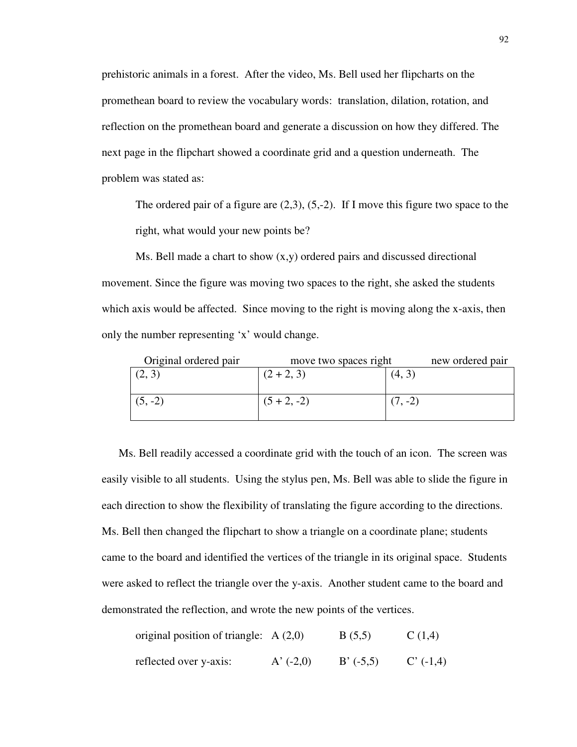prehistoric animals in a forest. After the video, Ms. Bell used her flipcharts on the promethean board to review the vocabulary words: translation, dilation, rotation, and reflection on the promethean board and generate a discussion on how they differed. The next page in the flipchart showed a coordinate grid and a question underneath. The problem was stated as:

The ordered pair of a figure are  $(2,3)$ ,  $(5,-2)$ . If I move this figure two space to the right, what would your new points be?

Ms. Bell made a chart to show  $(x,y)$  ordered pairs and discussed directional movement. Since the figure was moving two spaces to the right, she asked the students which axis would be affected. Since moving to the right is moving along the x-axis, then only the number representing 'x' would change.

| Original ordered pair | move two spaces right | new ordered pair |  |
|-----------------------|-----------------------|------------------|--|
| (2, 3)                | $(2 + 2, 3)$          | (4, 3)           |  |
|                       |                       |                  |  |
| $(5, -2)$             | $(5 + 2, -2)$         | $\cdot$ -2)      |  |
|                       |                       |                  |  |

Ms. Bell readily accessed a coordinate grid with the touch of an icon. The screen was easily visible to all students. Using the stylus pen, Ms. Bell was able to slide the figure in each direction to show the flexibility of translating the figure according to the directions. Ms. Bell then changed the flipchart to show a triangle on a coordinate plane; students came to the board and identified the vertices of the triangle in its original space. Students were asked to reflect the triangle over the y-axis. Another student came to the board and demonstrated the reflection, and wrote the new points of the vertices.

| original position of triangle: $A(2,0)$ |             | B(5,5)      | C(1,4)      |
|-----------------------------------------|-------------|-------------|-------------|
| reflected over y-axis:                  | A' $(-2,0)$ | $B' (-5,5)$ | $C'$ (-1,4) |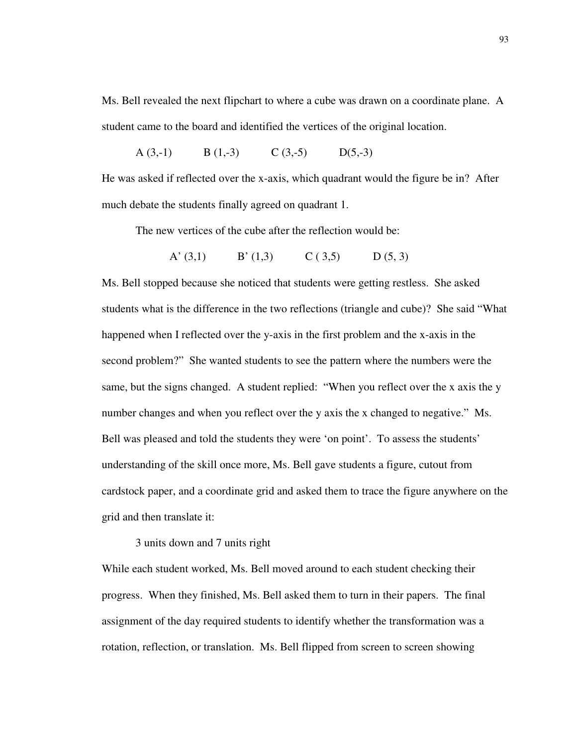Ms. Bell revealed the next flipchart to where a cube was drawn on a coordinate plane. A student came to the board and identified the vertices of the original location.

A (3,-1) B (1,-3) C (3,-5) D(5,-3)

He was asked if reflected over the x-axis, which quadrant would the figure be in? After much debate the students finally agreed on quadrant 1.

The new vertices of the cube after the reflection would be:

A' (3,1) B' (1,3) C (3,5) D (5, 3)

Ms. Bell stopped because she noticed that students were getting restless. She asked students what is the difference in the two reflections (triangle and cube)? She said "What happened when I reflected over the y-axis in the first problem and the x-axis in the second problem?" She wanted students to see the pattern where the numbers were the same, but the signs changed. A student replied: "When you reflect over the x axis the y number changes and when you reflect over the y axis the x changed to negative." Ms. Bell was pleased and told the students they were 'on point'. To assess the students' understanding of the skill once more, Ms. Bell gave students a figure, cutout from cardstock paper, and a coordinate grid and asked them to trace the figure anywhere on the grid and then translate it:

3 units down and 7 units right

While each student worked, Ms. Bell moved around to each student checking their progress. When they finished, Ms. Bell asked them to turn in their papers. The final assignment of the day required students to identify whether the transformation was a rotation, reflection, or translation. Ms. Bell flipped from screen to screen showing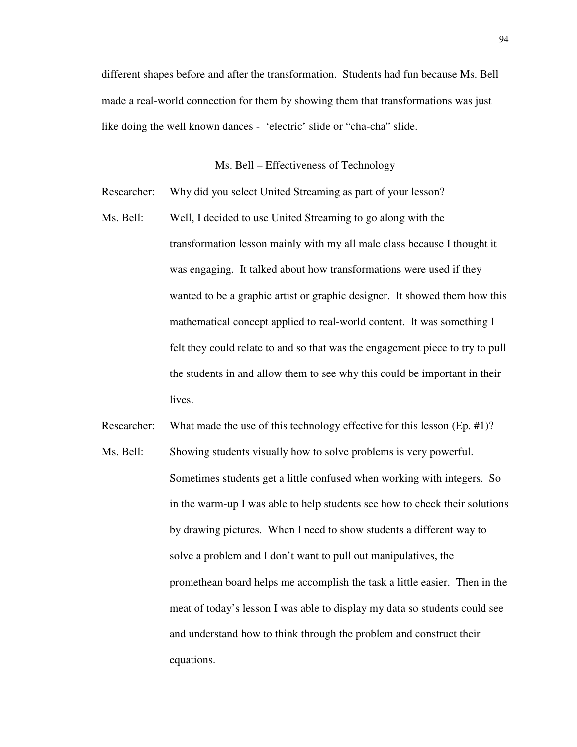different shapes before and after the transformation. Students had fun because Ms. Bell made a real-world connection for them by showing them that transformations was just like doing the well known dances - 'electric' slide or "cha-cha" slide.

## Ms. Bell – Effectiveness of Technology

Researcher: Why did you select United Streaming as part of your lesson?

Ms. Bell: Well, I decided to use United Streaming to go along with the transformation lesson mainly with my all male class because I thought it was engaging. It talked about how transformations were used if they wanted to be a graphic artist or graphic designer. It showed them how this mathematical concept applied to real-world content. It was something I felt they could relate to and so that was the engagement piece to try to pull the students in and allow them to see why this could be important in their lives.

Researcher: What made the use of this technology effective for this lesson (Ep. #1)?

Ms. Bell: Showing students visually how to solve problems is very powerful. Sometimes students get a little confused when working with integers. So in the warm-up I was able to help students see how to check their solutions by drawing pictures. When I need to show students a different way to solve a problem and I don't want to pull out manipulatives, the promethean board helps me accomplish the task a little easier. Then in the meat of today's lesson I was able to display my data so students could see and understand how to think through the problem and construct their equations.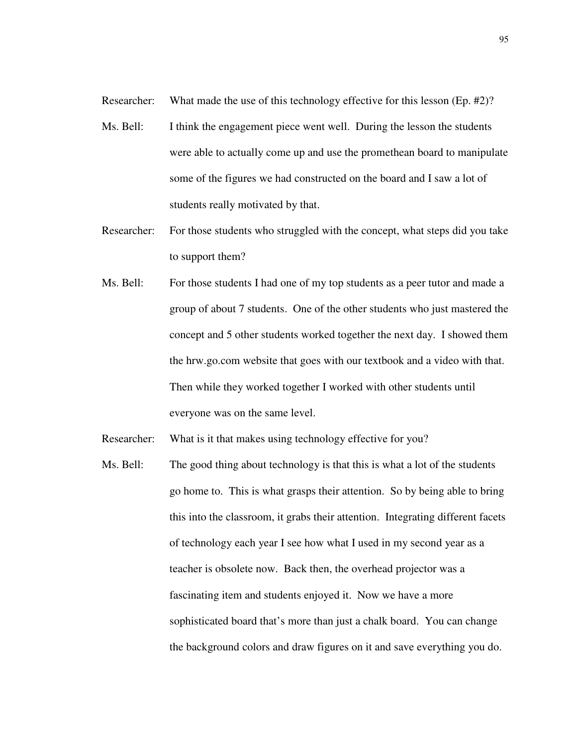Researcher: What made the use of this technology effective for this lesson (Ep. #2)?

- Ms. Bell: I think the engagement piece went well. During the lesson the students were able to actually come up and use the promethean board to manipulate some of the figures we had constructed on the board and I saw a lot of students really motivated by that.
- Researcher: For those students who struggled with the concept, what steps did you take to support them?
- Ms. Bell: For those students I had one of my top students as a peer tutor and made a group of about 7 students. One of the other students who just mastered the concept and 5 other students worked together the next day. I showed them the hrw.go.com website that goes with our textbook and a video with that. Then while they worked together I worked with other students until everyone was on the same level.
- Researcher: What is it that makes using technology effective for you?
- Ms. Bell: The good thing about technology is that this is what a lot of the students go home to. This is what grasps their attention. So by being able to bring this into the classroom, it grabs their attention. Integrating different facets of technology each year I see how what I used in my second year as a teacher is obsolete now. Back then, the overhead projector was a fascinating item and students enjoyed it. Now we have a more sophisticated board that's more than just a chalk board. You can change the background colors and draw figures on it and save everything you do.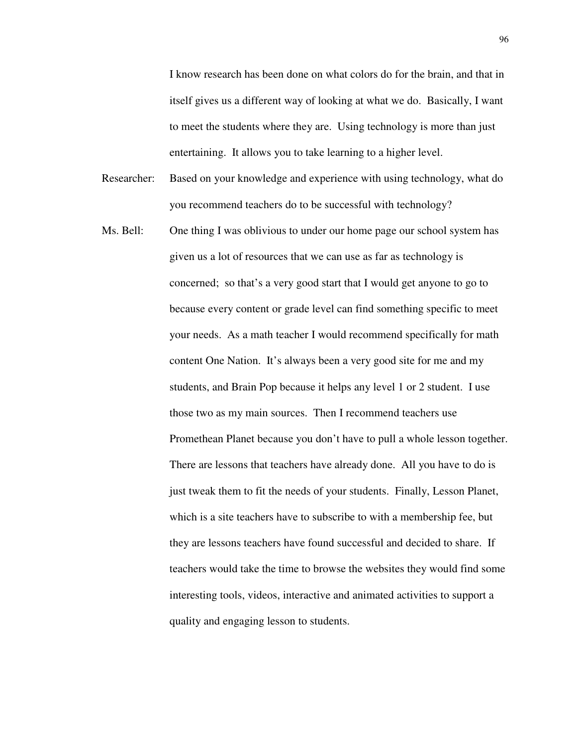I know research has been done on what colors do for the brain, and that in itself gives us a different way of looking at what we do. Basically, I want to meet the students where they are. Using technology is more than just entertaining. It allows you to take learning to a higher level.

- Researcher: Based on your knowledge and experience with using technology, what do you recommend teachers do to be successful with technology?
- Ms. Bell: One thing I was oblivious to under our home page our school system has given us a lot of resources that we can use as far as technology is concerned; so that's a very good start that I would get anyone to go to because every content or grade level can find something specific to meet your needs. As a math teacher I would recommend specifically for math content One Nation. It's always been a very good site for me and my students, and Brain Pop because it helps any level 1 or 2 student. I use those two as my main sources. Then I recommend teachers use Promethean Planet because you don't have to pull a whole lesson together. There are lessons that teachers have already done. All you have to do is just tweak them to fit the needs of your students. Finally, Lesson Planet, which is a site teachers have to subscribe to with a membership fee, but they are lessons teachers have found successful and decided to share. If teachers would take the time to browse the websites they would find some interesting tools, videos, interactive and animated activities to support a quality and engaging lesson to students.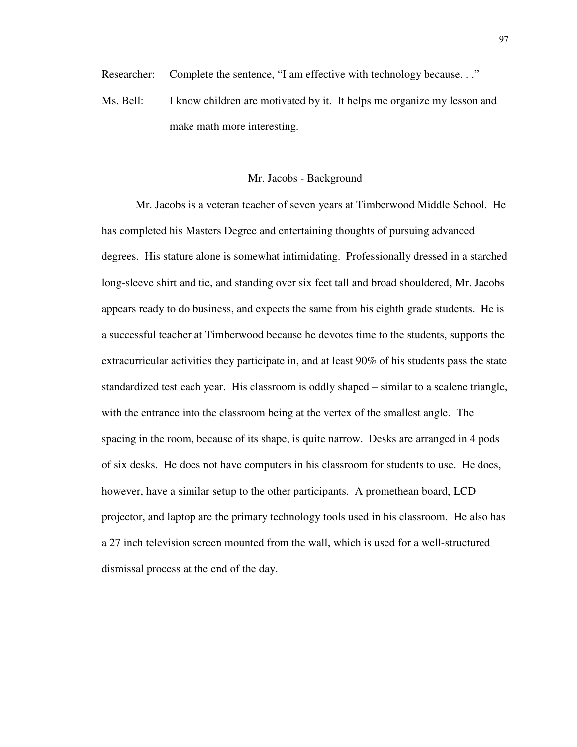Researcher: Complete the sentence, "I am effective with technology because..."

Ms. Bell: I know children are motivated by it. It helps me organize my lesson and make math more interesting.

#### Mr. Jacobs - Background

Mr. Jacobs is a veteran teacher of seven years at Timberwood Middle School. He has completed his Masters Degree and entertaining thoughts of pursuing advanced degrees. His stature alone is somewhat intimidating. Professionally dressed in a starched long-sleeve shirt and tie, and standing over six feet tall and broad shouldered, Mr. Jacobs appears ready to do business, and expects the same from his eighth grade students. He is a successful teacher at Timberwood because he devotes time to the students, supports the extracurricular activities they participate in, and at least 90% of his students pass the state standardized test each year. His classroom is oddly shaped – similar to a scalene triangle, with the entrance into the classroom being at the vertex of the smallest angle. The spacing in the room, because of its shape, is quite narrow. Desks are arranged in 4 pods of six desks. He does not have computers in his classroom for students to use. He does, however, have a similar setup to the other participants. A promethean board, LCD projector, and laptop are the primary technology tools used in his classroom. He also has a 27 inch television screen mounted from the wall, which is used for a well-structured dismissal process at the end of the day.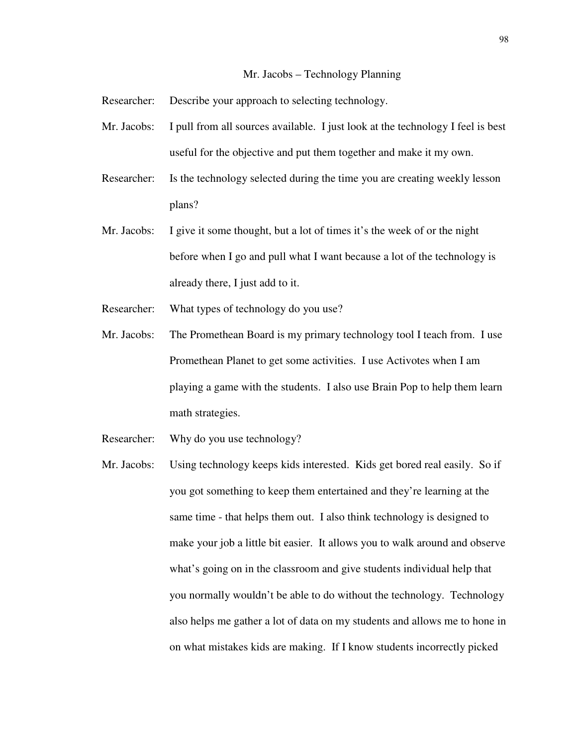#### Mr. Jacobs – Technology Planning

Researcher: Describe your approach to selecting technology.

- Mr. Jacobs: I pull from all sources available. I just look at the technology I feel is best useful for the objective and put them together and make it my own.
- Researcher: Is the technology selected during the time you are creating weekly lesson plans?
- Mr. Jacobs: I give it some thought, but a lot of times it's the week of or the night before when I go and pull what I want because a lot of the technology is already there, I just add to it.
- Researcher: What types of technology do you use?
- Mr. Jacobs: The Promethean Board is my primary technology tool I teach from. I use Promethean Planet to get some activities. I use Activotes when I am playing a game with the students. I also use Brain Pop to help them learn math strategies.
- Researcher: Why do you use technology?
- Mr. Jacobs: Using technology keeps kids interested. Kids get bored real easily. So if you got something to keep them entertained and they're learning at the same time - that helps them out. I also think technology is designed to make your job a little bit easier. It allows you to walk around and observe what's going on in the classroom and give students individual help that you normally wouldn't be able to do without the technology. Technology also helps me gather a lot of data on my students and allows me to hone in on what mistakes kids are making. If I know students incorrectly picked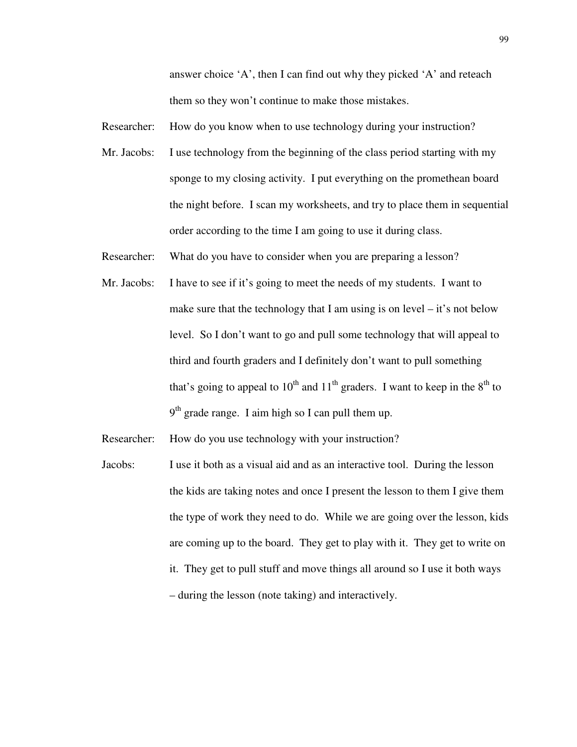answer choice 'A', then I can find out why they picked 'A' and reteach them so they won't continue to make those mistakes.

Researcher: How do you know when to use technology during your instruction?

Mr. Jacobs: I use technology from the beginning of the class period starting with my sponge to my closing activity. I put everything on the promethean board the night before. I scan my worksheets, and try to place them in sequential order according to the time I am going to use it during class.

Researcher: What do you have to consider when you are preparing a lesson?

Mr. Jacobs: I have to see if it's going to meet the needs of my students. I want to make sure that the technology that I am using is on level  $-$  it's not below level. So I don't want to go and pull some technology that will appeal to third and fourth graders and I definitely don't want to pull something that's going to appeal to  $10^{th}$  and  $11^{th}$  graders. I want to keep in the  $8^{th}$  to  $9<sup>th</sup>$  grade range. I aim high so I can pull them up.

Researcher: How do you use technology with your instruction?

Jacobs: I use it both as a visual aid and as an interactive tool. During the lesson the kids are taking notes and once I present the lesson to them I give them the type of work they need to do. While we are going over the lesson, kids are coming up to the board. They get to play with it. They get to write on it. They get to pull stuff and move things all around so I use it both ways – during the lesson (note taking) and interactively.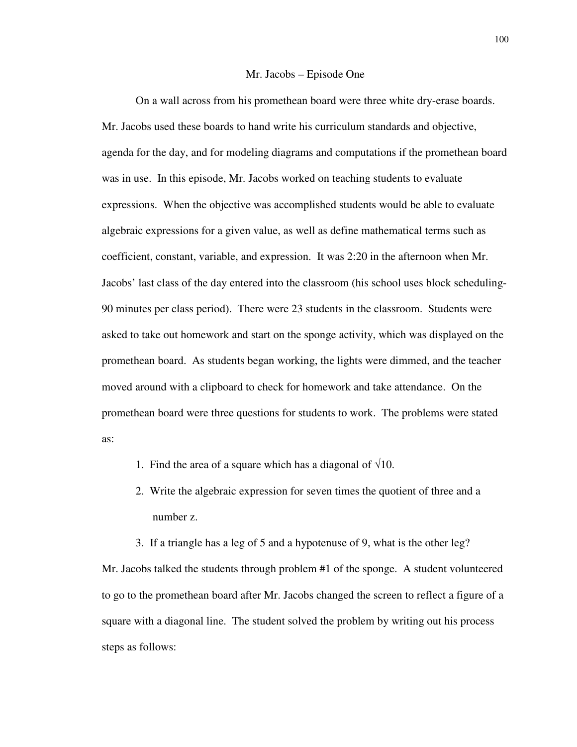#### Mr. Jacobs – Episode One

On a wall across from his promethean board were three white dry-erase boards. Mr. Jacobs used these boards to hand write his curriculum standards and objective, agenda for the day, and for modeling diagrams and computations if the promethean board was in use. In this episode, Mr. Jacobs worked on teaching students to evaluate expressions. When the objective was accomplished students would be able to evaluate algebraic expressions for a given value, as well as define mathematical terms such as coefficient, constant, variable, and expression. It was 2:20 in the afternoon when Mr. Jacobs' last class of the day entered into the classroom (his school uses block scheduling-90 minutes per class period). There were 23 students in the classroom. Students were asked to take out homework and start on the sponge activity, which was displayed on the promethean board. As students began working, the lights were dimmed, and the teacher moved around with a clipboard to check for homework and take attendance. On the promethean board were three questions for students to work. The problems were stated as:

- 1. Find the area of a square which has a diagonal of  $\sqrt{10}$ .
- 2. Write the algebraic expression for seven times the quotient of three and a number z.

3. If a triangle has a leg of 5 and a hypotenuse of 9, what is the other leg? Mr. Jacobs talked the students through problem #1 of the sponge. A student volunteered to go to the promethean board after Mr. Jacobs changed the screen to reflect a figure of a square with a diagonal line. The student solved the problem by writing out his process steps as follows: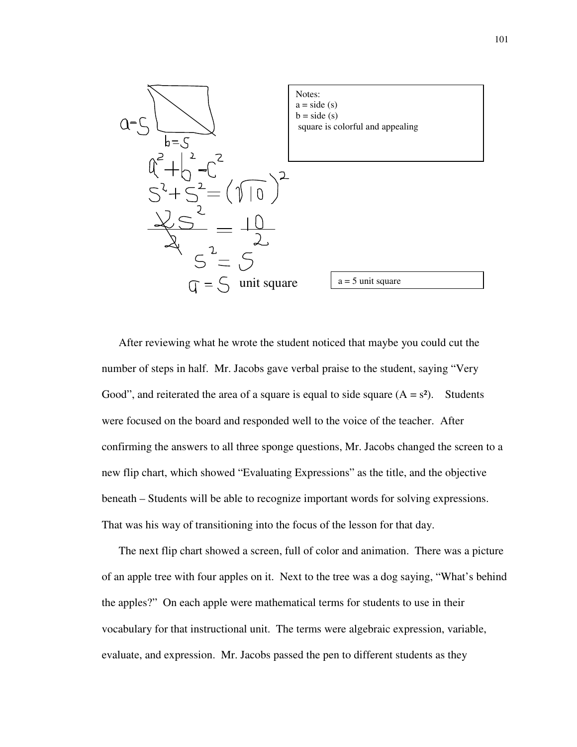

After reviewing what he wrote the student noticed that maybe you could cut the number of steps in half. Mr. Jacobs gave verbal praise to the student, saying "Very Good", and reiterated the area of a square is equal to side square  $(A = s^2)$ . Students were focused on the board and responded well to the voice of the teacher. After confirming the answers to all three sponge questions, Mr. Jacobs changed the screen to a new flip chart, which showed "Evaluating Expressions" as the title, and the objective beneath – Students will be able to recognize important words for solving expressions. That was his way of transitioning into the focus of the lesson for that day.

The next flip chart showed a screen, full of color and animation. There was a picture of an apple tree with four apples on it. Next to the tree was a dog saying, "What's behind the apples?" On each apple were mathematical terms for students to use in their vocabulary for that instructional unit. The terms were algebraic expression, variable, evaluate, and expression. Mr. Jacobs passed the pen to different students as they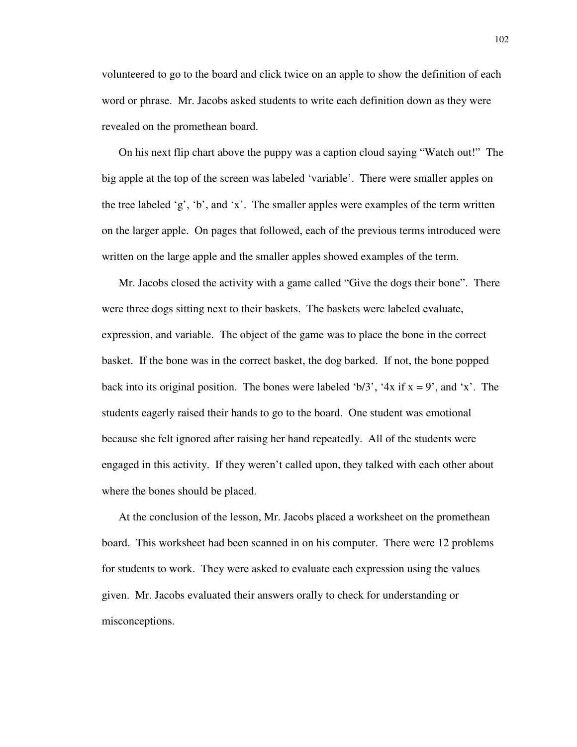volunteered to go to the board and click twice on an apple to show the definition of each word or phrase. Mr. Jacobs asked students to write each definition down as they were revealed on the promethean board.

On his next flip chart above the puppy was a caption cloud saying "Watch out!" The big apple at the top of the screen was labeled 'variable'. There were smaller apples on the tree labeled 'g', 'b', and 'x'. The smaller apples were examples of the term written on the larger apple. On pages that followed, each of the previous terms introduced were written on the large apple and the smaller apples showed examples of the term.

Mr. Jacobs closed the activity with a game called "Give the dogs their bone". There were three dogs sitting next to their baskets. The baskets were labeled evaluate, expression, and variable. The object of the game was to place the bone in the correct basket. If the bone was in the correct basket, the dog barked. If not, the bone popped back into its original position. The bones were labeled 'b/3', '4x if  $x = 9$ ', and 'x'. The students eagerly raised their hands to go to the board. One student was emotional because she felt ignored after raising her hand repeatedly. All of the students were engaged in this activity. If they weren't called upon, they talked with each other about where the bones should be placed.

At the conclusion of the lesson, Mr. Jacobs placed a worksheet on the promethean board. This worksheet had been scanned in on his computer. There were 12 problems for students to work. They were asked to evaluate each expression using the values given. Mr. Jacobs evaluated their answers orally to check for understanding or misconceptions.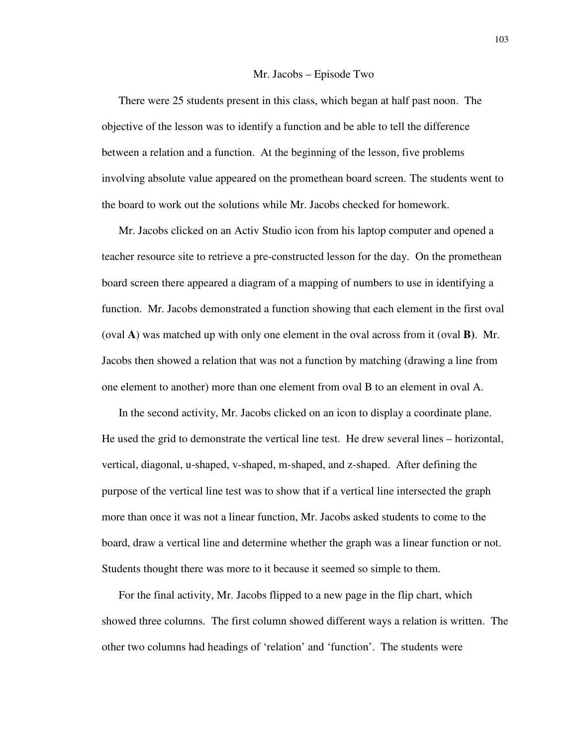#### Mr. Jacobs – Episode Two

There were 25 students present in this class, which began at half past noon. The objective of the lesson was to identify a function and be able to tell the difference between a relation and a function. At the beginning of the lesson, five problems involving absolute value appeared on the promethean board screen. The students went to the board to work out the solutions while Mr. Jacobs checked for homework.

Mr. Jacobs clicked on an Activ Studio icon from his laptop computer and opened a teacher resource site to retrieve a pre-constructed lesson for the day. On the promethean board screen there appeared a diagram of a mapping of numbers to use in identifying a function. Mr. Jacobs demonstrated a function showing that each element in the first oval (oval **A**) was matched up with only one element in the oval across from it (oval **B)**. Mr. Jacobs then showed a relation that was not a function by matching (drawing a line from one element to another) more than one element from oval B to an element in oval A.

In the second activity, Mr. Jacobs clicked on an icon to display a coordinate plane. He used the grid to demonstrate the vertical line test. He drew several lines – horizontal, vertical, diagonal, u-shaped, v-shaped, m-shaped, and z-shaped. After defining the purpose of the vertical line test was to show that if a vertical line intersected the graph more than once it was not a linear function, Mr. Jacobs asked students to come to the board, draw a vertical line and determine whether the graph was a linear function or not. Students thought there was more to it because it seemed so simple to them.

For the final activity, Mr. Jacobs flipped to a new page in the flip chart, which showed three columns. The first column showed different ways a relation is written. The other two columns had headings of 'relation' and 'function'. The students were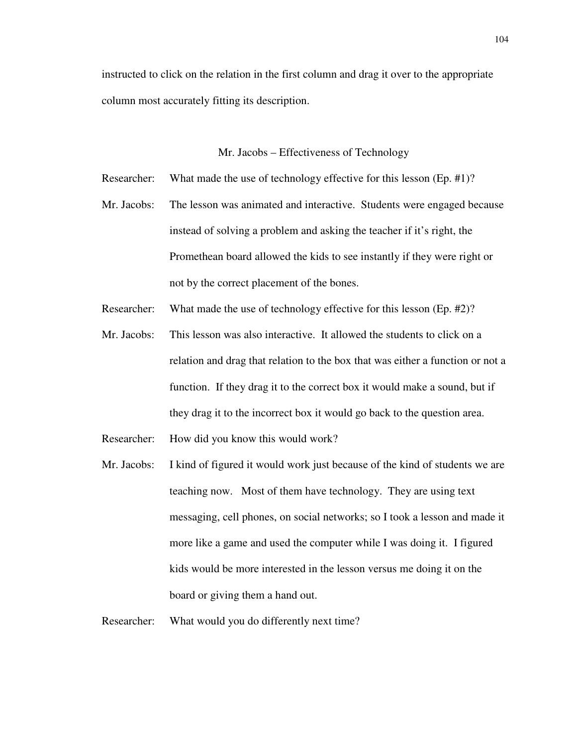instructed to click on the relation in the first column and drag it over to the appropriate column most accurately fitting its description.

Mr. Jacobs – Effectiveness of Technology

- Researcher: What made the use of technology effective for this lesson (Ep. #1)?
- Mr. Jacobs: The lesson was animated and interactive. Students were engaged because instead of solving a problem and asking the teacher if it's right, the Promethean board allowed the kids to see instantly if they were right or not by the correct placement of the bones.
- Researcher: What made the use of technology effective for this lesson (Ep. #2)?
- Mr. Jacobs: This lesson was also interactive. It allowed the students to click on a relation and drag that relation to the box that was either a function or not a function. If they drag it to the correct box it would make a sound, but if they drag it to the incorrect box it would go back to the question area.
- Researcher: How did you know this would work?
- Mr. Jacobs: I kind of figured it would work just because of the kind of students we are teaching now. Most of them have technology. They are using text messaging, cell phones, on social networks; so I took a lesson and made it more like a game and used the computer while I was doing it. I figured kids would be more interested in the lesson versus me doing it on the board or giving them a hand out.

Researcher: What would you do differently next time?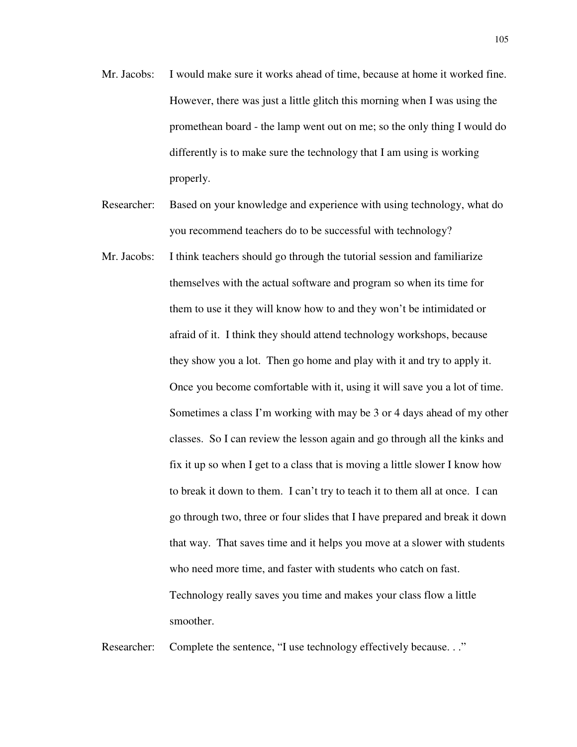- Mr. Jacobs: I would make sure it works ahead of time, because at home it worked fine. However, there was just a little glitch this morning when I was using the promethean board - the lamp went out on me; so the only thing I would do differently is to make sure the technology that I am using is working properly.
- Researcher: Based on your knowledge and experience with using technology, what do you recommend teachers do to be successful with technology?
- Mr. Jacobs: I think teachers should go through the tutorial session and familiarize themselves with the actual software and program so when its time for them to use it they will know how to and they won't be intimidated or afraid of it. I think they should attend technology workshops, because they show you a lot. Then go home and play with it and try to apply it. Once you become comfortable with it, using it will save you a lot of time. Sometimes a class I'm working with may be 3 or 4 days ahead of my other classes. So I can review the lesson again and go through all the kinks and fix it up so when I get to a class that is moving a little slower I know how to break it down to them. I can't try to teach it to them all at once. I can go through two, three or four slides that I have prepared and break it down that way. That saves time and it helps you move at a slower with students who need more time, and faster with students who catch on fast. Technology really saves you time and makes your class flow a little smoother.

Researcher: Complete the sentence, "I use technology effectively because..."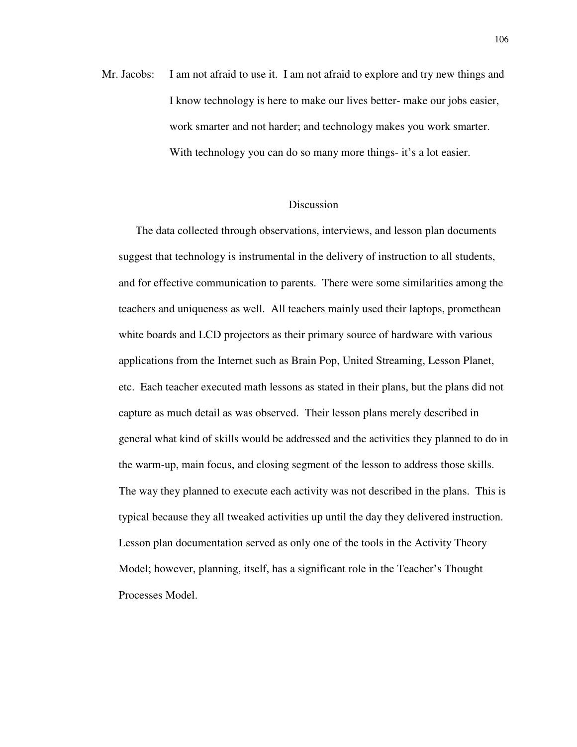Mr. Jacobs: I am not afraid to use it. I am not afraid to explore and try new things and I know technology is here to make our lives better- make our jobs easier, work smarter and not harder; and technology makes you work smarter. With technology you can do so many more things- it's a lot easier.

## **Discussion**

The data collected through observations, interviews, and lesson plan documents suggest that technology is instrumental in the delivery of instruction to all students, and for effective communication to parents. There were some similarities among the teachers and uniqueness as well. All teachers mainly used their laptops, promethean white boards and LCD projectors as their primary source of hardware with various applications from the Internet such as Brain Pop, United Streaming, Lesson Planet, etc. Each teacher executed math lessons as stated in their plans, but the plans did not capture as much detail as was observed. Their lesson plans merely described in general what kind of skills would be addressed and the activities they planned to do in the warm-up, main focus, and closing segment of the lesson to address those skills. The way they planned to execute each activity was not described in the plans. This is typical because they all tweaked activities up until the day they delivered instruction. Lesson plan documentation served as only one of the tools in the Activity Theory Model; however, planning, itself, has a significant role in the Teacher's Thought Processes Model.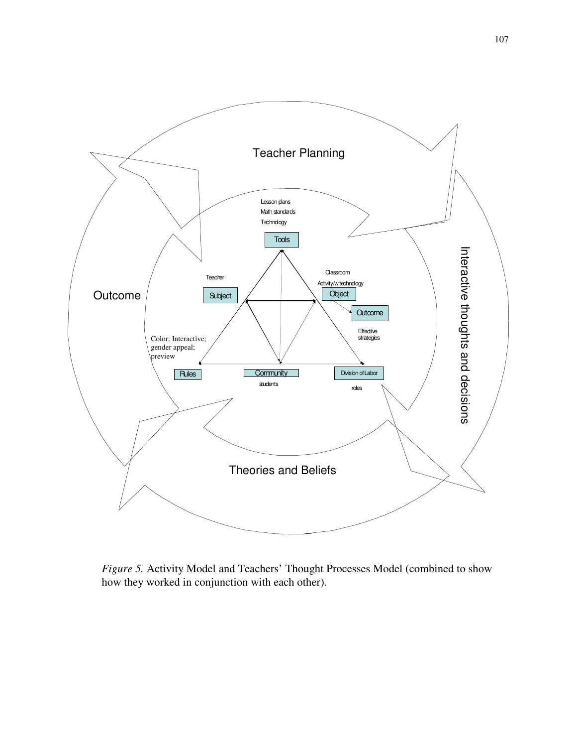

*Figure 5.* Activity Model and Teachers' Thought Processes Model (combined to show how they worked in conjunction with each other).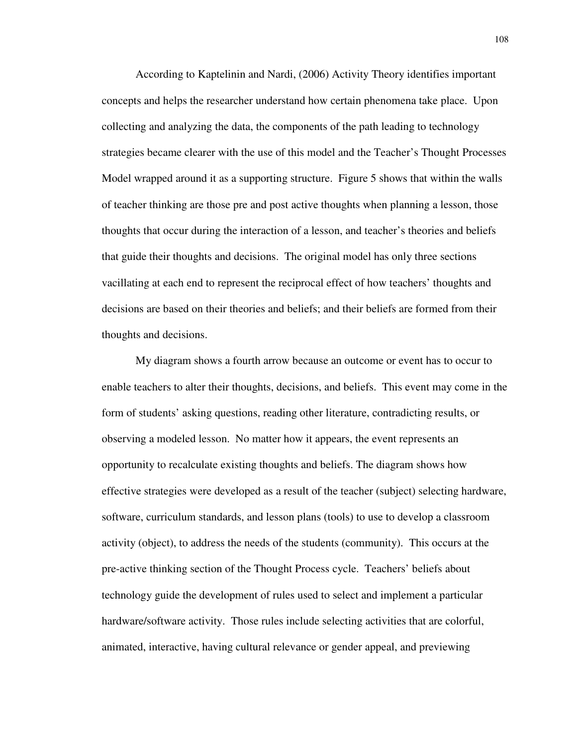According to Kaptelinin and Nardi, (2006) Activity Theory identifies important concepts and helps the researcher understand how certain phenomena take place. Upon collecting and analyzing the data, the components of the path leading to technology strategies became clearer with the use of this model and the Teacher's Thought Processes Model wrapped around it as a supporting structure. Figure 5 shows that within the walls of teacher thinking are those pre and post active thoughts when planning a lesson, those thoughts that occur during the interaction of a lesson, and teacher's theories and beliefs that guide their thoughts and decisions. The original model has only three sections vacillating at each end to represent the reciprocal effect of how teachers' thoughts and decisions are based on their theories and beliefs; and their beliefs are formed from their thoughts and decisions.

My diagram shows a fourth arrow because an outcome or event has to occur to enable teachers to alter their thoughts, decisions, and beliefs. This event may come in the form of students' asking questions, reading other literature, contradicting results, or observing a modeled lesson. No matter how it appears, the event represents an opportunity to recalculate existing thoughts and beliefs. The diagram shows how effective strategies were developed as a result of the teacher (subject) selecting hardware, software, curriculum standards, and lesson plans (tools) to use to develop a classroom activity (object), to address the needs of the students (community). This occurs at the pre-active thinking section of the Thought Process cycle. Teachers' beliefs about technology guide the development of rules used to select and implement a particular hardware/software activity. Those rules include selecting activities that are colorful, animated, interactive, having cultural relevance or gender appeal, and previewing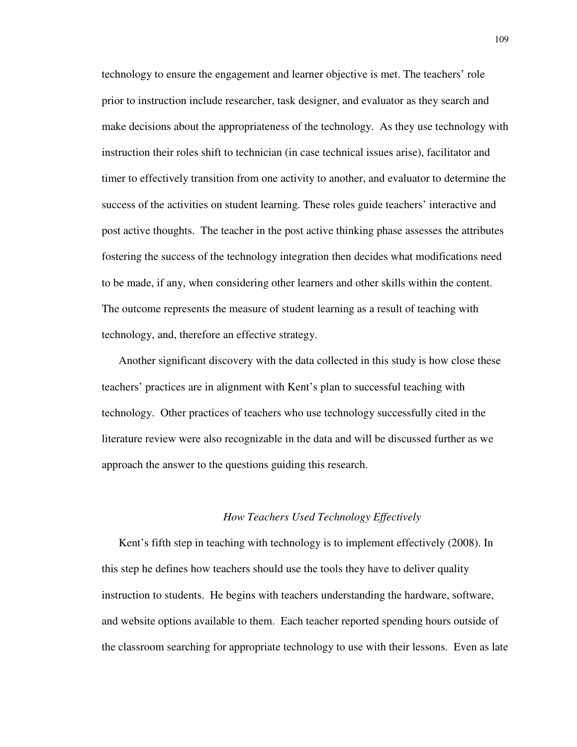technology to ensure the engagement and learner objective is met. The teachers' role prior to instruction include researcher, task designer, and evaluator as they search and make decisions about the appropriateness of the technology. As they use technology with instruction their roles shift to technician (in case technical issues arise), facilitator and timer to effectively transition from one activity to another, and evaluator to determine the success of the activities on student learning. These roles guide teachers' interactive and post active thoughts. The teacher in the post active thinking phase assesses the attributes fostering the success of the technology integration then decides what modifications need to be made, if any, when considering other learners and other skills within the content. The outcome represents the measure of student learning as a result of teaching with technology, and, therefore an effective strategy.

Another significant discovery with the data collected in this study is how close these teachers' practices are in alignment with Kent's plan to successful teaching with technology. Other practices of teachers who use technology successfully cited in the literature review were also recognizable in the data and will be discussed further as we approach the answer to the questions guiding this research.

### *How Teachers Used Technology Effectively*

Kent's fifth step in teaching with technology is to implement effectively (2008). In this step he defines how teachers should use the tools they have to deliver quality instruction to students. He begins with teachers understanding the hardware, software, and website options available to them. Each teacher reported spending hours outside of the classroom searching for appropriate technology to use with their lessons. Even as late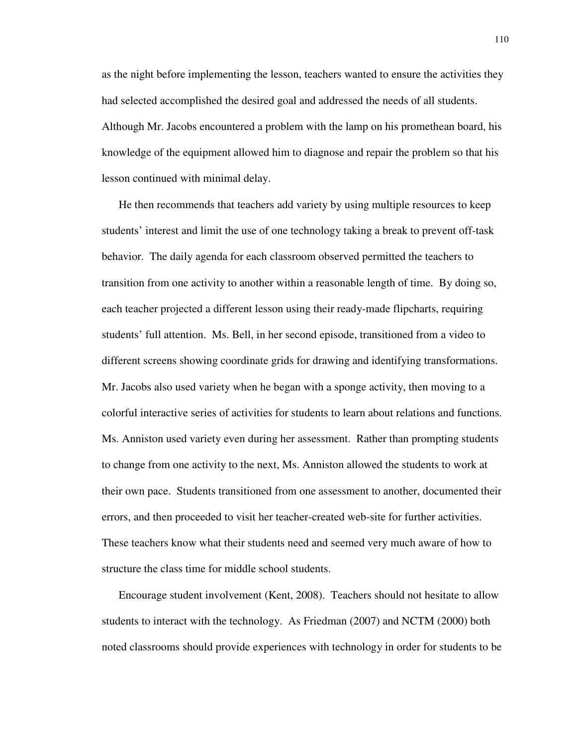as the night before implementing the lesson, teachers wanted to ensure the activities they had selected accomplished the desired goal and addressed the needs of all students. Although Mr. Jacobs encountered a problem with the lamp on his promethean board, his knowledge of the equipment allowed him to diagnose and repair the problem so that his lesson continued with minimal delay.

He then recommends that teachers add variety by using multiple resources to keep students' interest and limit the use of one technology taking a break to prevent off-task behavior. The daily agenda for each classroom observed permitted the teachers to transition from one activity to another within a reasonable length of time. By doing so, each teacher projected a different lesson using their ready-made flipcharts, requiring students' full attention. Ms. Bell, in her second episode, transitioned from a video to different screens showing coordinate grids for drawing and identifying transformations. Mr. Jacobs also used variety when he began with a sponge activity, then moving to a colorful interactive series of activities for students to learn about relations and functions. Ms. Anniston used variety even during her assessment. Rather than prompting students to change from one activity to the next, Ms. Anniston allowed the students to work at their own pace. Students transitioned from one assessment to another, documented their errors, and then proceeded to visit her teacher-created web-site for further activities. These teachers know what their students need and seemed very much aware of how to structure the class time for middle school students.

Encourage student involvement (Kent, 2008). Teachers should not hesitate to allow students to interact with the technology. As Friedman (2007) and NCTM (2000) both noted classrooms should provide experiences with technology in order for students to be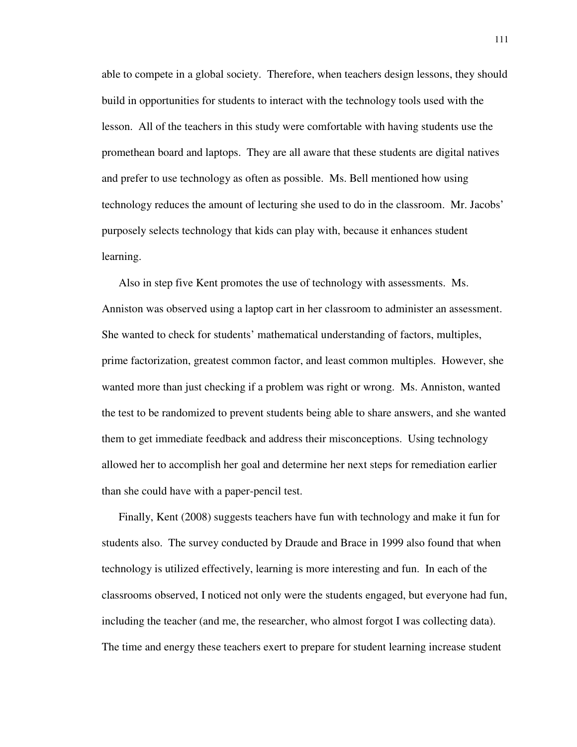able to compete in a global society. Therefore, when teachers design lessons, they should build in opportunities for students to interact with the technology tools used with the lesson. All of the teachers in this study were comfortable with having students use the promethean board and laptops. They are all aware that these students are digital natives and prefer to use technology as often as possible. Ms. Bell mentioned how using technology reduces the amount of lecturing she used to do in the classroom. Mr. Jacobs' purposely selects technology that kids can play with, because it enhances student learning.

Also in step five Kent promotes the use of technology with assessments. Ms. Anniston was observed using a laptop cart in her classroom to administer an assessment. She wanted to check for students' mathematical understanding of factors, multiples, prime factorization, greatest common factor, and least common multiples. However, she wanted more than just checking if a problem was right or wrong. Ms. Anniston, wanted the test to be randomized to prevent students being able to share answers, and she wanted them to get immediate feedback and address their misconceptions. Using technology allowed her to accomplish her goal and determine her next steps for remediation earlier than she could have with a paper-pencil test.

Finally, Kent (2008) suggests teachers have fun with technology and make it fun for students also. The survey conducted by Draude and Brace in 1999 also found that when technology is utilized effectively, learning is more interesting and fun. In each of the classrooms observed, I noticed not only were the students engaged, but everyone had fun, including the teacher (and me, the researcher, who almost forgot I was collecting data). The time and energy these teachers exert to prepare for student learning increase student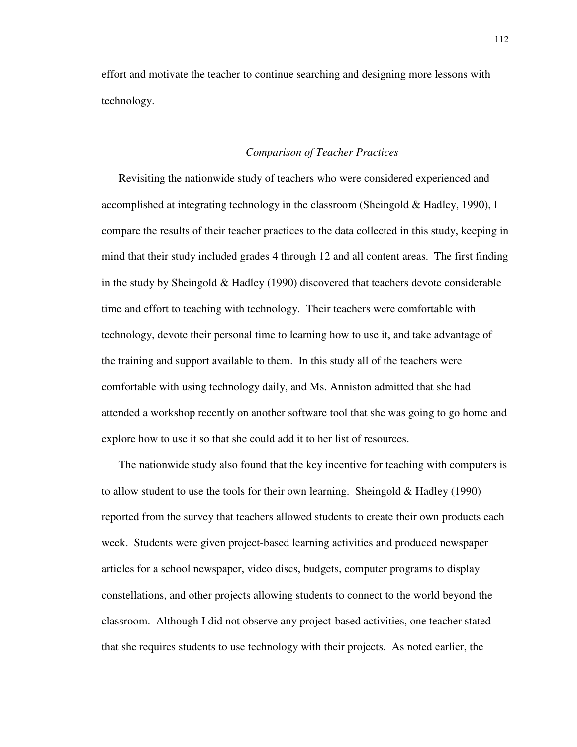effort and motivate the teacher to continue searching and designing more lessons with technology.

## *Comparison of Teacher Practices*

Revisiting the nationwide study of teachers who were considered experienced and accomplished at integrating technology in the classroom (Sheingold & Hadley, 1990), I compare the results of their teacher practices to the data collected in this study, keeping in mind that their study included grades 4 through 12 and all content areas. The first finding in the study by Sheingold  $& Hadley (1990)$  discovered that teachers devote considerable time and effort to teaching with technology. Their teachers were comfortable with technology, devote their personal time to learning how to use it, and take advantage of the training and support available to them. In this study all of the teachers were comfortable with using technology daily, and Ms. Anniston admitted that she had attended a workshop recently on another software tool that she was going to go home and explore how to use it so that she could add it to her list of resources.

The nationwide study also found that the key incentive for teaching with computers is to allow student to use the tools for their own learning. Sheingold  $& Hadley (1990)$ reported from the survey that teachers allowed students to create their own products each week. Students were given project-based learning activities and produced newspaper articles for a school newspaper, video discs, budgets, computer programs to display constellations, and other projects allowing students to connect to the world beyond the classroom. Although I did not observe any project-based activities, one teacher stated that she requires students to use technology with their projects. As noted earlier, the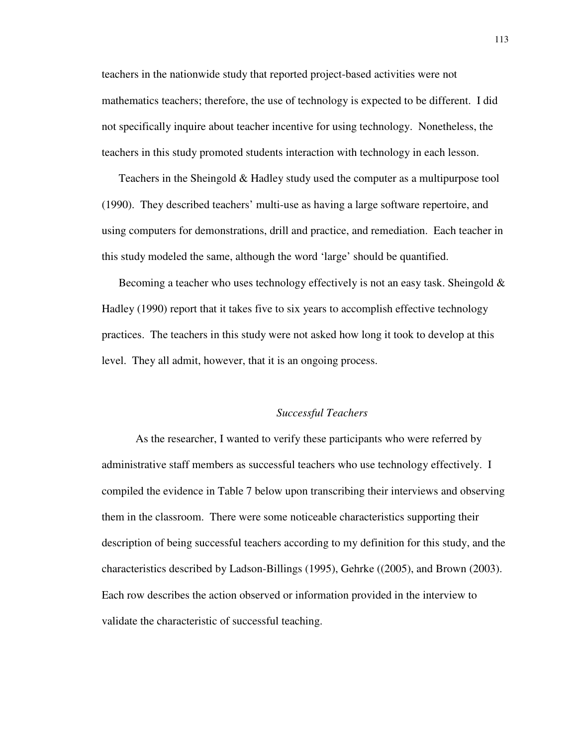teachers in the nationwide study that reported project-based activities were not mathematics teachers; therefore, the use of technology is expected to be different. I did not specifically inquire about teacher incentive for using technology. Nonetheless, the teachers in this study promoted students interaction with technology in each lesson.

Teachers in the Sheingold & Hadley study used the computer as a multipurpose tool (1990). They described teachers' multi-use as having a large software repertoire, and using computers for demonstrations, drill and practice, and remediation. Each teacher in this study modeled the same, although the word 'large' should be quantified.

Becoming a teacher who uses technology effectively is not an easy task. Sheingold  $\&$ Hadley (1990) report that it takes five to six years to accomplish effective technology practices. The teachers in this study were not asked how long it took to develop at this level. They all admit, however, that it is an ongoing process.

## *Successful Teachers*

 As the researcher, I wanted to verify these participants who were referred by administrative staff members as successful teachers who use technology effectively. I compiled the evidence in Table 7 below upon transcribing their interviews and observing them in the classroom. There were some noticeable characteristics supporting their description of being successful teachers according to my definition for this study, and the characteristics described by Ladson-Billings (1995), Gehrke ((2005), and Brown (2003). Each row describes the action observed or information provided in the interview to validate the characteristic of successful teaching.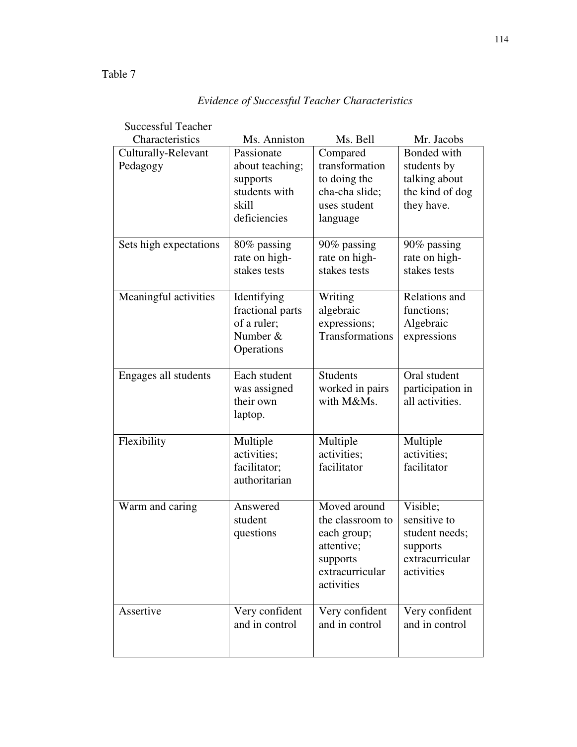#### Successful Teacher Characteristics Ms. Anniston Ms. Bell Mr. Jacobs Culturally-Relevant Pedagogy Passionate about teaching; supports students with skill deficiencies Compared transformation to doing the cha-cha slide; uses student language Bonded with students by talking about the kind of dog they have. Sets high expectations  $80\%$  passing rate on highstakes tests 90% passing rate on highstakes tests 90% passing rate on highstakes tests Meaningful activities | Identifying fractional parts of a ruler; Number & **Operations** Writing algebraic expressions; Transformations Relations and functions; Algebraic expressions Engages all students | Each student was assigned their own laptop. Students worked in pairs with M&Ms. Oral student participation in all activities. Flexibility Multiple activities; facilitator; authoritarian Multiple activities; facilitator Multiple activities; facilitator Warm and caring Answered student questions Moved around the classroom to each group; attentive; supports extracurricular activities Visible; sensitive to student needs; supports extracurricular activities Assertive Very confident and in control Very confident and in control Very confident and in control

# *Evidence of Successful Teacher Characteristics*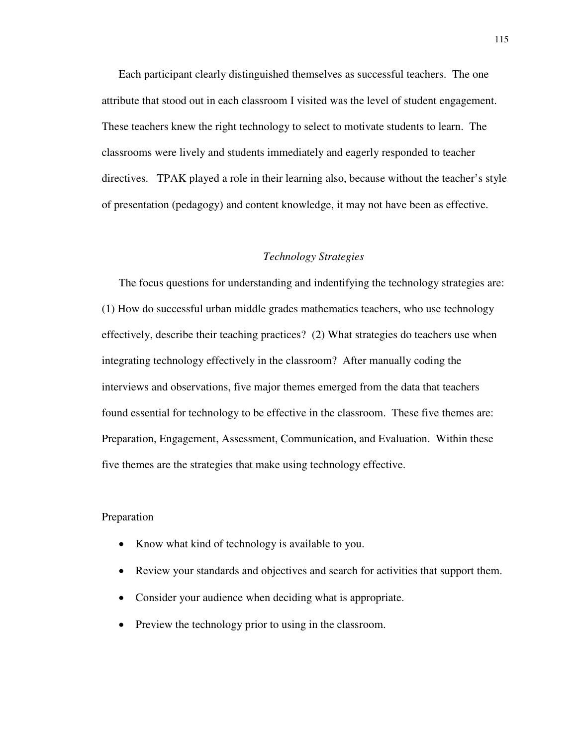Each participant clearly distinguished themselves as successful teachers. The one attribute that stood out in each classroom I visited was the level of student engagement. These teachers knew the right technology to select to motivate students to learn. The classrooms were lively and students immediately and eagerly responded to teacher directives. TPAK played a role in their learning also, because without the teacher's style of presentation (pedagogy) and content knowledge, it may not have been as effective.

## *Technology Strategies*

The focus questions for understanding and indentifying the technology strategies are: (1) How do successful urban middle grades mathematics teachers, who use technology effectively, describe their teaching practices? (2) What strategies do teachers use when integrating technology effectively in the classroom? After manually coding the interviews and observations, five major themes emerged from the data that teachers found essential for technology to be effective in the classroom. These five themes are: Preparation, Engagement, Assessment, Communication, and Evaluation. Within these five themes are the strategies that make using technology effective.

## Preparation

- Know what kind of technology is available to you.
- Review your standards and objectives and search for activities that support them.
- Consider your audience when deciding what is appropriate.
- Preview the technology prior to using in the classroom.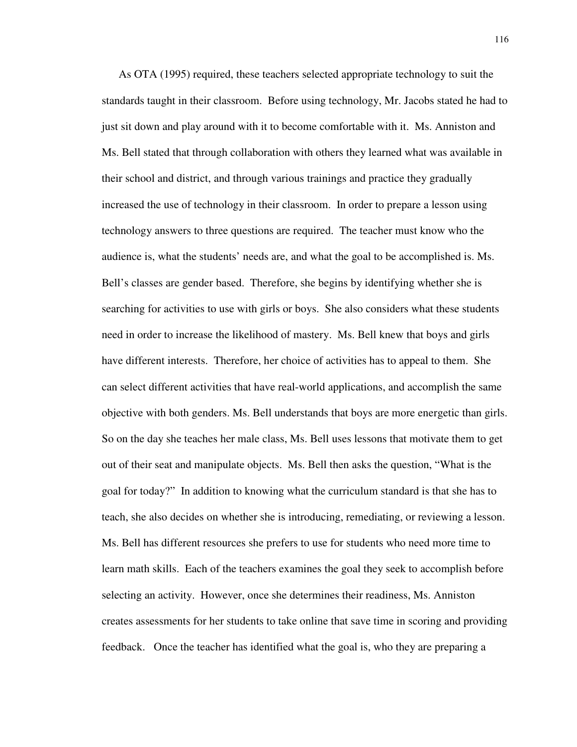As OTA (1995) required, these teachers selected appropriate technology to suit the standards taught in their classroom. Before using technology, Mr. Jacobs stated he had to just sit down and play around with it to become comfortable with it. Ms. Anniston and Ms. Bell stated that through collaboration with others they learned what was available in their school and district, and through various trainings and practice they gradually increased the use of technology in their classroom. In order to prepare a lesson using technology answers to three questions are required. The teacher must know who the audience is, what the students' needs are, and what the goal to be accomplished is. Ms. Bell's classes are gender based. Therefore, she begins by identifying whether she is searching for activities to use with girls or boys. She also considers what these students need in order to increase the likelihood of mastery. Ms. Bell knew that boys and girls have different interests. Therefore, her choice of activities has to appeal to them. She can select different activities that have real-world applications, and accomplish the same objective with both genders. Ms. Bell understands that boys are more energetic than girls. So on the day she teaches her male class, Ms. Bell uses lessons that motivate them to get out of their seat and manipulate objects. Ms. Bell then asks the question, "What is the goal for today?" In addition to knowing what the curriculum standard is that she has to teach, she also decides on whether she is introducing, remediating, or reviewing a lesson. Ms. Bell has different resources she prefers to use for students who need more time to learn math skills. Each of the teachers examines the goal they seek to accomplish before selecting an activity. However, once she determines their readiness, Ms. Anniston creates assessments for her students to take online that save time in scoring and providing feedback. Once the teacher has identified what the goal is, who they are preparing a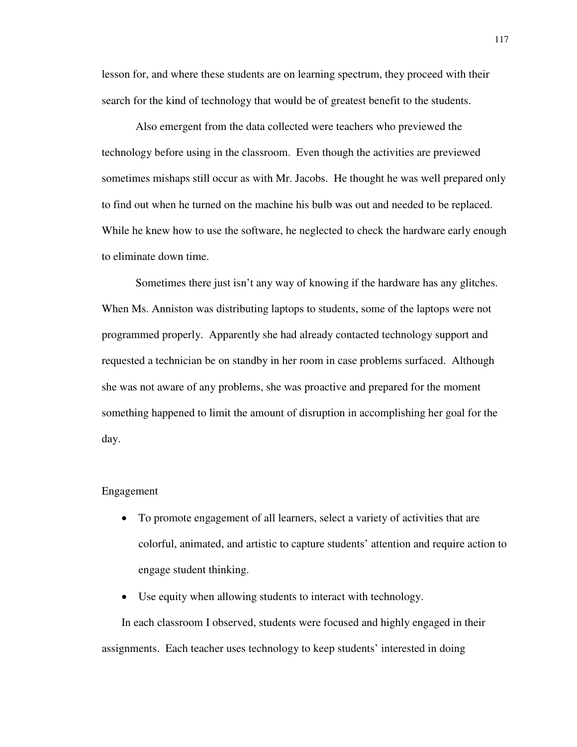lesson for, and where these students are on learning spectrum, they proceed with their search for the kind of technology that would be of greatest benefit to the students.

 Also emergent from the data collected were teachers who previewed the technology before using in the classroom. Even though the activities are previewed sometimes mishaps still occur as with Mr. Jacobs. He thought he was well prepared only to find out when he turned on the machine his bulb was out and needed to be replaced. While he knew how to use the software, he neglected to check the hardware early enough to eliminate down time.

 Sometimes there just isn't any way of knowing if the hardware has any glitches. When Ms. Anniston was distributing laptops to students, some of the laptops were not programmed properly. Apparently she had already contacted technology support and requested a technician be on standby in her room in case problems surfaced. Although she was not aware of any problems, she was proactive and prepared for the moment something happened to limit the amount of disruption in accomplishing her goal for the day.

#### Engagement

- To promote engagement of all learners, select a variety of activities that are colorful, animated, and artistic to capture students' attention and require action to engage student thinking.
- Use equity when allowing students to interact with technology.

In each classroom I observed, students were focused and highly engaged in their assignments. Each teacher uses technology to keep students' interested in doing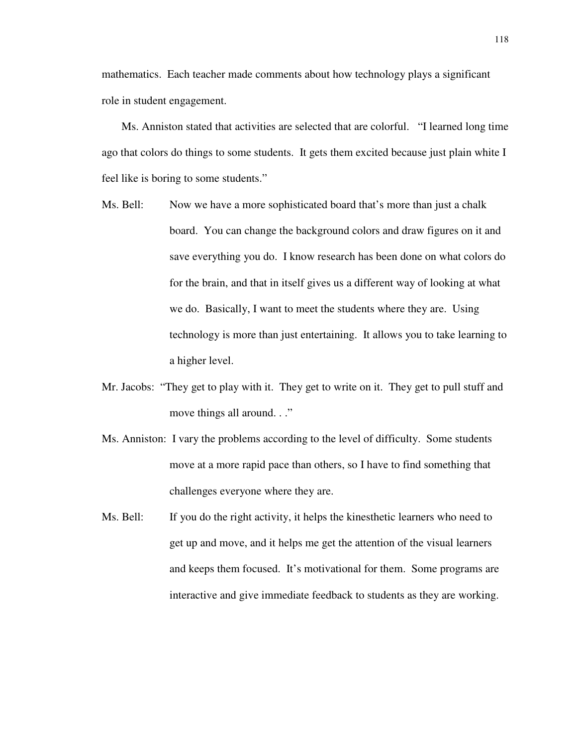mathematics. Each teacher made comments about how technology plays a significant role in student engagement.

Ms. Anniston stated that activities are selected that are colorful. "I learned long time ago that colors do things to some students. It gets them excited because just plain white I feel like is boring to some students."

- Ms. Bell: Now we have a more sophisticated board that's more than just a chalk board. You can change the background colors and draw figures on it and save everything you do. I know research has been done on what colors do for the brain, and that in itself gives us a different way of looking at what we do. Basically, I want to meet the students where they are. Using technology is more than just entertaining. It allows you to take learning to a higher level.
- Mr. Jacobs: "They get to play with it. They get to write on it. They get to pull stuff and move things all around. . ."
- Ms. Anniston: I vary the problems according to the level of difficulty. Some students move at a more rapid pace than others, so I have to find something that challenges everyone where they are.
- Ms. Bell: If you do the right activity, it helps the kinesthetic learners who need to get up and move, and it helps me get the attention of the visual learners and keeps them focused. It's motivational for them. Some programs are interactive and give immediate feedback to students as they are working.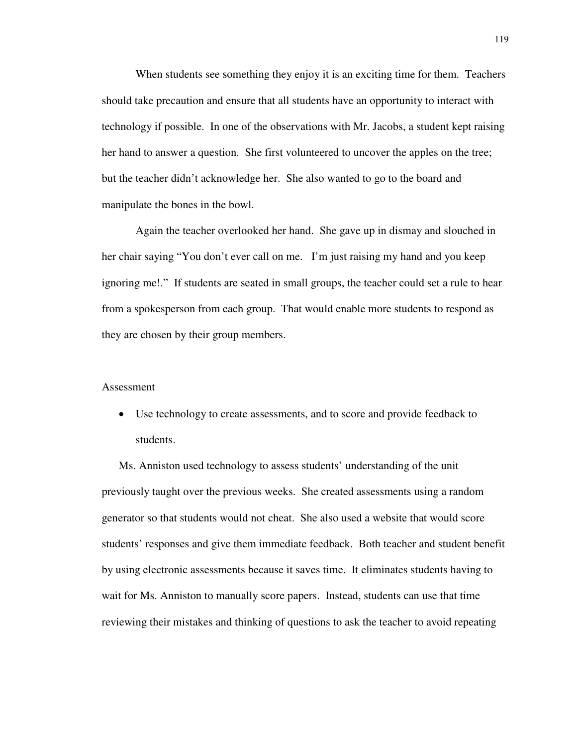When students see something they enjoy it is an exciting time for them. Teachers should take precaution and ensure that all students have an opportunity to interact with technology if possible. In one of the observations with Mr. Jacobs, a student kept raising her hand to answer a question. She first volunteered to uncover the apples on the tree; but the teacher didn't acknowledge her. She also wanted to go to the board and manipulate the bones in the bowl.

Again the teacher overlooked her hand. She gave up in dismay and slouched in her chair saying "You don't ever call on me. I'm just raising my hand and you keep ignoring me!." If students are seated in small groups, the teacher could set a rule to hear from a spokesperson from each group. That would enable more students to respond as they are chosen by their group members.

### Assessment

• Use technology to create assessments, and to score and provide feedback to students.

Ms. Anniston used technology to assess students' understanding of the unit previously taught over the previous weeks. She created assessments using a random generator so that students would not cheat. She also used a website that would score students' responses and give them immediate feedback. Both teacher and student benefit by using electronic assessments because it saves time. It eliminates students having to wait for Ms. Anniston to manually score papers. Instead, students can use that time reviewing their mistakes and thinking of questions to ask the teacher to avoid repeating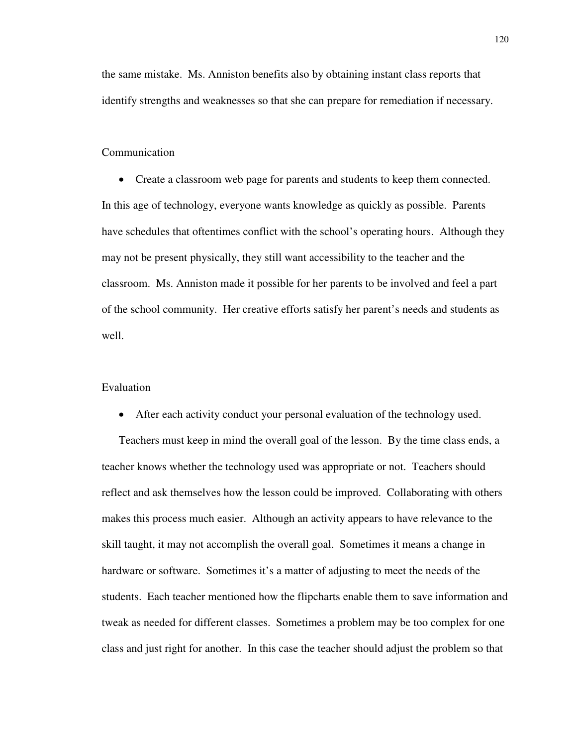the same mistake. Ms. Anniston benefits also by obtaining instant class reports that identify strengths and weaknesses so that she can prepare for remediation if necessary.

## Communication

• Create a classroom web page for parents and students to keep them connected. In this age of technology, everyone wants knowledge as quickly as possible. Parents have schedules that oftentimes conflict with the school's operating hours. Although they may not be present physically, they still want accessibility to the teacher and the classroom. Ms. Anniston made it possible for her parents to be involved and feel a part of the school community. Her creative efforts satisfy her parent's needs and students as well.

## Evaluation

• After each activity conduct your personal evaluation of the technology used.

Teachers must keep in mind the overall goal of the lesson. By the time class ends, a teacher knows whether the technology used was appropriate or not. Teachers should reflect and ask themselves how the lesson could be improved. Collaborating with others makes this process much easier. Although an activity appears to have relevance to the skill taught, it may not accomplish the overall goal. Sometimes it means a change in hardware or software. Sometimes it's a matter of adjusting to meet the needs of the students. Each teacher mentioned how the flipcharts enable them to save information and tweak as needed for different classes. Sometimes a problem may be too complex for one class and just right for another. In this case the teacher should adjust the problem so that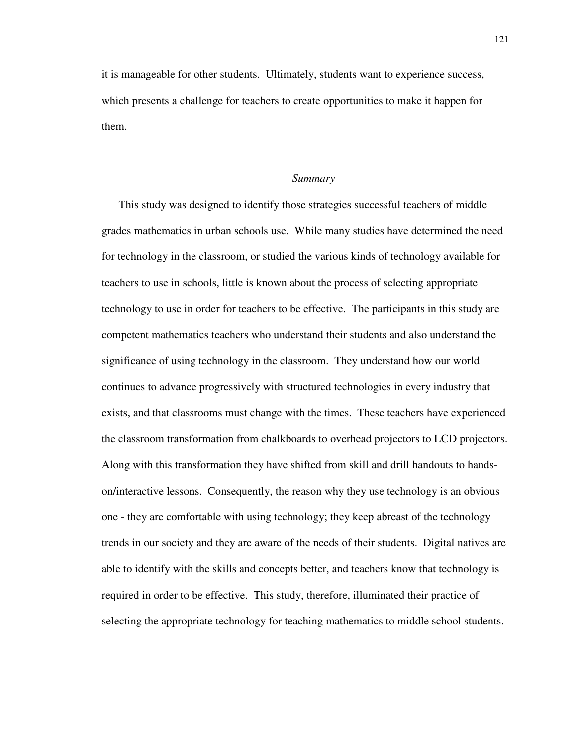it is manageable for other students. Ultimately, students want to experience success, which presents a challenge for teachers to create opportunities to make it happen for them.

#### *Summary*

This study was designed to identify those strategies successful teachers of middle grades mathematics in urban schools use. While many studies have determined the need for technology in the classroom, or studied the various kinds of technology available for teachers to use in schools, little is known about the process of selecting appropriate technology to use in order for teachers to be effective. The participants in this study are competent mathematics teachers who understand their students and also understand the significance of using technology in the classroom. They understand how our world continues to advance progressively with structured technologies in every industry that exists, and that classrooms must change with the times. These teachers have experienced the classroom transformation from chalkboards to overhead projectors to LCD projectors. Along with this transformation they have shifted from skill and drill handouts to handson/interactive lessons. Consequently, the reason why they use technology is an obvious one - they are comfortable with using technology; they keep abreast of the technology trends in our society and they are aware of the needs of their students. Digital natives are able to identify with the skills and concepts better, and teachers know that technology is required in order to be effective. This study, therefore, illuminated their practice of selecting the appropriate technology for teaching mathematics to middle school students.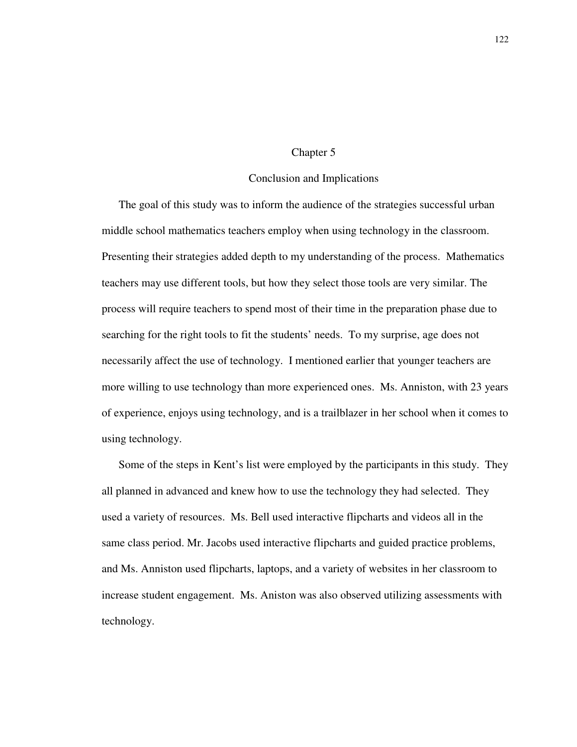## Chapter 5

## Conclusion and Implications

The goal of this study was to inform the audience of the strategies successful urban middle school mathematics teachers employ when using technology in the classroom. Presenting their strategies added depth to my understanding of the process. Mathematics teachers may use different tools, but how they select those tools are very similar. The process will require teachers to spend most of their time in the preparation phase due to searching for the right tools to fit the students' needs. To my surprise, age does not necessarily affect the use of technology. I mentioned earlier that younger teachers are more willing to use technology than more experienced ones. Ms. Anniston, with 23 years of experience, enjoys using technology, and is a trailblazer in her school when it comes to using technology.

Some of the steps in Kent's list were employed by the participants in this study. They all planned in advanced and knew how to use the technology they had selected. They used a variety of resources. Ms. Bell used interactive flipcharts and videos all in the same class period. Mr. Jacobs used interactive flipcharts and guided practice problems, and Ms. Anniston used flipcharts, laptops, and a variety of websites in her classroom to increase student engagement. Ms. Aniston was also observed utilizing assessments with technology.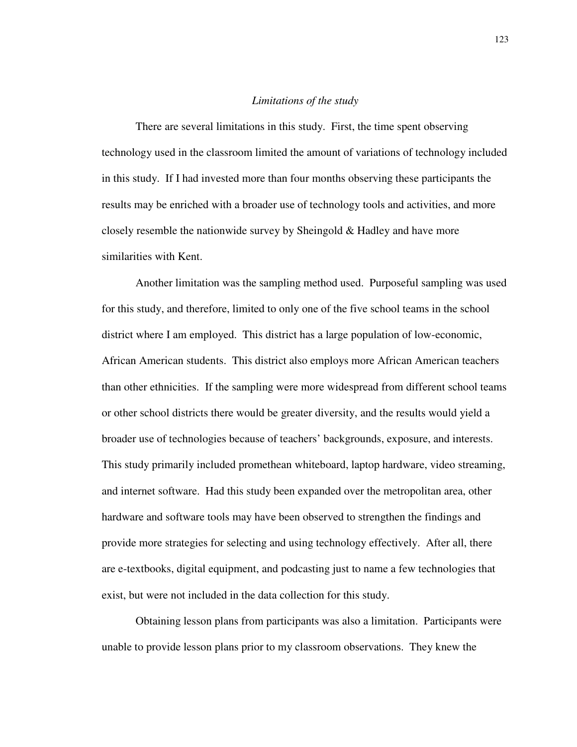## *Limitations of the study*

There are several limitations in this study. First, the time spent observing technology used in the classroom limited the amount of variations of technology included in this study. If I had invested more than four months observing these participants the results may be enriched with a broader use of technology tools and activities, and more closely resemble the nationwide survey by Sheingold & Hadley and have more similarities with Kent.

Another limitation was the sampling method used. Purposeful sampling was used for this study, and therefore, limited to only one of the five school teams in the school district where I am employed. This district has a large population of low-economic, African American students. This district also employs more African American teachers than other ethnicities. If the sampling were more widespread from different school teams or other school districts there would be greater diversity, and the results would yield a broader use of technologies because of teachers' backgrounds, exposure, and interests. This study primarily included promethean whiteboard, laptop hardware, video streaming, and internet software. Had this study been expanded over the metropolitan area, other hardware and software tools may have been observed to strengthen the findings and provide more strategies for selecting and using technology effectively. After all, there are e-textbooks, digital equipment, and podcasting just to name a few technologies that exist, but were not included in the data collection for this study.

 Obtaining lesson plans from participants was also a limitation. Participants were unable to provide lesson plans prior to my classroom observations. They knew the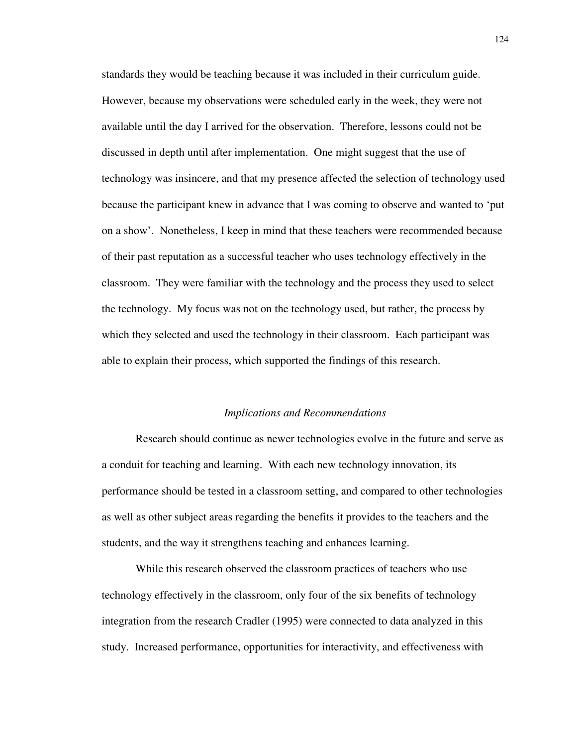standards they would be teaching because it was included in their curriculum guide. However, because my observations were scheduled early in the week, they were not available until the day I arrived for the observation. Therefore, lessons could not be discussed in depth until after implementation. One might suggest that the use of technology was insincere, and that my presence affected the selection of technology used because the participant knew in advance that I was coming to observe and wanted to 'put on a show'. Nonetheless, I keep in mind that these teachers were recommended because of their past reputation as a successful teacher who uses technology effectively in the classroom. They were familiar with the technology and the process they used to select the technology. My focus was not on the technology used, but rather, the process by which they selected and used the technology in their classroom. Each participant was able to explain their process, which supported the findings of this research.

#### *Implications and Recommendations*

Research should continue as newer technologies evolve in the future and serve as a conduit for teaching and learning. With each new technology innovation, its performance should be tested in a classroom setting, and compared to other technologies as well as other subject areas regarding the benefits it provides to the teachers and the students, and the way it strengthens teaching and enhances learning.

While this research observed the classroom practices of teachers who use technology effectively in the classroom, only four of the six benefits of technology integration from the research Cradler (1995) were connected to data analyzed in this study. Increased performance, opportunities for interactivity, and effectiveness with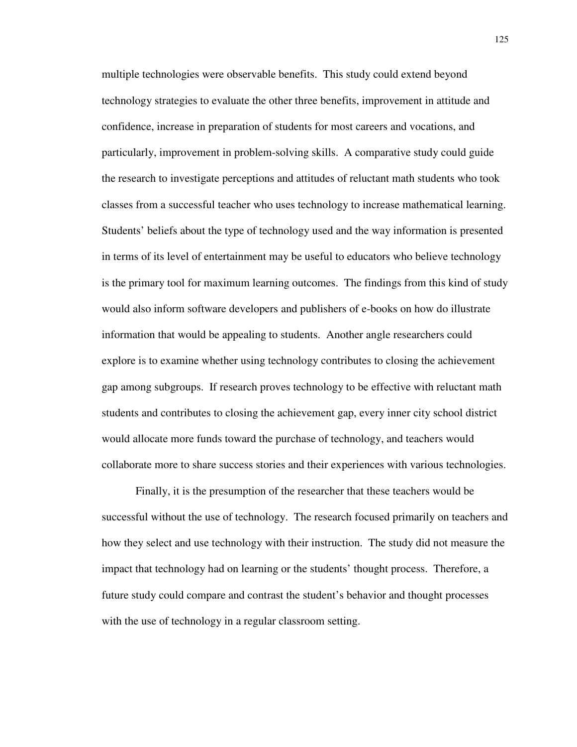multiple technologies were observable benefits. This study could extend beyond technology strategies to evaluate the other three benefits, improvement in attitude and confidence, increase in preparation of students for most careers and vocations, and particularly, improvement in problem-solving skills. A comparative study could guide the research to investigate perceptions and attitudes of reluctant math students who took classes from a successful teacher who uses technology to increase mathematical learning. Students' beliefs about the type of technology used and the way information is presented in terms of its level of entertainment may be useful to educators who believe technology is the primary tool for maximum learning outcomes. The findings from this kind of study would also inform software developers and publishers of e-books on how do illustrate information that would be appealing to students. Another angle researchers could explore is to examine whether using technology contributes to closing the achievement gap among subgroups. If research proves technology to be effective with reluctant math students and contributes to closing the achievement gap, every inner city school district would allocate more funds toward the purchase of technology, and teachers would collaborate more to share success stories and their experiences with various technologies.

Finally, it is the presumption of the researcher that these teachers would be successful without the use of technology. The research focused primarily on teachers and how they select and use technology with their instruction. The study did not measure the impact that technology had on learning or the students' thought process. Therefore, a future study could compare and contrast the student's behavior and thought processes with the use of technology in a regular classroom setting.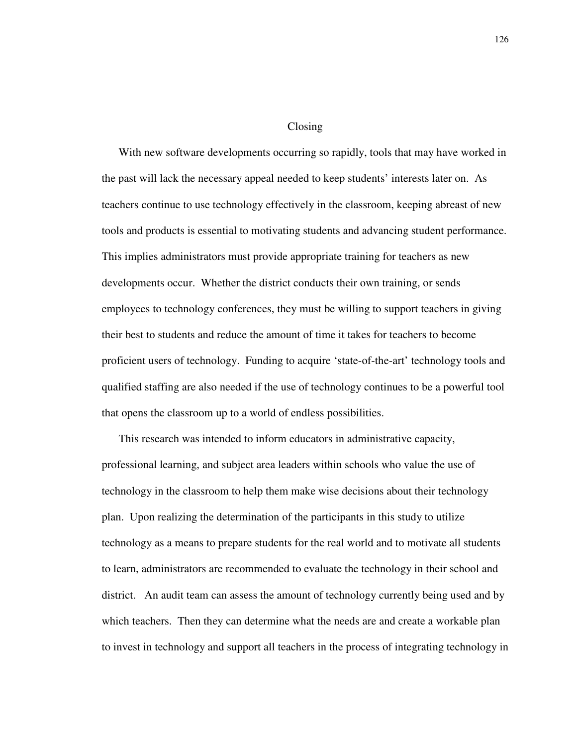#### Closing

With new software developments occurring so rapidly, tools that may have worked in the past will lack the necessary appeal needed to keep students' interests later on. As teachers continue to use technology effectively in the classroom, keeping abreast of new tools and products is essential to motivating students and advancing student performance. This implies administrators must provide appropriate training for teachers as new developments occur. Whether the district conducts their own training, or sends employees to technology conferences, they must be willing to support teachers in giving their best to students and reduce the amount of time it takes for teachers to become proficient users of technology. Funding to acquire 'state-of-the-art' technology tools and qualified staffing are also needed if the use of technology continues to be a powerful tool that opens the classroom up to a world of endless possibilities.

This research was intended to inform educators in administrative capacity, professional learning, and subject area leaders within schools who value the use of technology in the classroom to help them make wise decisions about their technology plan. Upon realizing the determination of the participants in this study to utilize technology as a means to prepare students for the real world and to motivate all students to learn, administrators are recommended to evaluate the technology in their school and district. An audit team can assess the amount of technology currently being used and by which teachers. Then they can determine what the needs are and create a workable plan to invest in technology and support all teachers in the process of integrating technology in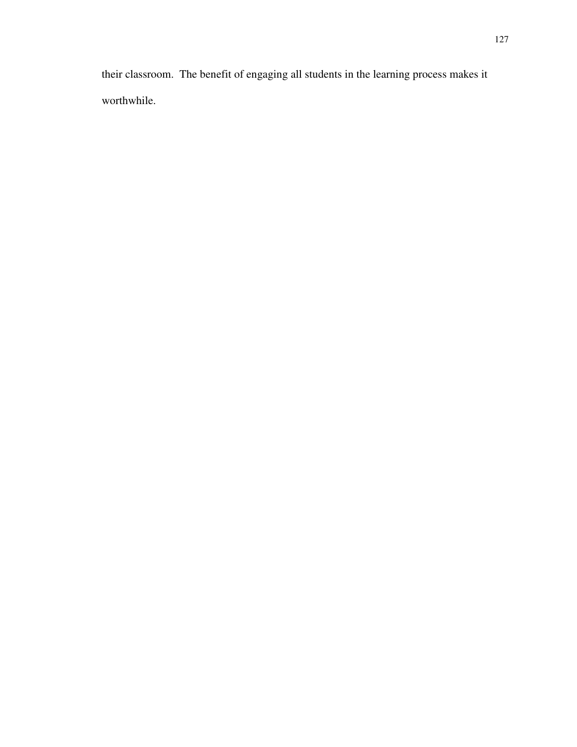their classroom. The benefit of engaging all students in the learning process makes it worthwhile.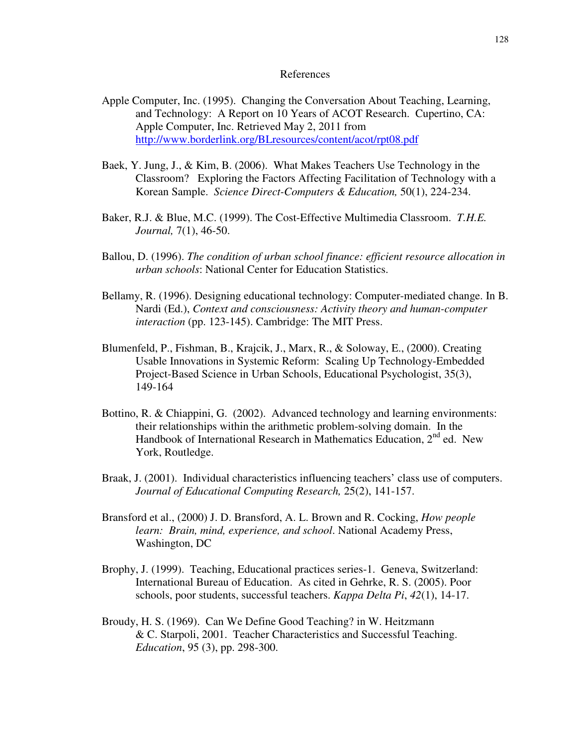### References

- Apple Computer, Inc. (1995). Changing the Conversation About Teaching, Learning, and Technology: A Report on 10 Years of ACOT Research. Cupertino, CA: Apple Computer, Inc. Retrieved May 2, 2011 from http://www.borderlink.org/BLresources/content/acot/rpt08.pdf
- Baek, Y. Jung, J., & Kim, B. (2006). What Makes Teachers Use Technology in the Classroom? Exploring the Factors Affecting Facilitation of Technology with a Korean Sample. *Science Direct-Computers & Education,* 50(1), 224-234.
- Baker, R.J. & Blue, M.C. (1999). The Cost-Effective Multimedia Classroom. *T.H.E. Journal,* 7(1), 46-50.
- Ballou, D. (1996). *The condition of urban school finance: efficient resource allocation in urban schools*: National Center for Education Statistics.
- Bellamy, R. (1996). Designing educational technology: Computer-mediated change. In B. Nardi (Ed.), *Context and consciousness: Activity theory and human-computer interaction* (pp. 123-145). Cambridge: The MIT Press.
- Blumenfeld, P., Fishman, B., Krajcik, J., Marx, R., & Soloway, E., (2000). Creating Usable Innovations in Systemic Reform: Scaling Up Technology-Embedded Project-Based Science in Urban Schools, Educational Psychologist, 35(3), 149-164
- Bottino, R. & Chiappini, G. (2002). Advanced technology and learning environments: their relationships within the arithmetic problem-solving domain. In the Handbook of International Research in Mathematics Education,  $2<sup>nd</sup>$  ed. New York, Routledge.
- Braak, J. (2001). Individual characteristics influencing teachers' class use of computers. *Journal of Educational Computing Research,* 25(2), 141-157.
- Bransford et al., (2000) J. D. Bransford, A. L. Brown and R. Cocking, *How people learn: Brain, mind, experience, and school*. National Academy Press, Washington, DC
- Brophy, J. (1999). Teaching, Educational practices series-1. Geneva, Switzerland: International Bureau of Education. As cited in Gehrke, R. S. (2005). Poor schools, poor students, successful teachers. *Kappa Delta Pi*, *42*(1), 14-17.
- Broudy, H. S. (1969). Can We Define Good Teaching? in W. Heitzmann & C. Starpoli, 2001. Teacher Characteristics and Successful Teaching. *Education*, 95 (3), pp. 298-300.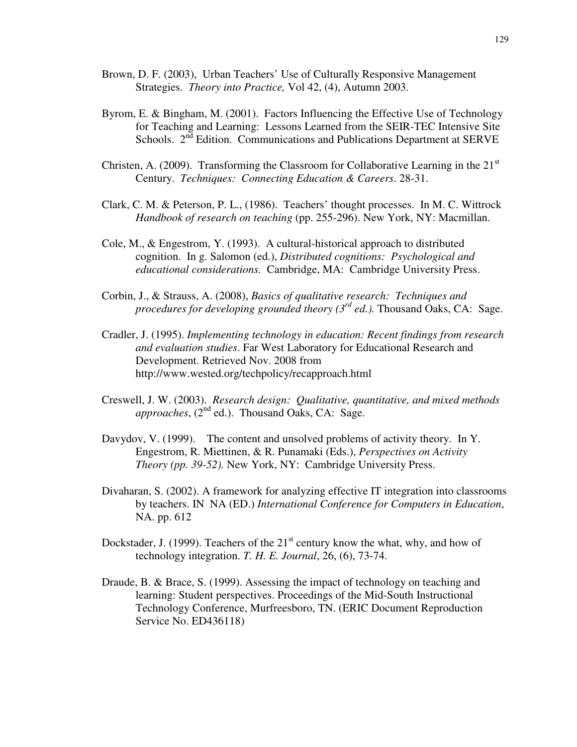- Brown, D. F. (2003), Urban Teachers' Use of Culturally Responsive Management Strategies. *Theory into Practice,* Vol 42, (4), Autumn 2003.
- Byrom, E. & Bingham, M. (2001). Factors Influencing the Effective Use of Technology for Teaching and Learning: Lessons Learned from the SEIR-TEC Intensive Site Schools.  $2^{nd}$  Edition. Communications and Publications Department at SERVE
- Christen, A. (2009). Transforming the Classroom for Collaborative Learning in the  $21<sup>st</sup>$ Century. *Techniques: Connecting Education & Careers*. 28-31.
- Clark, C. M. & Peterson, P. L., (1986). Teachers' thought processes. In M. C. Wittrock *Handbook of research on teaching* (pp. 255-296). New York, NY: Macmillan.
- Cole, M., & Engestrom, Y. (1993). A cultural-historical approach to distributed cognition. In g. Salomon (ed.), *Distributed cognitions: Psychological and educational considerations.* Cambridge, MA: Cambridge University Press.
- Corbin, J., & Strauss, A. (2008), *Basics of qualitative research: Techniques and procedures for developing grounded theory (3rd ed.).* Thousand Oaks, CA: Sage.
- Cradler, J. (1995). *Implementing technology in education: Recent findings from research and evaluation studies*. Far West Laboratory for Educational Research and Development. Retrieved Nov. 2008 from http://www.wested.org/techpolicy/recapproach.html
- Creswell, J. W. (2003). *Research design: Qualitative, quantitative, and mixed methods*   $approaches$ ,  $(2^{nd}$  ed.). Thousand Oaks, CA: Sage.
- Davydov, V. (1999). The content and unsolved problems of activity theory. In Y. Engestrom, R. Miettinen, & R. Punamaki (Eds.), *Perspectives on Activity Theory (pp. 39-52).* New York, NY: Cambridge University Press.
- Divaharan, S. (2002). A framework for analyzing effective IT integration into classrooms by teachers. IN NA (ED.) *International Conference for Computers in Education*, NA. pp. 612
- Dockstader, J. (1999). Teachers of the  $21<sup>st</sup>$  century know the what, why, and how of technology integration. *T. H. E. Journal*, 26, (6), 73-74.
- Draude, B. & Brace, S. (1999). Assessing the impact of technology on teaching and learning: Student perspectives. Proceedings of the Mid-South Instructional Technology Conference, Murfreesboro, TN. (ERIC Document Reproduction Service No. ED436118)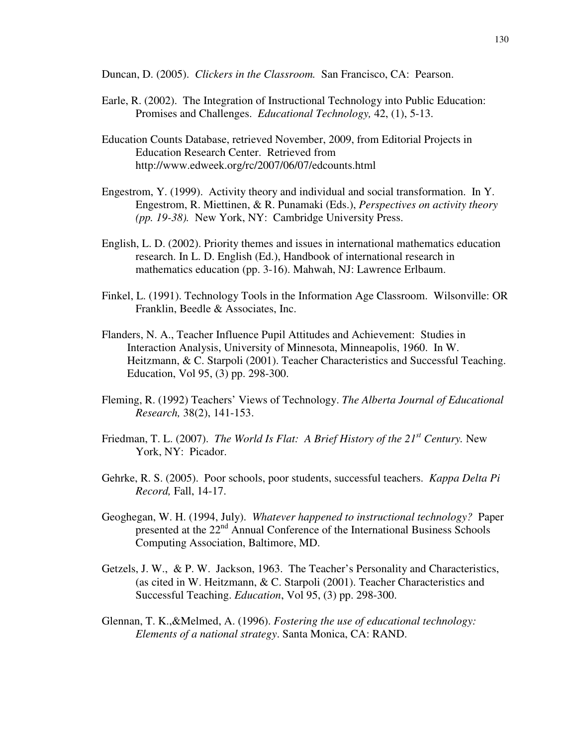Duncan, D. (2005). *Clickers in the Classroom.* San Francisco, CA: Pearson.

- Earle, R. (2002). The Integration of Instructional Technology into Public Education: Promises and Challenges. *Educational Technology,* 42, (1), 5-13.
- Education Counts Database, retrieved November, 2009, from Editorial Projects in Education Research Center. Retrieved from http://www.edweek.org/rc/2007/06/07/edcounts.html
- Engestrom, Y. (1999). Activity theory and individual and social transformation. In Y. Engestrom, R. Miettinen, & R. Punamaki (Eds.), *Perspectives on activity theory (pp. 19-38).* New York, NY: Cambridge University Press.
- English, L. D. (2002). Priority themes and issues in international mathematics education research. In L. D. English (Ed.), Handbook of international research in mathematics education (pp. 3-16). Mahwah, NJ: Lawrence Erlbaum.
- Finkel, L. (1991). Technology Tools in the Information Age Classroom. Wilsonville: OR Franklin, Beedle & Associates, Inc.
- Flanders, N. A., Teacher Influence Pupil Attitudes and Achievement: Studies in Interaction Analysis, University of Minnesota, Minneapolis, 1960. In W. Heitzmann, & C. Starpoli (2001). Teacher Characteristics and Successful Teaching. Education, Vol 95, (3) pp. 298-300.
- Fleming, R. (1992) Teachers' Views of Technology. *The Alberta Journal of Educational Research,* 38(2), 141-153.
- Friedman, T. L. (2007). *The World Is Flat: A Brief History of the 21st Century.* New York, NY: Picador.
- Gehrke, R. S. (2005). Poor schools, poor students, successful teachers. *Kappa Delta Pi Record,* Fall, 14-17.
- Geoghegan, W. H. (1994, July). *Whatever happened to instructional technology?* Paper presented at the 22<sup>nd</sup> Annual Conference of the International Business Schools Computing Association, Baltimore, MD.
- Getzels, J. W., & P. W. Jackson, 1963. The Teacher's Personality and Characteristics, (as cited in W. Heitzmann, & C. Starpoli (2001). Teacher Characteristics and Successful Teaching. *Education*, Vol 95, (3) pp. 298-300.
- Glennan, T. K.,&Melmed, A. (1996). *Fostering the use of educational technology: Elements of a national strategy*. Santa Monica, CA: RAND.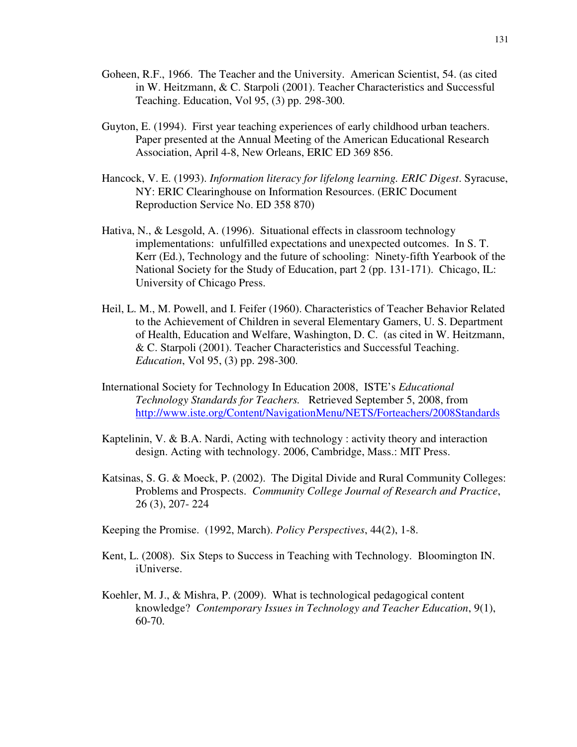- Goheen, R.F., 1966. The Teacher and the University. American Scientist, 54. (as cited in W. Heitzmann, & C. Starpoli (2001). Teacher Characteristics and Successful Teaching. Education, Vol 95, (3) pp. 298-300.
- Guyton, E. (1994). First year teaching experiences of early childhood urban teachers. Paper presented at the Annual Meeting of the American Educational Research Association, April 4-8, New Orleans, ERIC ED 369 856.
- Hancock, V. E. (1993). *Information literacy for lifelong learning. ERIC Digest*. Syracuse, NY: ERIC Clearinghouse on Information Resources. (ERIC Document Reproduction Service No. ED 358 870)
- Hativa, N., & Lesgold, A. (1996). Situational effects in classroom technology implementations: unfulfilled expectations and unexpected outcomes. In S. T. Kerr (Ed.), Technology and the future of schooling: Ninety-fifth Yearbook of the National Society for the Study of Education, part 2 (pp. 131-171). Chicago, IL: University of Chicago Press.
- Heil, L. M., M. Powell, and I. Feifer (1960). Characteristics of Teacher Behavior Related to the Achievement of Children in several Elementary Gamers, U. S. Department of Health, Education and Welfare, Washington, D. C. (as cited in W. Heitzmann, & C. Starpoli (2001). Teacher Characteristics and Successful Teaching. *Education*, Vol 95, (3) pp. 298-300.
- International Society for Technology In Education 2008, ISTE's *Educational Technology Standards for Teachers.* Retrieved September 5, 2008, from http://www.iste.org/Content/NavigationMenu/NETS/Forteachers/2008Standards
- Kaptelinin, V. & B.A. Nardi, Acting with technology : activity theory and interaction design. Acting with technology. 2006, Cambridge, Mass.: MIT Press.
- Katsinas, S. G. & Moeck, P. (2002). The Digital Divide and Rural Community Colleges: Problems and Prospects. *Community College Journal of Research and Practice*, 26 (3), 207- 224
- Keeping the Promise. (1992, March). *Policy Perspectives*, 44(2), 1-8.
- Kent, L. (2008). Six Steps to Success in Teaching with Technology. Bloomington IN. iUniverse.
- Koehler, M. J., & Mishra, P. (2009). What is technological pedagogical content knowledge? *Contemporary Issues in Technology and Teacher Education*, 9(1), 60-70.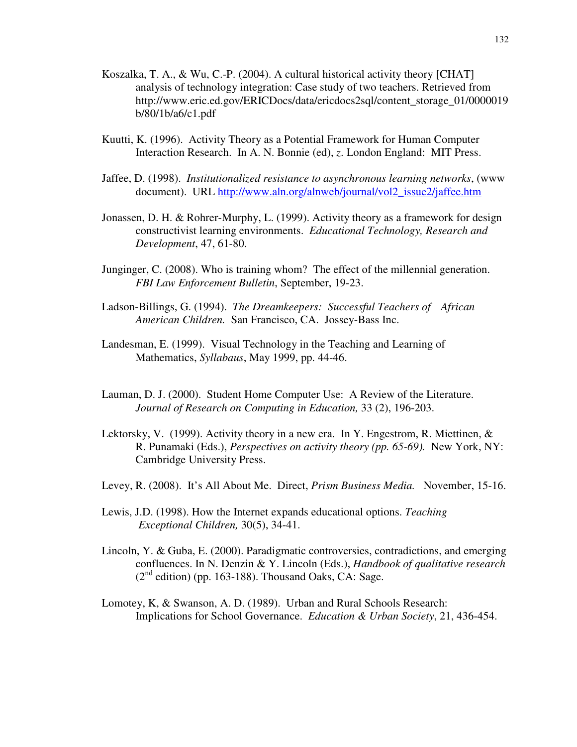- Koszalka, T. A., & Wu, C.-P. (2004). A cultural historical activity theory [CHAT] analysis of technology integration: Case study of two teachers. Retrieved from http://www.eric.ed.gov/ERICDocs/data/ericdocs2sql/content\_storage\_01/0000019 b/80/1b/a6/c1.pdf
- Kuutti, K. (1996). Activity Theory as a Potential Framework for Human Computer Interaction Research. In A. N. Bonnie (ed), *z*. London England: MIT Press.
- Jaffee, D. (1998). *Institutionalized resistance to asynchronous learning networks*, (www document). URL http://www.aln.org/alnweb/journal/vol2\_issue2/jaffee.htm
- Jonassen, D. H. & Rohrer-Murphy, L. (1999). Activity theory as a framework for design constructivist learning environments. *Educational Technology, Research and Development*, 47, 61-80.
- Junginger, C. (2008). Who is training whom? The effect of the millennial generation. *FBI Law Enforcement Bulletin*, September, 19-23.
- Ladson-Billings, G. (1994). *The Dreamkeepers: Successful Teachers of African American Children.* San Francisco, CA. Jossey-Bass Inc.
- Landesman, E. (1999). Visual Technology in the Teaching and Learning of Mathematics, *Syllabaus*, May 1999, pp. 44-46.
- Lauman, D. J. (2000). Student Home Computer Use: A Review of the Literature. *Journal of Research on Computing in Education,* 33 (2), 196-203.
- Lektorsky, V. (1999). Activity theory in a new era. In Y. Engestrom, R. Miettinen, & R. Punamaki (Eds.), *Perspectives on activity theory (pp. 65-69).* New York, NY: Cambridge University Press.
- Levey, R. (2008). It's All About Me. Direct, *Prism Business Media.* November, 15-16.
- Lewis, J.D. (1998). How the Internet expands educational options. *Teaching Exceptional Children,* 30(5), 34-41.
- Lincoln, Y. & Guba, E. (2000). Paradigmatic controversies, contradictions, and emerging confluences. In N. Denzin & Y. Lincoln (Eds.), *Handbook of qualitative research*   $(2<sup>nd</sup> edition)$  (pp. 163-188). Thousand Oaks, CA: Sage.
- Lomotey, K, & Swanson, A. D. (1989). Urban and Rural Schools Research: Implications for School Governance. *Education & Urban Society*, 21, 436-454.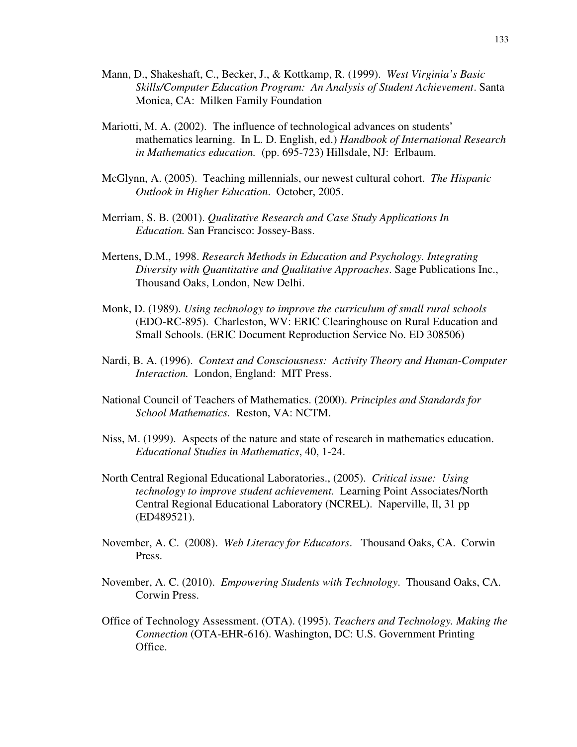- Mann, D., Shakeshaft, C., Becker, J., & Kottkamp, R. (1999). *West Virginia's Basic Skills/Computer Education Program: An Analysis of Student Achievement*. Santa Monica, CA: Milken Family Foundation
- Mariotti, M. A. (2002). The influence of technological advances on students' mathematics learning. In L. D. English, ed.) *Handbook of International Research in Mathematics education.* (pp. 695-723) Hillsdale, NJ: Erlbaum.
- McGlynn, A. (2005). Teaching millennials, our newest cultural cohort. *The Hispanic Outlook in Higher Education*. October, 2005.
- Merriam, S. B. (2001). *Qualitative Research and Case Study Applications In Education.* San Francisco: Jossey-Bass.
- Mertens, D.M., 1998. *Research Methods in Education and Psychology. Integrating Diversity with Quantitative and Qualitative Approaches*. Sage Publications Inc., Thousand Oaks, London, New Delhi.
- Monk, D. (1989). *Using technology to improve the curriculum of small rural schools* (EDO-RC-895). Charleston, WV: ERIC Clearinghouse on Rural Education and Small Schools. (ERIC Document Reproduction Service No. ED 308506)
- Nardi, B. A. (1996). *Context and Consciousness: Activity Theory and Human-Computer Interaction.* London, England: MIT Press.
- National Council of Teachers of Mathematics. (2000). *Principles and Standards for School Mathematics.* Reston, VA: NCTM.
- Niss, M. (1999). Aspects of the nature and state of research in mathematics education. *Educational Studies in Mathematics*, 40, 1-24.
- North Central Regional Educational Laboratories., (2005). *Critical issue: Using technology to improve student achievement.* Learning Point Associates/North Central Regional Educational Laboratory (NCREL). Naperville, Il, 31 pp (ED489521).
- November, A. C. (2008). *Web Literacy for Educators*. Thousand Oaks, CA. Corwin Press.
- November, A. C. (2010). *Empowering Students with Technology*. Thousand Oaks, CA. Corwin Press.
- Office of Technology Assessment. (OTA). (1995). *Teachers and Technology. Making the Connection* (OTA-EHR-616). Washington, DC: U.S. Government Printing Office.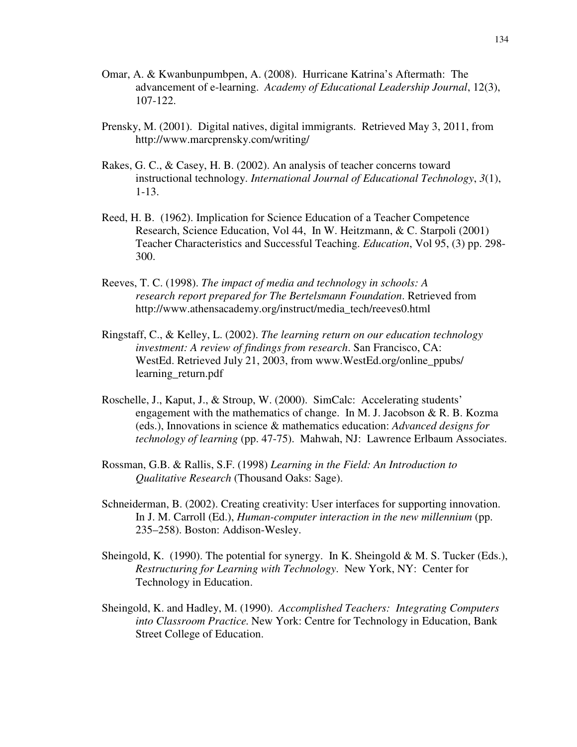- Omar, A. & Kwanbunpumbpen, A. (2008). Hurricane Katrina's Aftermath: The advancement of e-learning. *Academy of Educational Leadership Journal*, 12(3), 107-122.
- Prensky, M. (2001). Digital natives, digital immigrants. Retrieved May 3, 2011, from http://www.marcprensky.com/writing/
- Rakes, G. C., & Casey, H. B. (2002). An analysis of teacher concerns toward instructional technology. *International Journal of Educational Technology*, *3*(1), 1-13.
- Reed, H. B. (1962). Implication for Science Education of a Teacher Competence Research, Science Education, Vol 44, In W. Heitzmann, & C. Starpoli (2001) Teacher Characteristics and Successful Teaching. *Education*, Vol 95, (3) pp. 298- 300.
- Reeves, T. C. (1998). *The impact of media and technology in schools: A research report prepared for The Bertelsmann Foundation*. Retrieved from http://www.athensacademy.org/instruct/media\_tech/reeves0.html
- Ringstaff, C., & Kelley, L. (2002). *The learning return on our education technology investment: A review of findings from research*. San Francisco, CA: WestEd. Retrieved July 21, 2003, from www.WestEd.org/online\_ppubs/ learning\_return.pdf
- Roschelle, J., Kaput, J., & Stroup, W. (2000). SimCalc: Accelerating students' engagement with the mathematics of change. In M. J. Jacobson & R. B. Kozma (eds.), Innovations in science & mathematics education: *Advanced designs for technology of learning* (pp. 47-75). Mahwah, NJ: Lawrence Erlbaum Associates.
- Rossman, G.B. & Rallis, S.F. (1998) *Learning in the Field: An Introduction to Qualitative Research* (Thousand Oaks: Sage).
- Schneiderman, B. (2002). Creating creativity: User interfaces for supporting innovation. In J. M. Carroll (Ed.), *Human-computer interaction in the new millennium* (pp. 235–258). Boston: Addison-Wesley.
- Sheingold, K. (1990). The potential for synergy. In K. Sheingold  $\&$  M. S. Tucker (Eds.), *Restructuring for Learning with Technology*. New York, NY: Center for Technology in Education.
- Sheingold, K. and Hadley, M. (1990). *Accomplished Teachers: Integrating Computers into Classroom Practice.* New York: Centre for Technology in Education, Bank Street College of Education.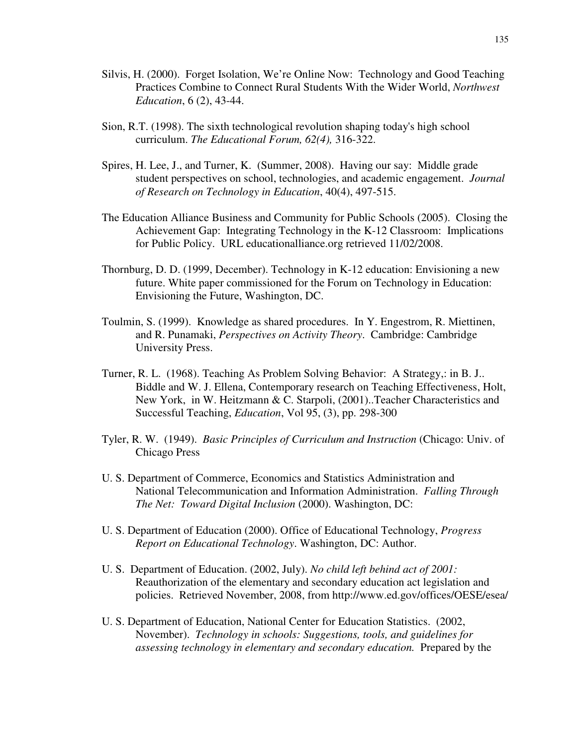- Silvis, H. (2000). Forget Isolation, We're Online Now: Technology and Good Teaching Practices Combine to Connect Rural Students With the Wider World, *Northwest Education*, 6 (2), 43-44.
- Sion, R.T. (1998). The sixth technological revolution shaping today's high school curriculum. *The Educational Forum, 62(4),* 316-322.
- Spires, H. Lee, J., and Turner, K. (Summer, 2008). Having our say: Middle grade student perspectives on school, technologies, and academic engagement. *Journal of Research on Technology in Education*, 40(4), 497-515.
- The Education Alliance Business and Community for Public Schools (2005). Closing the Achievement Gap: Integrating Technology in the K-12 Classroom: Implications for Public Policy. URL educationalliance.org retrieved 11/02/2008.
- Thornburg, D. D. (1999, December). Technology in K-12 education: Envisioning a new future. White paper commissioned for the Forum on Technology in Education: Envisioning the Future, Washington, DC.
- Toulmin, S. (1999). Knowledge as shared procedures. In Y. Engestrom, R. Miettinen, and R. Punamaki, *Perspectives on Activity Theory*. Cambridge: Cambridge University Press.
- Turner, R. L. (1968). Teaching As Problem Solving Behavior: A Strategy,: in B. J.. Biddle and W. J. Ellena, Contemporary research on Teaching Effectiveness, Holt, New York, in W. Heitzmann & C. Starpoli, (2001)..Teacher Characteristics and Successful Teaching, *Education*, Vol 95, (3), pp. 298-300
- Tyler, R. W. (1949). *Basic Principles of Curriculum and Instruction* (Chicago: Univ. of Chicago Press
- U. S. Department of Commerce, Economics and Statistics Administration and National Telecommunication and Information Administration. *Falling Through The Net: Toward Digital Inclusion* (2000). Washington, DC:
- U. S. Department of Education (2000). Office of Educational Technology, *Progress Report on Educational Technology*. Washington, DC: Author.
- U. S. Department of Education. (2002, July). *No child left behind act of 2001:*  Reauthorization of the elementary and secondary education act legislation and policies. Retrieved November, 2008, from http://www.ed.gov/offices/OESE/esea/
- U. S. Department of Education, National Center for Education Statistics. (2002, November). *Technology in schools: Suggestions, tools, and guidelines for assessing technology in elementary and secondary education.* Prepared by the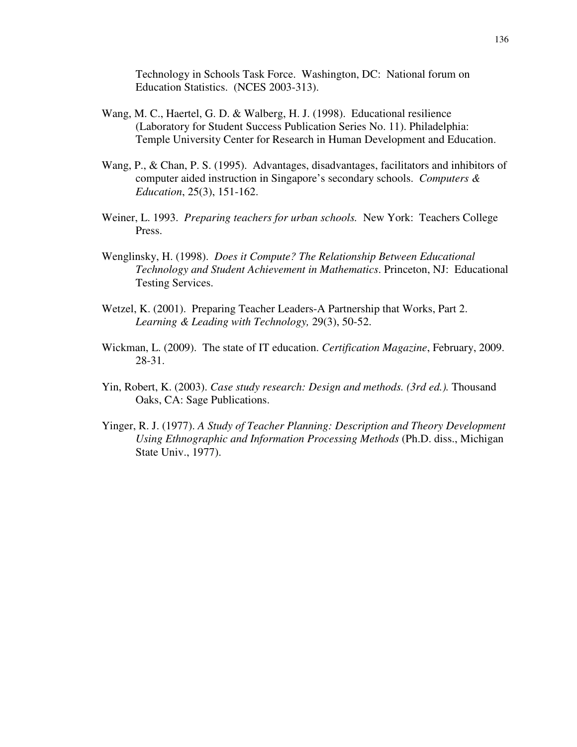Technology in Schools Task Force. Washington, DC: National forum on Education Statistics. (NCES 2003-313).

- Wang, M. C., Haertel, G. D. & Walberg, H. J. (1998). Educational resilience (Laboratory for Student Success Publication Series No. 11). Philadelphia: Temple University Center for Research in Human Development and Education.
- Wang, P., & Chan, P. S. (1995). Advantages, disadvantages, facilitators and inhibitors of computer aided instruction in Singapore's secondary schools. *Computers & Education*, 25(3), 151-162.
- Weiner, L. 1993. *Preparing teachers for urban schools.* New York: Teachers College Press.
- Wenglinsky, H. (1998). *Does it Compute? The Relationship Between Educational Technology and Student Achievement in Mathematics*. Princeton, NJ: Educational Testing Services.
- Wetzel, K. (2001). Preparing Teacher Leaders-A Partnership that Works, Part 2. *Learning & Leading with Technology,* 29(3), 50-52.
- Wickman, L. (2009). The state of IT education. *Certification Magazine*, February, 2009. 28-31.
- Yin, Robert, K. (2003). *Case study research: Design and methods. (3rd ed.).* Thousand Oaks, CA: Sage Publications.
- Yinger, R. J. (1977). *A Study of Teacher Planning: Description and Theory Development Using Ethnographic and Information Processing Methods* (Ph.D. diss., Michigan State Univ., 1977).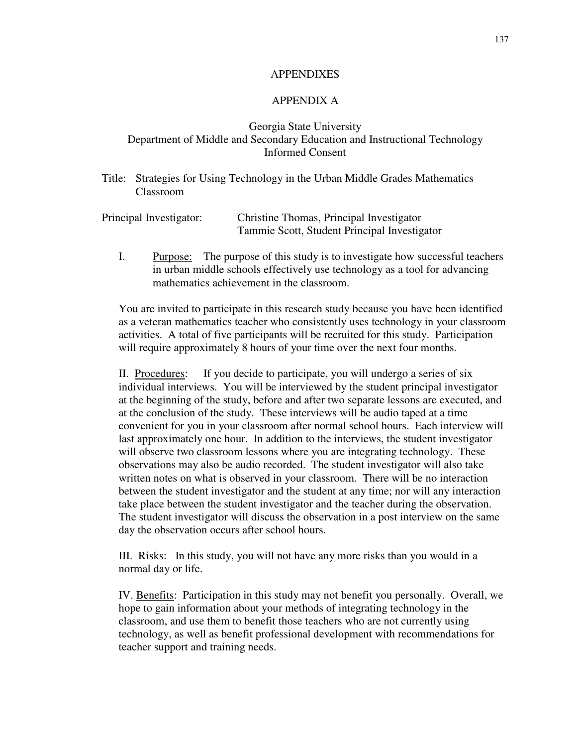### APPENDIXES

## APPENDIX A

# Georgia State University Department of Middle and Secondary Education and Instructional Technology Informed Consent

Title: Strategies for Using Technology in the Urban Middle Grades Mathematics Classroom

| Principal Investigator: | Christine Thomas, Principal Investigator     |
|-------------------------|----------------------------------------------|
|                         | Tammie Scott, Student Principal Investigator |

I. Purpose: The purpose of this study is to investigate how successful teachers in urban middle schools effectively use technology as a tool for advancing mathematics achievement in the classroom.

You are invited to participate in this research study because you have been identified as a veteran mathematics teacher who consistently uses technology in your classroom activities. A total of five participants will be recruited for this study. Participation will require approximately 8 hours of your time over the next four months.

II. Procedures: If you decide to participate, you will undergo a series of six individual interviews. You will be interviewed by the student principal investigator at the beginning of the study, before and after two separate lessons are executed, and at the conclusion of the study. These interviews will be audio taped at a time convenient for you in your classroom after normal school hours. Each interview will last approximately one hour. In addition to the interviews, the student investigator will observe two classroom lessons where you are integrating technology. These observations may also be audio recorded. The student investigator will also take written notes on what is observed in your classroom. There will be no interaction between the student investigator and the student at any time; nor will any interaction take place between the student investigator and the teacher during the observation. The student investigator will discuss the observation in a post interview on the same day the observation occurs after school hours.

III. Risks: In this study, you will not have any more risks than you would in a normal day or life.

IV. Benefits: Participation in this study may not benefit you personally. Overall, we hope to gain information about your methods of integrating technology in the classroom, and use them to benefit those teachers who are not currently using technology, as well as benefit professional development with recommendations for teacher support and training needs.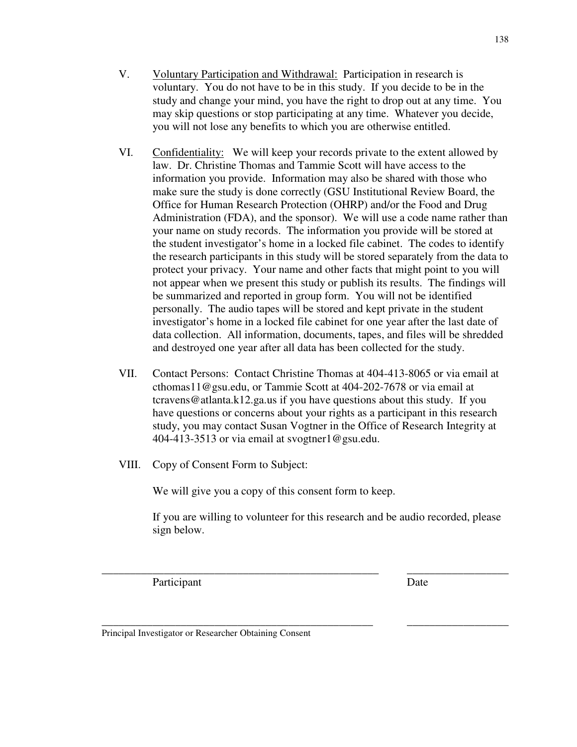- V. Voluntary Participation and Withdrawal: Participation in research is voluntary. You do not have to be in this study. If you decide to be in the study and change your mind, you have the right to drop out at any time. You may skip questions or stop participating at any time. Whatever you decide, you will not lose any benefits to which you are otherwise entitled.
- VI. Confidentiality: We will keep your records private to the extent allowed by law. Dr. Christine Thomas and Tammie Scott will have access to the information you provide. Information may also be shared with those who make sure the study is done correctly (GSU Institutional Review Board, the Office for Human Research Protection (OHRP) and/or the Food and Drug Administration (FDA), and the sponsor). We will use a code name rather than your name on study records. The information you provide will be stored at the student investigator's home in a locked file cabinet. The codes to identify the research participants in this study will be stored separately from the data to protect your privacy. Your name and other facts that might point to you will not appear when we present this study or publish its results. The findings will be summarized and reported in group form. You will not be identified personally. The audio tapes will be stored and kept private in the student investigator's home in a locked file cabinet for one year after the last date of data collection. All information, documents, tapes, and files will be shredded and destroyed one year after all data has been collected for the study.
- VII. Contact Persons: Contact Christine Thomas at 404-413-8065 or via email at cthomas11@gsu.edu, or Tammie Scott at 404-202-7678 or via email at tcravens@atlanta.k12.ga.us if you have questions about this study. If you have questions or concerns about your rights as a participant in this research study, you may contact Susan Vogtner in the Office of Research Integrity at 404-413-3513 or via email at svogtner1@gsu.edu.
- VIII. Copy of Consent Form to Subject:

We will give you a copy of this consent form to keep.

If you are willing to volunteer for this research and be audio recorded, please sign below.

\_\_\_\_\_\_\_\_\_\_\_\_\_\_\_\_\_\_\_\_\_\_\_\_\_\_\_\_\_\_\_\_\_\_\_\_\_\_\_\_\_\_\_\_\_\_\_\_ \_\_\_\_\_\_\_\_\_\_\_\_\_\_\_\_\_\_

Participant Date

\_\_\_\_\_\_\_\_\_\_\_\_\_\_\_\_\_\_\_\_\_\_\_\_\_\_\_\_\_\_\_\_\_\_\_\_\_\_\_\_\_\_\_\_\_\_\_\_\_ \_\_\_\_\_\_\_\_\_\_\_\_\_\_\_\_\_\_

Principal Investigator or Researcher Obtaining Consent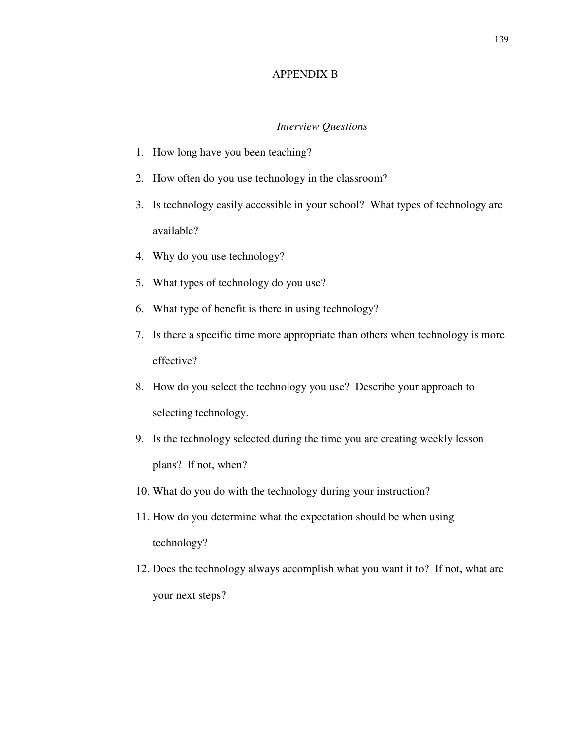## APPENDIX B

#### *Interview Questions*

- 1. How long have you been teaching?
- 2. How often do you use technology in the classroom?
- 3. Is technology easily accessible in your school? What types of technology are available?
- 4. Why do you use technology?
- 5. What types of technology do you use?
- 6. What type of benefit is there in using technology?
- 7. Is there a specific time more appropriate than others when technology is more effective?
- 8. How do you select the technology you use? Describe your approach to selecting technology.
- 9. Is the technology selected during the time you are creating weekly lesson plans? If not, when?
- 10. What do you do with the technology during your instruction?
- 11. How do you determine what the expectation should be when using technology?
- 12. Does the technology always accomplish what you want it to? If not, what are your next steps?